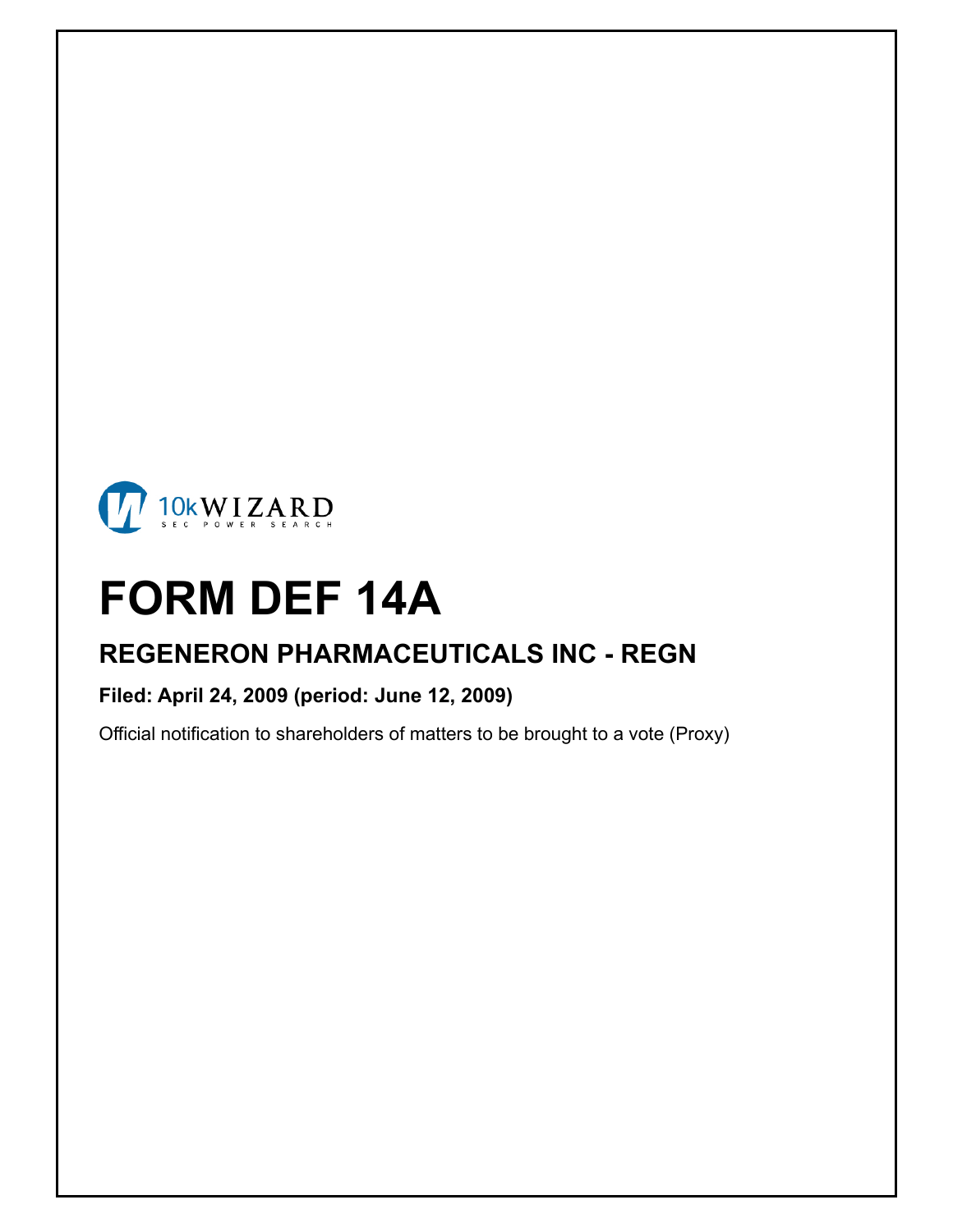

 $\overline{\phantom{a}}$ 

 $\overline{\phantom{a}}$ 

# **FORM DEF 14A**

# **REGENERON PHARMACEUTICALS INC - REGN**

# **Filed: April 24, 2009 (period: June 12, 2009)**

Official notification to shareholders of matters to be brought to a vote (Proxy)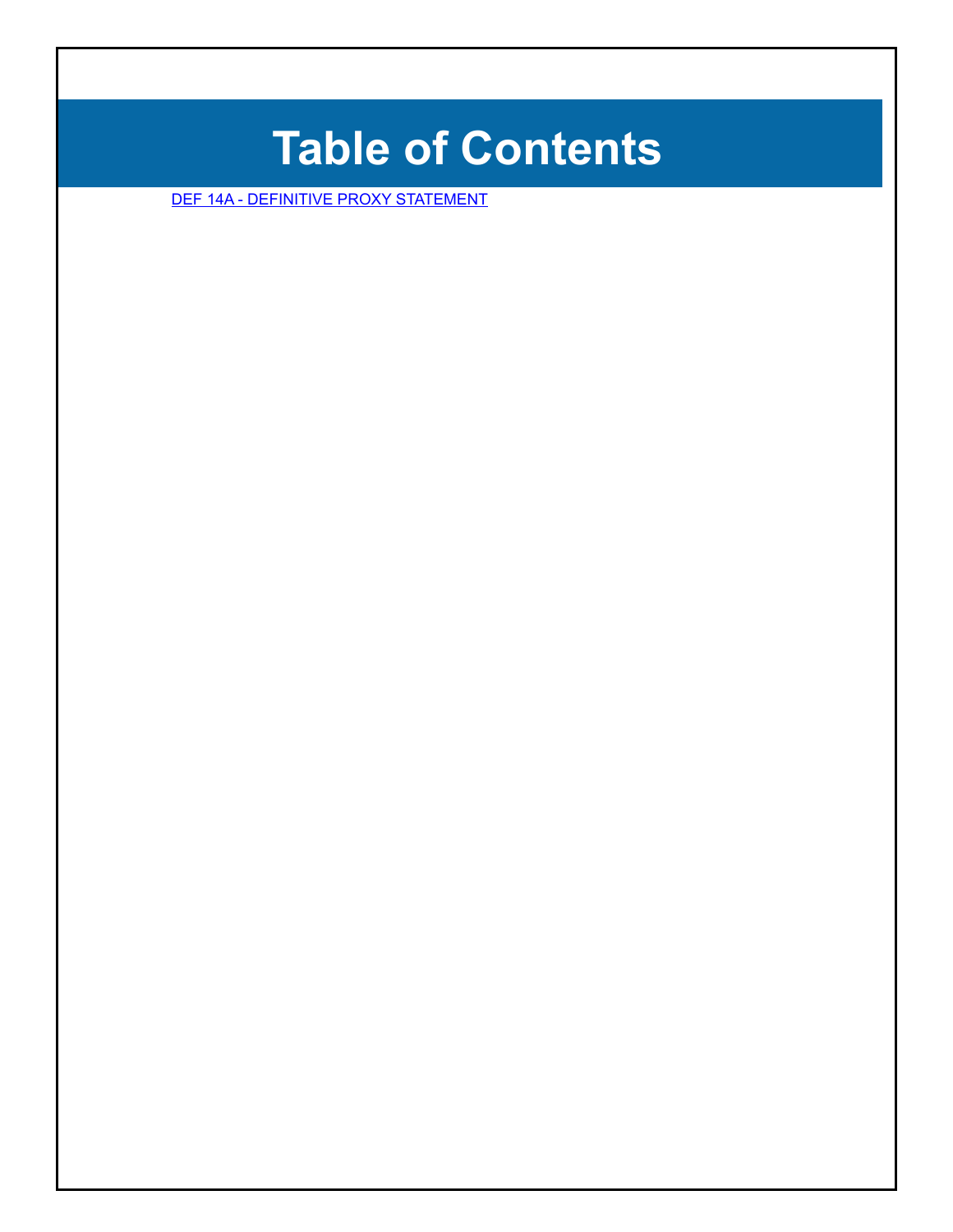# **Table of Contents**

[DEF 14A - DEFINITIVE PROXY STATEMENT](#page-2-0)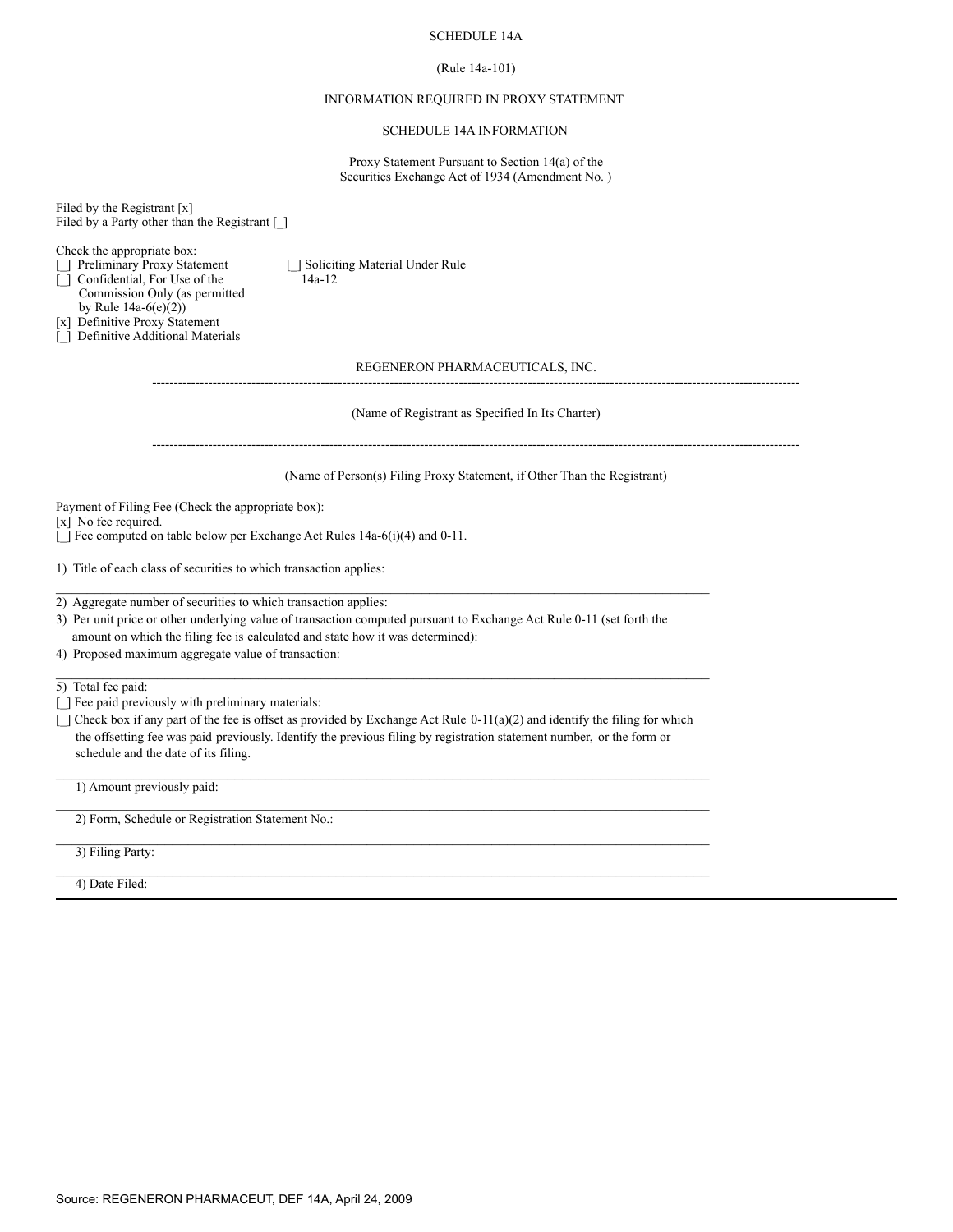#### SCHEDULE 14A

# (Rule 14a-101)

#### INFORMATION REQUIRED IN PROXY STATEMENT

#### SCHEDULE 14A INFORMATION

Proxy Statement Pursuant to Section 14(a) of the Securities Exchange Act of 1934 (Amendment No. )

<span id="page-2-0"></span>Filed by the Registrant [x] Filed by a Party other than the Registrant [  $\Box$ ]

- Check the appropriate box:<br>
[ ] Preliminary Proxy Statement [\_] Preliminary Proxy Statement [\_] Soliciting Material Under Rule Confidential, For Use of the
- Commission Only (as permitted by Rule  $14a-6(e)(2)$ ) [x] Definitive Proxy Statement

[] Definitive Additional Materials

REGENERON PHARMACEUTICALS, INC. ------------------------------------------------------------------------------------------------------------------------------------------------------

(Name of Registrant as Specified In Its Charter)

------------------------------------------------------------------------------------------------------------------------------------------------------

(Name of Person(s) Filing Proxy Statement, if Other Than the Registrant)

Payment of Filing Fee (Check the appropriate box):

[x] No fee required.

[ ] Fee computed on table below per Exchange Act Rules 14a-6(i)(4) and 0-11.

1) Title of each class of securities to which transaction applies:

2) Aggregate number of securities to which transaction applies:

3) Per unit price or other underlying value of transaction computed pursuant to Exchange Act Rule 0-11 (set forth the amount on which the filing fee is calculated and state how it was determined):

\_\_\_\_\_\_\_\_\_\_\_\_\_\_\_\_\_\_\_\_\_\_\_\_\_\_\_\_\_\_\_\_\_\_\_\_\_\_\_\_\_\_\_\_\_\_\_\_\_\_\_\_\_\_\_\_\_\_\_\_\_\_\_\_\_\_\_\_\_\_\_\_\_\_\_\_\_\_\_\_\_\_\_\_

4) Proposed maximum aggregate value of transaction:

\_\_\_\_\_\_\_\_\_\_\_\_\_\_\_\_\_\_\_\_\_\_\_\_\_\_\_\_\_\_\_\_\_\_\_\_\_\_\_\_\_\_\_\_\_\_\_\_\_\_\_\_\_\_\_\_\_\_\_\_\_\_\_\_\_\_\_\_\_\_\_\_\_\_\_\_\_\_\_\_\_\_\_\_ 5) Total fee paid:

[  $\Box$ ] Fee paid previously with preliminary materials:

[ ] Check box if any part of the fee is offset as provided by Exchange Act Rule 0-11(a)(2) and identify the filing for which the offsetting fee was paid previously. Identify the previous filing by registration statement number, or the form or schedule and the date of its filing.

\_\_\_\_\_\_\_\_\_\_\_\_\_\_\_\_\_\_\_\_\_\_\_\_\_\_\_\_\_\_\_\_\_\_\_\_\_\_\_\_\_\_\_\_\_\_\_\_\_\_\_\_\_\_\_\_\_\_\_\_\_\_\_\_\_\_\_\_\_\_\_\_\_\_\_\_\_\_\_\_\_\_\_\_

\_\_\_\_\_\_\_\_\_\_\_\_\_\_\_\_\_\_\_\_\_\_\_\_\_\_\_\_\_\_\_\_\_\_\_\_\_\_\_\_\_\_\_\_\_\_\_\_\_\_\_\_\_\_\_\_\_\_\_\_\_\_\_\_\_\_\_\_\_\_\_\_\_\_\_\_\_\_\_\_\_\_\_\_

1) Amount previously paid:

2) Form, Schedule or Registration Statement No.:

 $\mathcal{L}_\mathcal{L} = \{ \mathcal{L}_\mathcal{L} = \{ \mathcal{L}_\mathcal{L} = \{ \mathcal{L}_\mathcal{L} = \{ \mathcal{L}_\mathcal{L} = \{ \mathcal{L}_\mathcal{L} = \{ \mathcal{L}_\mathcal{L} = \{ \mathcal{L}_\mathcal{L} = \{ \mathcal{L}_\mathcal{L} = \{ \mathcal{L}_\mathcal{L} = \{ \mathcal{L}_\mathcal{L} = \{ \mathcal{L}_\mathcal{L} = \{ \mathcal{L}_\mathcal{L} = \{ \mathcal{L}_\mathcal{L} = \{ \mathcal{L}_\mathcal{$ 3) Filing Party:

\_\_\_\_\_\_\_\_\_\_\_\_\_\_\_\_\_\_\_\_\_\_\_\_\_\_\_\_\_\_\_\_\_\_\_\_\_\_\_\_\_\_\_\_\_\_\_\_\_\_\_\_\_\_\_\_\_\_\_\_\_\_\_\_\_\_\_\_\_\_\_\_\_\_\_\_\_\_\_\_\_\_\_\_ 4) Date Filed: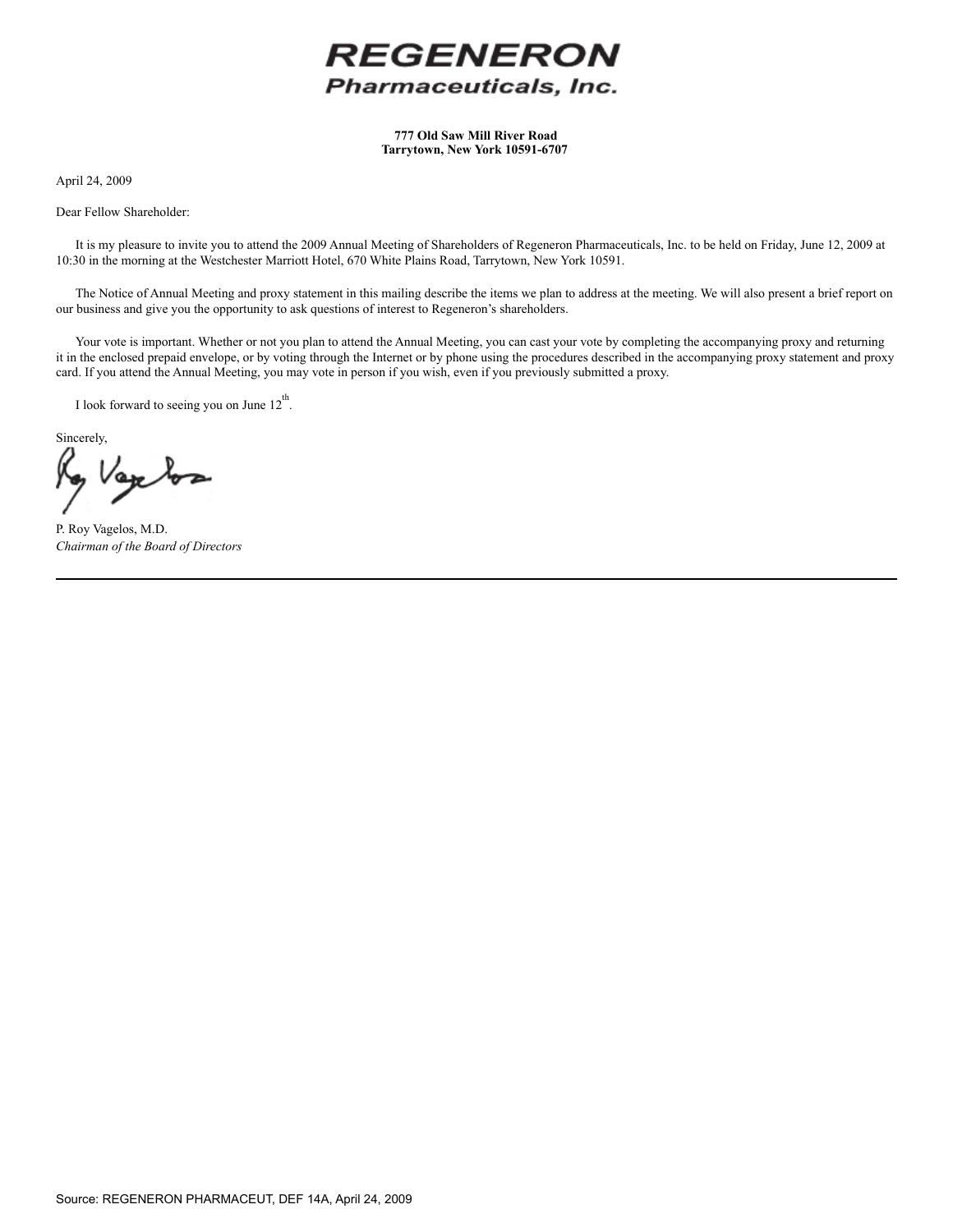

**777 Old Saw Mill River Road Tarrytown, New York 10591-6707**

April 24, 2009

Dear Fellow Shareholder:

 It is my pleasure to invite you to attend the 2009 Annual Meeting of Shareholders of Regeneron Pharmaceuticals, Inc. to be held on Friday, June 12, 2009 at 10:30 in the morning at the Westchester Marriott Hotel, 670 White Plains Road, Tarrytown, New York 10591.

 The Notice of Annual Meeting and proxy statement in this mailing describe the items we plan to address at the meeting. We will also present a brief report on our business and give you the opportunity to ask questions of interest to Regeneron's shareholders.

 Your vote is important. Whether or not you plan to attend the Annual Meeting, you can cast your vote by completing the accompanying proxy and returning it in the enclosed prepaid envelope, or by voting through the Internet or by phone using the procedures described in the accompanying proxy statement and proxy card. If you attend the Annual Meeting, you may vote in person if you wish, even if you previously submitted a proxy.

I look forward to seeing you on June  $12^{th}$ .

Sincerely,

Vapoos

P. Roy Vagelos, M.D. *Chairman of the Board of Directors*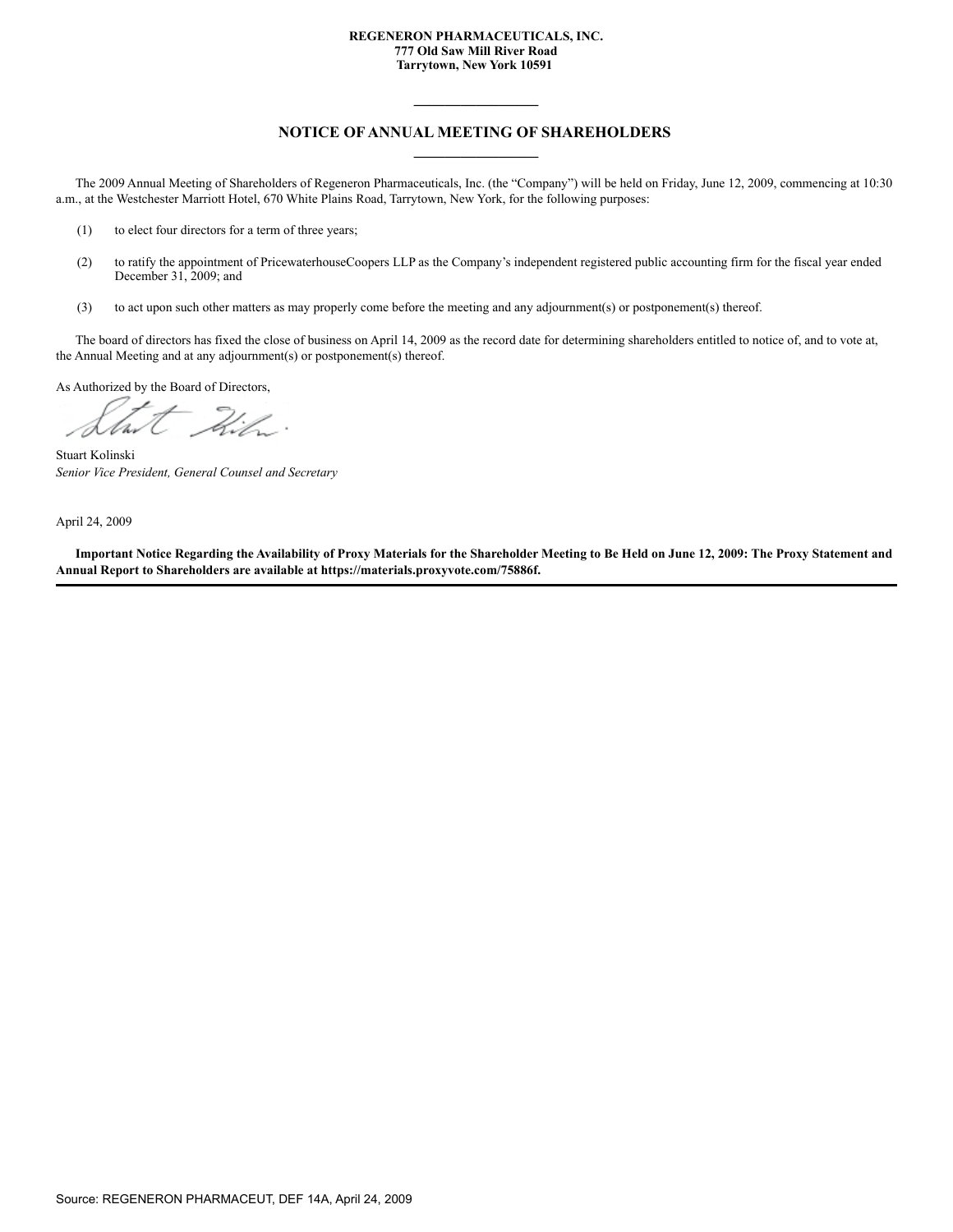#### **REGENERON PHARMACEUTICALS, INC. 777 Old Saw Mill River Road Tarrytown, New York 10591**

# **NOTICE OF ANNUAL MEETING OF SHAREHOLDERS \_\_\_\_\_\_\_\_\_\_\_\_\_\_\_\_**

**\_\_\_\_\_\_\_\_\_\_\_\_\_\_\_\_**

 The 2009 Annual Meeting of Shareholders of Regeneron Pharmaceuticals, Inc. (the "Company") will be held on Friday, June 12, 2009, commencing at 10:30 a.m., at the Westchester Marriott Hotel, 670 White Plains Road, Tarrytown, New York, for the following purposes:

- (1) to elect four directors for a term of three years;
- (2) to ratify the appointment of PricewaterhouseCoopers LLP as the Company's independent registered public accounting firm for the fiscal year ended December 31, 2009; and
- (3) to act upon such other matters as may properly come before the meeting and any adjournment(s) or postponement(s) thereof.

 The board of directors has fixed the close of business on April 14, 2009 as the record date for determining shareholders entitled to notice of, and to vote at, the Annual Meeting and at any adjournment(s) or postponement(s) thereof.

As Authorized by the Board of Directors,

Kil.

Stuart Kolinski *Senior Vice President, General Counsel and Secretary*

April 24, 2009

 **Important Notice Regarding the Availability of Proxy Materials for the Shareholder Meeting to Be Held on June 12, 2009: The Proxy Statement and Annual Report to Shareholders are available at https://materials.proxyvote.com/75886f.**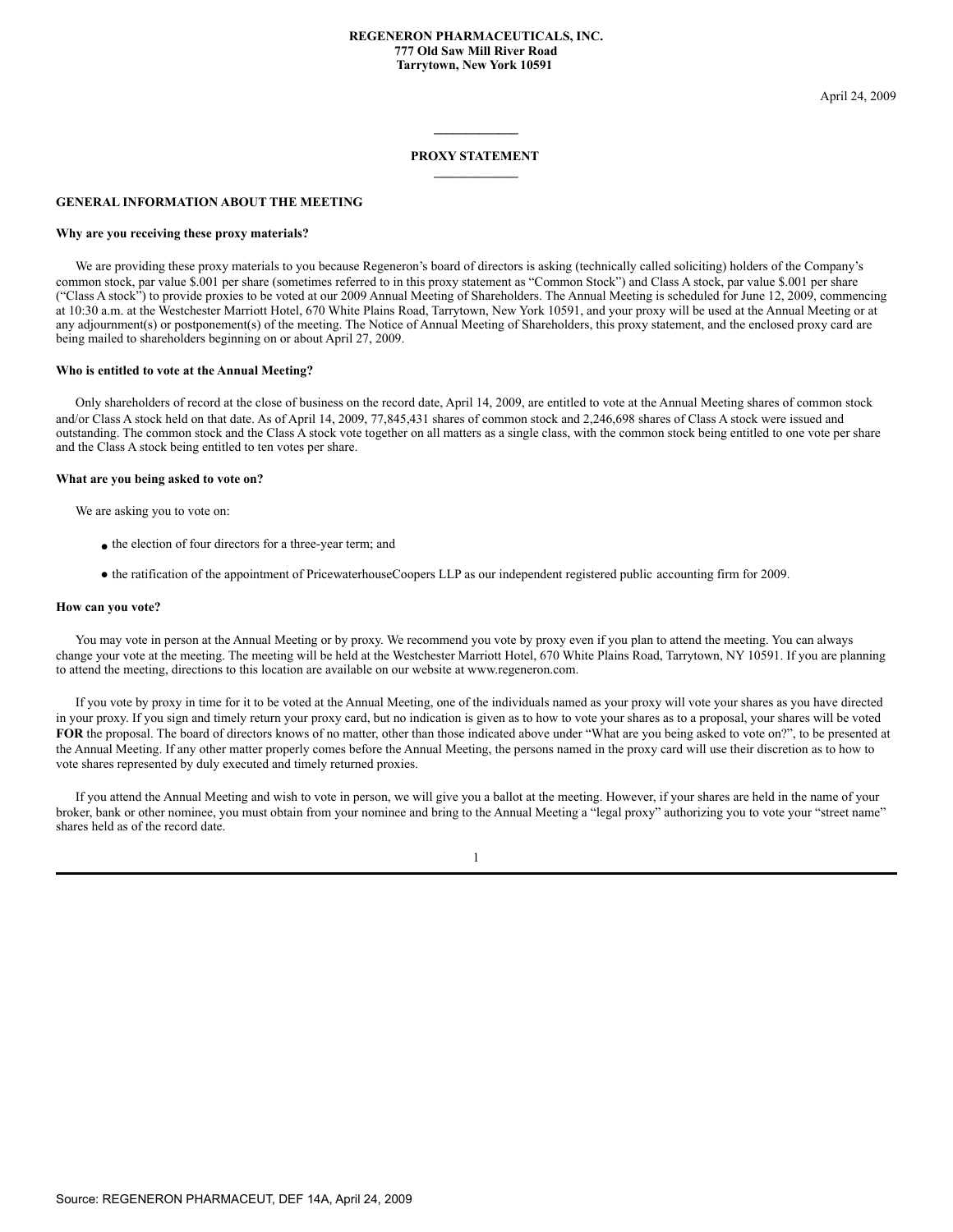#### **REGENERON PHARMACEUTICALS, INC. 777 Old Saw Mill River Road Tarrytown, New York 10591**

April 24, 2009

# **\_\_\_\_\_\_\_\_\_\_\_\_\_ PROXY STATEMENT \_\_\_\_\_\_\_\_\_\_\_\_\_**

#### **GENERAL INFORMATION ABOUT THE MEETING**

#### **Why are you receiving these proxy materials?**

 We are providing these proxy materials to you because Regeneron's board of directors is asking (technically called soliciting) holders of the Company's common stock, par value \$.001 per share (sometimes referred to in this proxy statement as "Common Stock") and Class A stock, par value \$.001 per share ("Class A stock") to provide proxies to be voted at our 2009 Annual Meeting of Shareholders. The Annual Meeting is scheduled for June 12, 2009, commencing at 10:30 a.m. at the Westchester Marriott Hotel, 670 White Plains Road, Tarrytown, New York 10591, and your proxy will be used at the Annual Meeting or at any adjournment(s) or postponement(s) of the meeting. The Notice of Annual Meeting of Shareholders, this proxy statement, and the enclosed proxy card are being mailed to shareholders beginning on or about April 27, 2009.

#### **Who is entitled to vote at the Annual Meeting?**

 Only shareholders of record at the close of business on the record date, April 14, 2009, are entitled to vote at the Annual Meeting shares of common stock and/or Class A stock held on that date. As of April 14, 2009, 77,845,431 shares of common stock and 2,246,698 shares of Class A stock were issued and outstanding. The common stock and the Class A stock vote together on all matters as a single class, with the common stock being entitled to one vote per share and the Class A stock being entitled to ten votes per share.

#### **What are you being asked to vote on?**

We are asking you to vote on:

- the election of four directors for a three-year term; and
- the ratification of the appointment of PricewaterhouseCoopers LLP as our independent registered public accounting firm for 2009.

#### **How can you vote?**

 You may vote in person at the Annual Meeting or by proxy. We recommend you vote by proxy even if you plan to attend the meeting. You can always change your vote at the meeting. The meeting will be held at the Westchester Marriott Hotel, 670 White Plains Road, Tarrytown, NY 10591. If you are planning to attend the meeting, directions to this location are available on our website at www.regeneron.com.

 If you vote by proxy in time for it to be voted at the Annual Meeting, one of the individuals named as your proxy will vote your shares as you have directed in your proxy. If you sign and timely return your proxy card, but no indication is given as to how to vote your shares as to a proposal, your shares will be voted FOR the proposal. The board of directors knows of no matter, other than those indicated above under "What are you being asked to vote on?", to be presented at the Annual Meeting. If any other matter properly comes before the Annual Meeting, the persons named in the proxy card will use their discretion as to how to vote shares represented by duly executed and timely returned proxies.

 If you attend the Annual Meeting and wish to vote in person, we will give you a ballot at the meeting. However, if your shares are held in the name of your broker, bank or other nominee, you must obtain from your nominee and bring to the Annual Meeting a "legal proxy" authorizing you to vote your "street name" shares held as of the record date.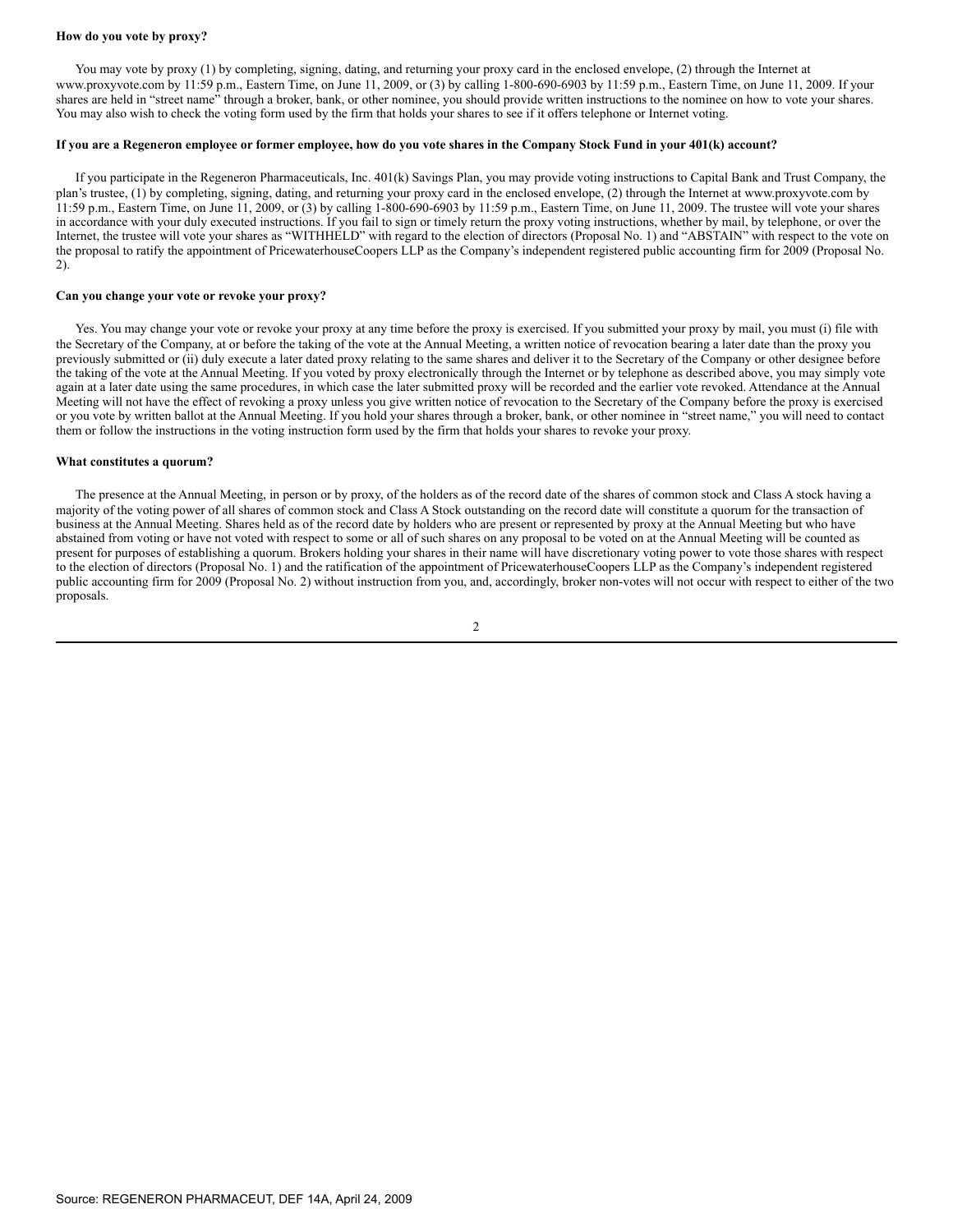#### **How do you vote by proxy?**

 You may vote by proxy (1) by completing, signing, dating, and returning your proxy card in the enclosed envelope, (2) through the Internet at www.proxyvote.com by 11:59 p.m., Eastern Time, on June 11, 2009, or (3) by calling 1-800-690-6903 by 11:59 p.m., Eastern Time, on June 11, 2009. If your shares are held in "street name" through a broker, bank, or other nominee, you should provide written instructions to the nominee on how to vote your shares. You may also wish to check the voting form used by the firm that holds your shares to see if it offers telephone or Internet voting.

#### **If you are a Regeneron employee or former employee, how do you vote shares in the Company Stock Fund in your 401(k) account?**

 If you participate in the Regeneron Pharmaceuticals, Inc. 401(k) Savings Plan, you may provide voting instructions to Capital Bank and Trust Company, the plan's trustee, (1) by completing, signing, dating, and returning your proxy card in the enclosed envelope, (2) through the Internet at www.proxyvote.com by  $11:59$  p.m., Eastern Time, on June  $11, 2009$ , or (3) by calling  $1-800-690-6903$  by  $11:59$  p.m., Eastern Time, on June  $11, 2009$ . The trustee will vote your shares in accordance with your duly executed instructions. If you fail to sign or timely return the proxy voting instructions, whether by mail, by telephone, or over the Internet, the trustee will vote your shares as "WITHHELD" with regard to the election of directors (Proposal No. 1) and "ABSTAIN" with respect to the vote on the proposal to ratify the appointment of PricewaterhouseCoopers LLP as the Company's independent registered public accounting firm for 2009 (Proposal No. 2).

#### **Can you change your vote or revoke your proxy?**

 Yes. You may change your vote or revoke your proxy at any time before the proxy is exercised. If you submitted your proxy by mail, you must (i) file with the Secretary of the Company, at or before the taking of the vote at the Annual Meeting, a written notice of revocation bearing a later date than the proxy you previously submitted or (ii) duly execute a later dated proxy relating to the same shares and deliver it to the Secretary of the Company or other designee before the taking of the vote at the Annual Meeting. If you voted by proxy electronically through the Internet or by telephone as described above, you may simply vote again at a later date using the same procedures, in which case the later submitted proxy will be recorded and the earlier vote revoked. Attendance at the Annual Meeting will not have the effect of revoking a proxy unless you give written notice of revocation to the Secretary of the Company before the proxy is exercised or you vote by written ballot at the Annual Meeting. If you hold your shares through a broker, bank, or other nominee in "street name," you will need to contact them or follow the instructions in the voting instruction form used by the firm that holds your shares to revoke your proxy.

#### **What constitutes a quorum?**

 The presence at the Annual Meeting, in person or by proxy, of the holders as of the record date of the shares of common stock and Class A stock having a majority of the voting power of all shares of common stock and Class A Stock outstanding on the record date will constitute a quorum for the transaction of business at the Annual Meeting. Shares held as of the record date by holders who are present or represented by proxy at the Annual Meeting but who have abstained from voting or have not voted with respect to some or all of such shares on any proposal to be voted on at the Annual Meeting will be counted as present for purposes of establishing a quorum. Brokers holding your shares in their name will have discretionary voting power to vote those shares with respect to the election of directors (Proposal No. 1) and the ratification of the appointment of PricewaterhouseCoopers LLP as the Company's independent registered public accounting firm for 2009 (Proposal No. 2) without instruction from you, and, accordingly, broker non-votes will not occur with respect to either of the two proposals.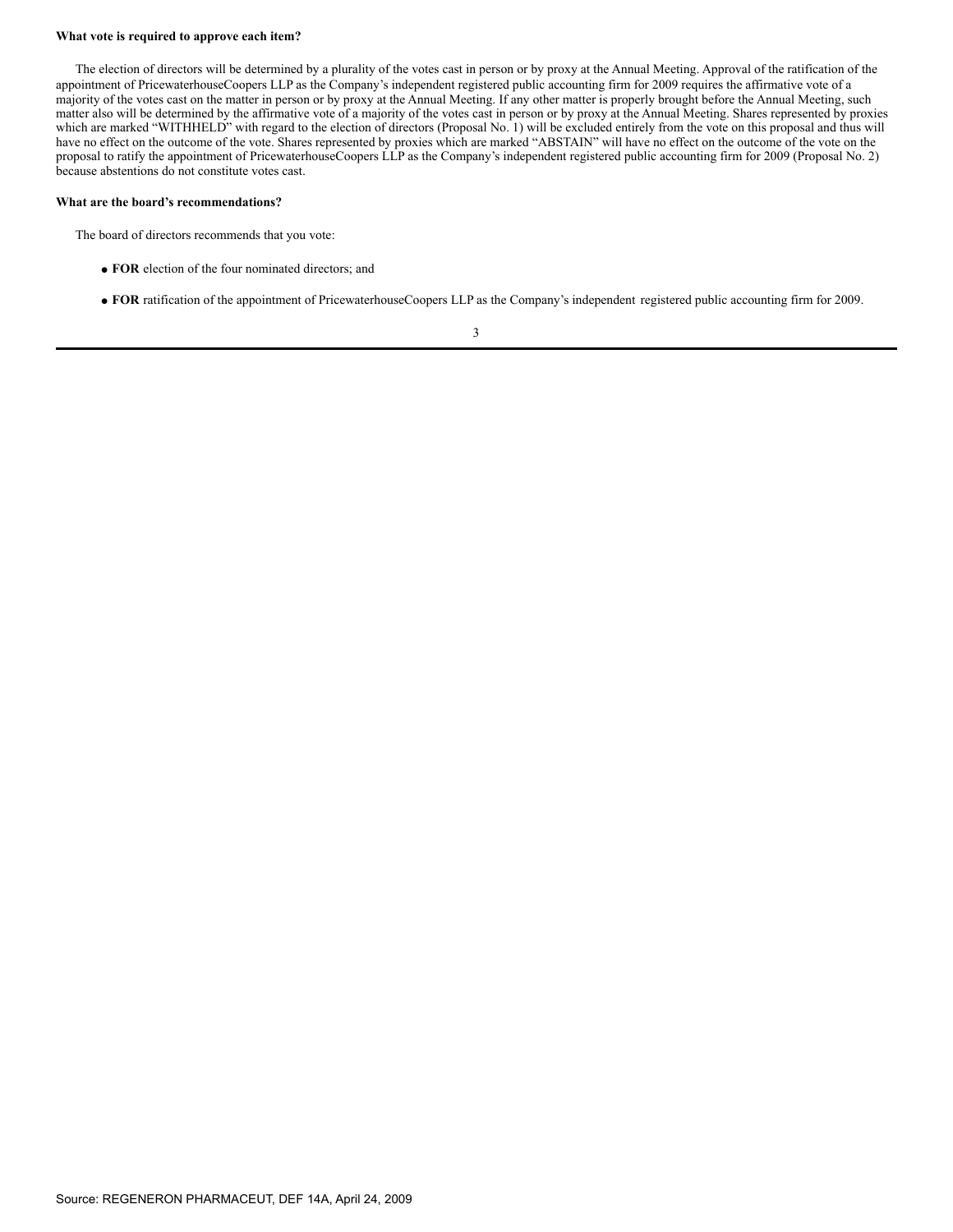#### **What vote is required to approve each item?**

 The election of directors will be determined by a plurality of the votes cast in person or by proxy at the Annual Meeting. Approval of the ratification of the appointment of PricewaterhouseCoopers LLP as the Company's independent registered public accounting firm for 2009 requires the affirmative vote of a majority of the votes cast on the matter in person or by proxy at the Annual Meeting. If any other matter is properly brought before the Annual Meeting, such matter also will be determined by the affirmative vote of a majority of the votes cast in person or by proxy at the Annual Meeting. Shares represented by proxies which are marked "WITHHELD" with regard to the election of directors (Proposal No. 1) will be excluded entirely from the vote on this proposal and thus will have no effect on the outcome of the vote. Shares represented by proxies which are marked "ABSTAIN" will have no effect on the outcome of the vote on the proposal to ratify the appointment of PricewaterhouseCoopers LLP as the Company's independent registered public accounting firm for 2009 (Proposal No. 2) because abstentions do not constitute votes cast.

#### **What are the board's recommendations?**

The board of directors recommends that you vote:

- **FOR** election of the four nominated directors; and
- **FOR** ratification of the appointment of PricewaterhouseCoopers LLP as the Company's independent registered public accounting firm for 2009.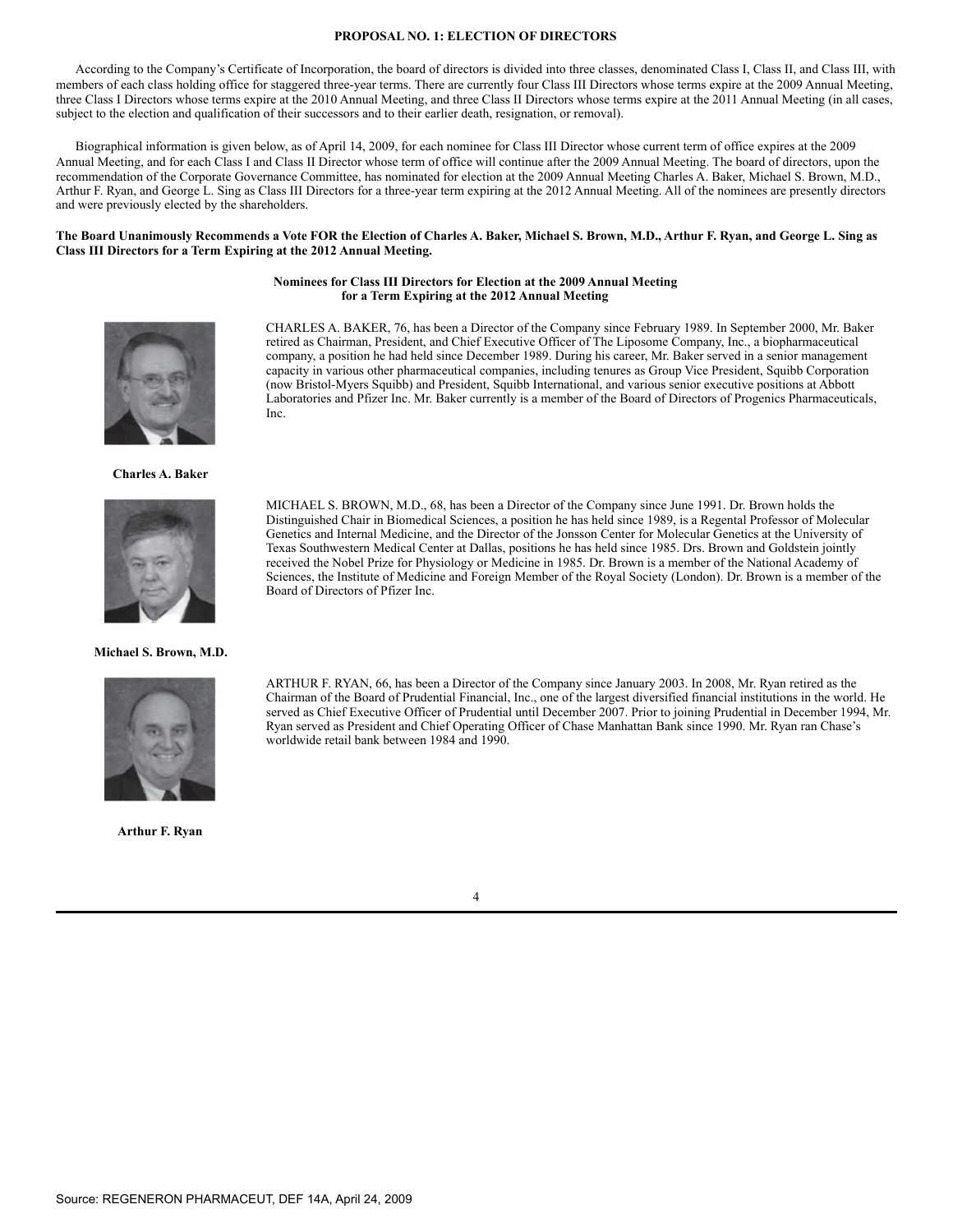#### **PROPOSAL NO. 1: ELECTION OF DIRECTORS**

 According to the Company's Certificate of Incorporation, the board of directors is divided into three classes, denominated Class I, Class II, and Class III, with members of each class holding office for staggered three-year terms. There are currently four Class III Directors whose terms expire at the 2009 Annual Meeting, three Class I Directors whose terms expire at the 2010 Annual Meeting, and three Class II Directors whose terms expire at the 2011 Annual Meeting (in all cases, subject to the election and qualification of their successors and to their earlier death, resignation, or removal).

 Biographical information is given below, as of April 14, 2009, for each nominee for Class III Director whose current term of office expires at the 2009 Annual Meeting, and for each Class I and Class II Director whose term of office will continue after the 2009 Annual Meeting. The board of directors, upon the recommendation of the Corporate Governance Committee, has nominated for election at the 2009 Annual Meeting Charles A. Baker, Michael S. Brown, M.D., Arthur F. Ryan, and George L. Sing as Class III Directors for a three-year term expiring at the 2012 Annual Meeting. All of the nominees are presently directors and were previously elected by the shareholders.

#### **The Board Unanimously Recommends a Vote FOR the Election of Charles A. Baker, Michael S. Brown, M.D., Arthur F. Ryan, and George L. Sing as Class III Directors for a Term Expiring at the 2012 Annual Meeting.**

#### **Nominees for Class III Directors for Election at the 2009 Annual Meeting for a Term Expiring at the 2012 Annual Meeting**



CHARLES A. BAKER, 76, has been a Director of the Company since February 1989. In September 2000, Mr. Baker retired as Chairman, President, and Chief Executive Officer of The Liposome Company, Inc., a biopharmaceutical company, a position he had held since December 1989. During his career, Mr. Baker served in a senior management capacity in various other pharmaceutical companies, including tenures as Group Vice President, Squibb Corporation (now Bristol-Myers Squibb) and President, Squibb International, and various senior executive positions at Abbott Laboratories and Pfizer Inc. Mr. Baker currently is a member of the Board of Directors of Progenics Pharmaceuticals, Inc.

**Charles A. Baker**



#### **Michael S. Brown, M.D.**



**Arthur F. Ryan**

MICHAEL S. BROWN, M.D., 68, has been a Director of the Company since June 1991. Dr. Brown holds the Distinguished Chair in Biomedical Sciences, a position he has held since 1989, is a Regental Professor of Molecular Genetics and Internal Medicine, and the Director of the Jonsson Center for Molecular Genetics at the University of Texas Southwestern Medical Center at Dallas, positions he has held since 1985. Drs. Brown and Goldstein jointly received the Nobel Prize for Physiology or Medicine in 1985. Dr. Brown is a member of the National Academy of Sciences, the Institute of Medicine and Foreign Member of the Royal Society (London). Dr. Brown is a member of the Board of Directors of Pfizer Inc.

ARTHUR F. RYAN, 66, has been a Director of the Company since January 2003. In 2008, Mr. Ryan retired as the Chairman of the Board of Prudential Financial, Inc., one of the largest diversified financial institutions in the world. He served as Chief Executive Officer of Prudential until December 2007. Prior to joining Prudential in December 1994, Mr. Ryan served as President and Chief Operating Officer of Chase Manhattan Bank since 1990. Mr. Ryan ran Chase's

4

worldwide retail bank between 1984 and 1990.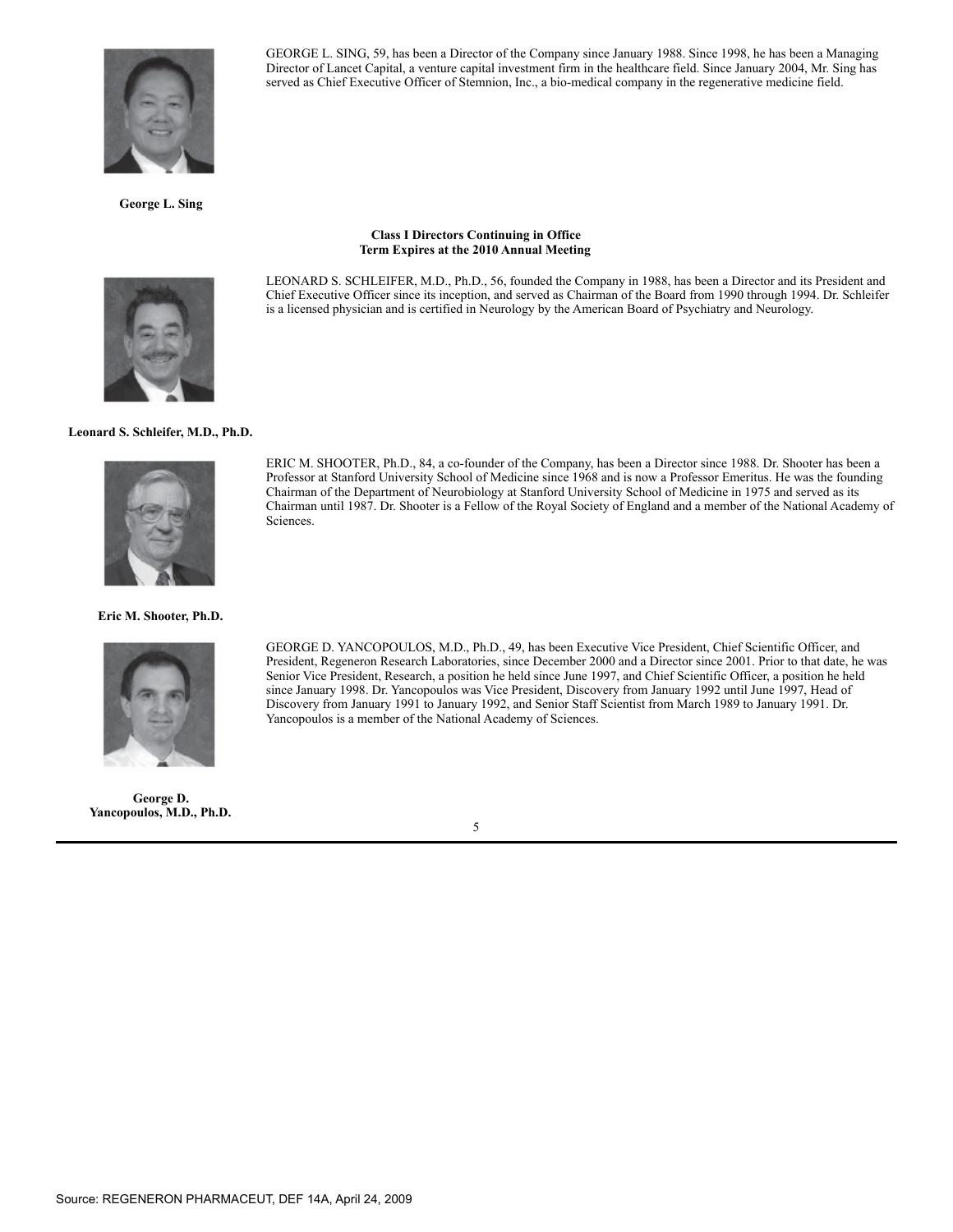

**George L. Sing**

GEORGE L. SING, 59, has been a Director of the Company since January 1988. Since 1998, he has been a Managing Director of Lancet Capital, a venture capital investment firm in the healthcare field. Since January 2004, Mr. Sing has served as Chief Executive Officer of Stemnion, Inc., a bio-medical company in the regenerative medicine field.

#### **Class I Directors Continuing in Office Term Expires at the 2010 Annual Meeting**



LEONARD S. SCHLEIFER, M.D., Ph.D., 56, founded the Company in 1988, has been a Director and its President and Chief Executive Officer since its inception, and served as Chairman of the Board from 1990 through 1994. Dr. Schleifer is a licensed physician and is certified in Neurology by the American Board of Psychiatry and Neurology.

**Leonard S. Schleifer, M.D., Ph.D.**



### **Eric M. Shooter, Ph.D.**



**George D. Yancopoulos, M.D., Ph.D.**

ERIC M. SHOOTER, Ph.D., 84, a co-founder of the Company, has been a Director since 1988. Dr. Shooter has been a Professor at Stanford University School of Medicine since 1968 and is now a Professor Emeritus. He was the founding Chairman of the Department of Neurobiology at Stanford University School of Medicine in 1975 and served as its Chairman until 1987. Dr. Shooter is a Fellow of the Royal Society of England and a member of the National Academy of Sciences.

GEORGE D. YANCOPOULOS, M.D., Ph.D., 49, has been Executive Vice President, Chief Scientific Officer, and President, Regeneron Research Laboratories, since December 2000 and a Director since 2001. Prior to that date, he was Senior Vice President, Research, a position he held since June 1997, and Chief Scientific Officer, a position he held since January 1998. Dr. Yancopoulos was Vice President, Discovery from January 1992 until June 1997, Head of Discovery from January 1991 to January 1992, and Senior Staff Scientist from March 1989 to January 1991. Dr. Yancopoulos is a member of the National Academy of Sciences.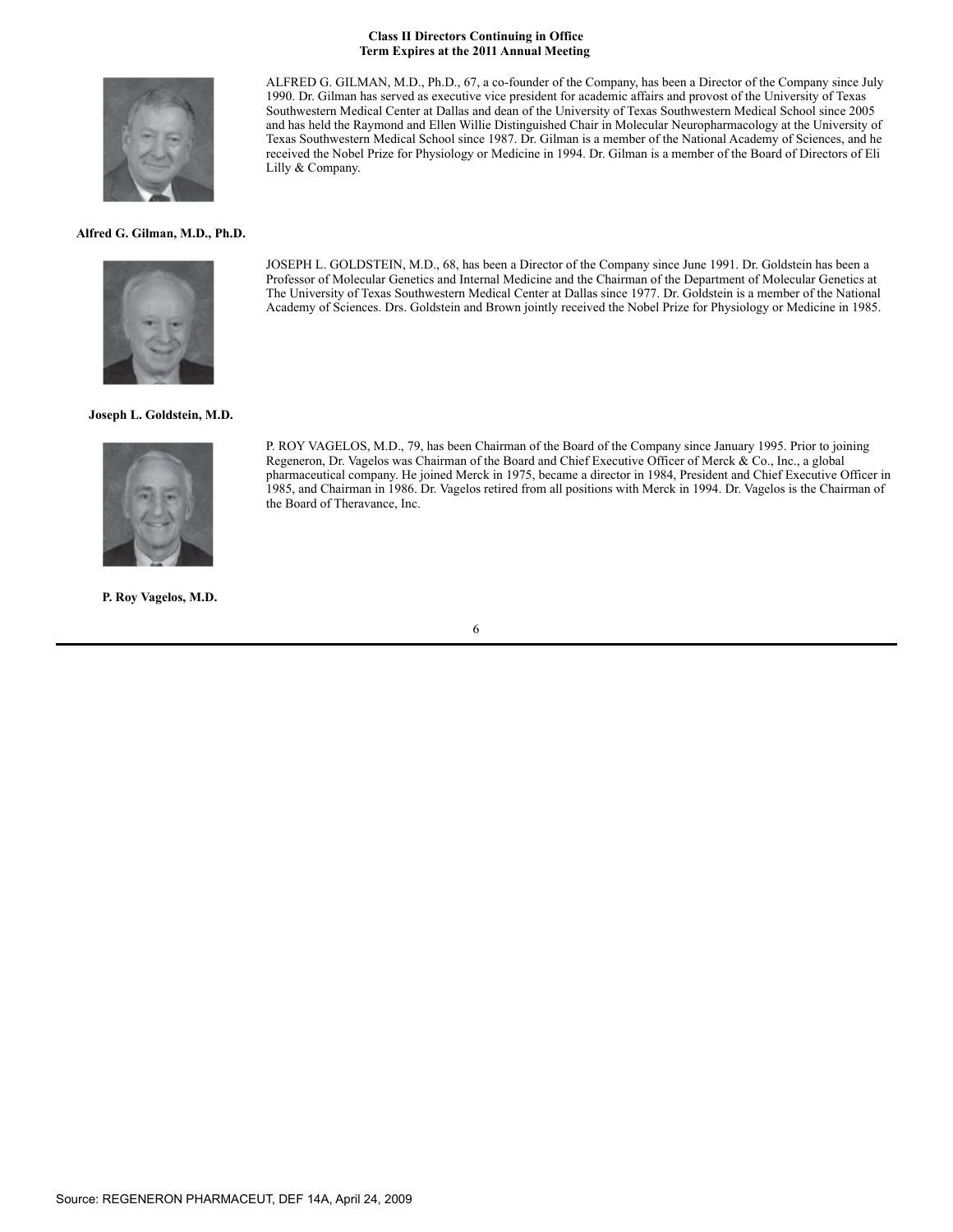#### **Class II Directors Continuing in Office Term Expires at the 2011 Annual Meeting**



ALFRED G. GILMAN, M.D., Ph.D., 67, a co-founder of the Company, has been a Director of the Company since July 1990. Dr. Gilman has served as executive vice president for academic affairs and provost of the University of Texas Southwestern Medical Center at Dallas and dean of the University of Texas Southwestern Medical School since 2005 and has held the Raymond and Ellen Willie Distinguished Chair in Molecular Neuropharmacology at the University of Texas Southwestern Medical School since 1987. Dr. Gilman is a member of the National Academy of Sciences, and he received the Nobel Prize for Physiology or Medicine in 1994. Dr. Gilman is a member of the Board of Directors of Eli Lilly & Company.

#### **Alfred G. Gilman, M.D., Ph.D.**



JOSEPH L. GOLDSTEIN, M.D., 68, has been a Director of the Company since June 1991. Dr. Goldstein has been a Professor of Molecular Genetics and Internal Medicine and the Chairman of the Department of Molecular Genetics at The University of Texas Southwestern Medical Center at Dallas since 1977. Dr. Goldstein is a member of the National Academy of Sciences. Drs. Goldstein and Brown jointly received the Nobel Prize for Physiology or Medicine in 1985.

#### **Joseph L. Goldstein, M.D.**



P. ROY VAGELOS, M.D., 79, has been Chairman of the Board of the Company since January 1995. Prior to joining Regeneron, Dr. Vagelos was Chairman of the Board and Chief Executive Officer of Merck & Co., Inc., a global pharmaceutical company. He joined Merck in 1975, became a director in 1984, President and Chief Executive Officer in 1985, and Chairman in 1986. Dr. Vagelos retired from all positions with Merck in 1994. Dr. Vagelos is the Chairman of the Board of Theravance, Inc.

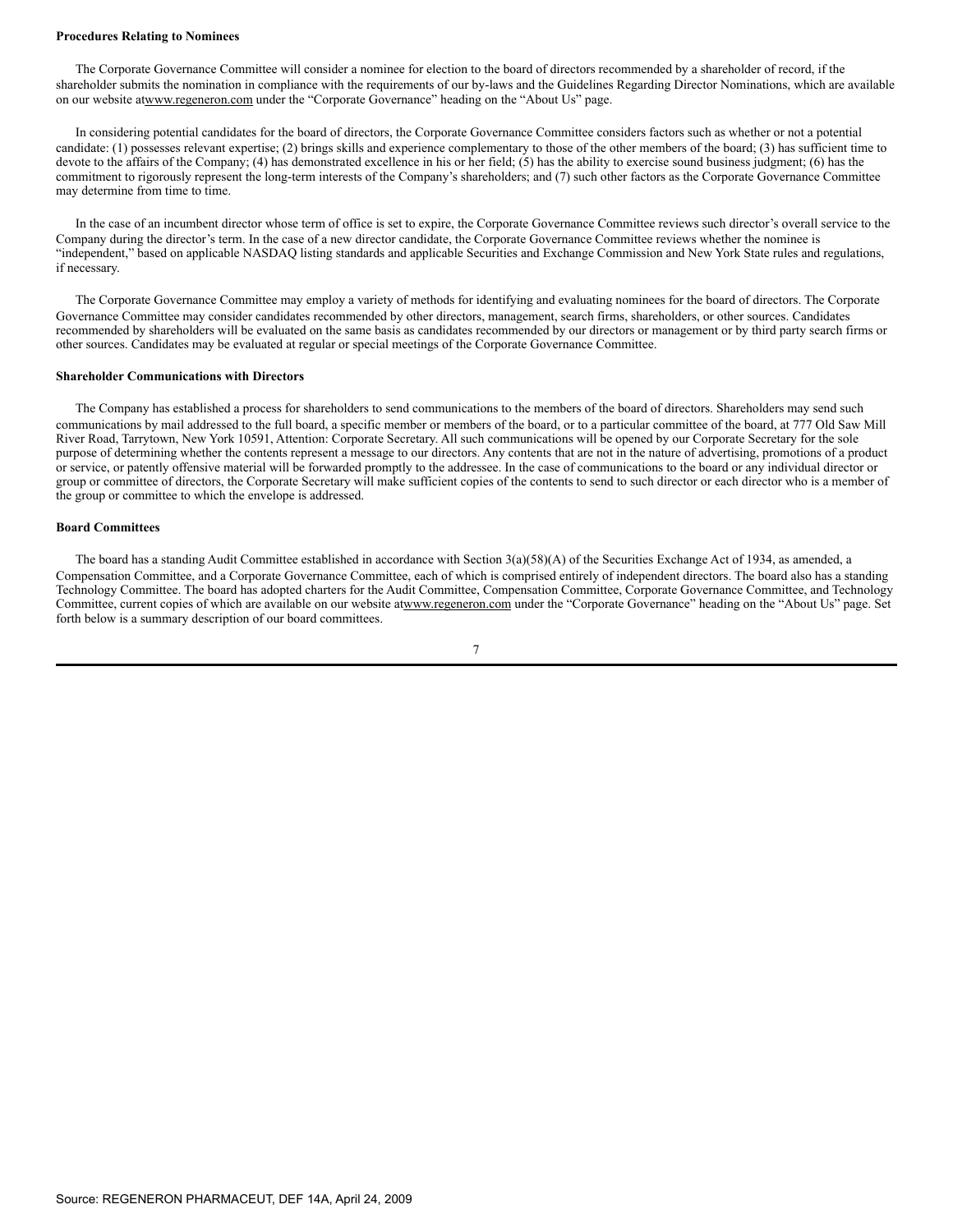#### **Procedures Relating to Nominees**

 The Corporate Governance Committee will consider a nominee for election to the board of directors recommended by a shareholder of record, if the shareholder submits the nomination in compliance with the requirements of our by-laws and the Guidelines Regarding Director Nominations, which are available on our website atwww.regeneron.com under the "Corporate Governance" heading on the "About Us" page.

 In considering potential candidates for the board of directors, the Corporate Governance Committee considers factors such as whether or not a potential candidate: (1) possesses relevant expertise; (2) brings skills and experience complementary to those of the other members of the board; (3) has sufficient time to devote to the affairs of the Company; (4) has demonstrated excellence in his or her field; (5) has the ability to exercise sound business judgment; (6) has the commitment to rigorously represent the long-term interests of the Company's shareholders; and (7) such other factors as the Corporate Governance Committee may determine from time to time.

 In the case of an incumbent director whose term of office is set to expire, the Corporate Governance Committee reviews such director's overall service to the Company during the director's term. In the case of a new director candidate, the Corporate Governance Committee reviews whether the nominee is "independent," based on applicable NASDAQ listing standards and applicable Securities and Exchange Commission and New York State rules and regulations, if necessary.

 The Corporate Governance Committee may employ a variety of methods for identifying and evaluating nominees for the board of directors. The Corporate Governance Committee may consider candidates recommended by other directors, management, search firms, shareholders, or other sources. Candidates recommended by shareholders will be evaluated on the same basis as candidates recommended by our directors or management or by third party search firms or other sources. Candidates may be evaluated at regular or special meetings of the Corporate Governance Committee.

#### **Shareholder Communications with Directors**

 The Company has established a process for shareholders to send communications to the members of the board of directors. Shareholders may send such communications by mail addressed to the full board, a specific member or members of the board, or to a particular committee of the board, at 777 Old Saw Mill River Road, Tarrytown, New York 10591, Attention: Corporate Secretary. All such communications will be opened by our Corporate Secretary for the sole purpose of determining whether the contents represent a message to our directors. Any contents that are not in the nature of advertising, promotions of a product or service, or patently offensive material will be forwarded promptly to the addressee. In the case of communications to the board or any individual director or group or committee of directors, the Corporate Secretary will make sufficient copies of the contents to send to such director or each director who is a member of the group or committee to which the envelope is addressed.

#### **Board Committees**

 The board has a standing Audit Committee established in accordance with Section 3(a)(58)(A) of the Securities Exchange Act of 1934, as amended, a Compensation Committee, and a Corporate Governance Committee, each of which is comprised entirely of independent directors. The board also has a standing Technology Committee. The board has adopted charters for the Audit Committee, Compensation Committee, Corporate Governance Committee, and Technology Committee, current copies of which are available on our website atwww.regeneron.com under the "Corporate Governance" heading on the "About Us" page. Set forth below is a summary description of our board committees.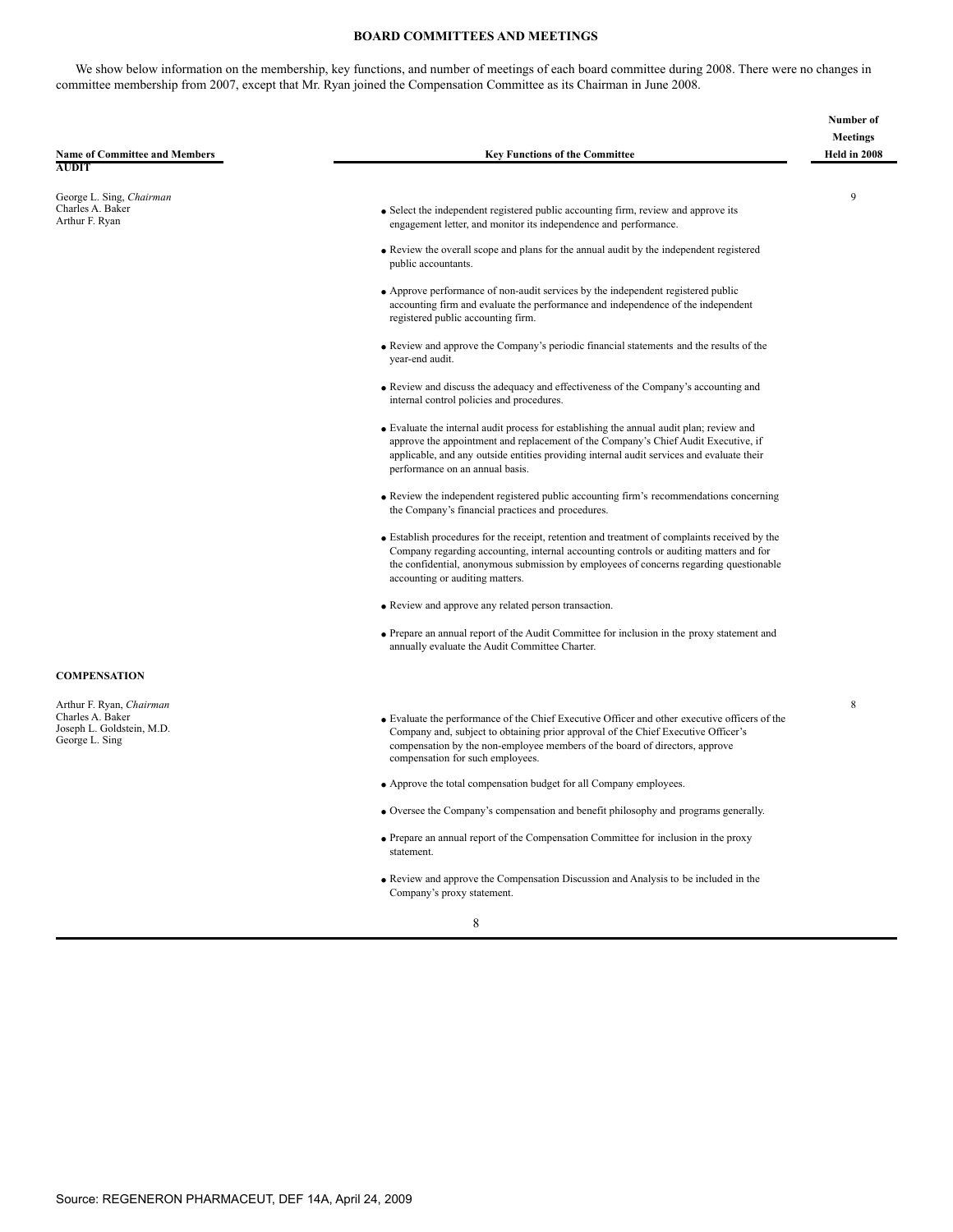# **BOARD COMMITTEES AND MEETINGS**

 We show below information on the membership, key functions, and number of meetings of each board committee during 2008. There were no changes in committee membership from 2007, except that Mr. Ryan joined the Compensation Committee as its Chairman in June 2008.

| <b>Name of Committee and Members</b><br><b>AUDIT</b>                                        | <b>Key Functions of the Committee</b>                                                                                                                                                                                                                                                                                | Number of<br><b>Meetings</b><br>Held in 2008 |
|---------------------------------------------------------------------------------------------|----------------------------------------------------------------------------------------------------------------------------------------------------------------------------------------------------------------------------------------------------------------------------------------------------------------------|----------------------------------------------|
| George L. Sing, Chairman                                                                    |                                                                                                                                                                                                                                                                                                                      | 9                                            |
| Charles A. Baker<br>Arthur F. Ryan                                                          | • Select the independent registered public accounting firm, review and approve its<br>engagement letter, and monitor its independence and performance.                                                                                                                                                               |                                              |
|                                                                                             | • Review the overall scope and plans for the annual audit by the independent registered<br>public accountants.                                                                                                                                                                                                       |                                              |
|                                                                                             | • Approve performance of non-audit services by the independent registered public<br>accounting firm and evaluate the performance and independence of the independent<br>registered public accounting firm.                                                                                                           |                                              |
|                                                                                             | • Review and approve the Company's periodic financial statements and the results of the<br>year-end audit.                                                                                                                                                                                                           |                                              |
|                                                                                             | • Review and discuss the adequacy and effectiveness of the Company's accounting and<br>internal control policies and procedures.                                                                                                                                                                                     |                                              |
|                                                                                             | • Evaluate the internal audit process for establishing the annual audit plan; review and<br>approve the appointment and replacement of the Company's Chief Audit Executive, if<br>applicable, and any outside entities providing internal audit services and evaluate their<br>performance on an annual basis.       |                                              |
|                                                                                             | • Review the independent registered public accounting firm's recommendations concerning<br>the Company's financial practices and procedures.                                                                                                                                                                         |                                              |
|                                                                                             | • Establish procedures for the receipt, retention and treatment of complaints received by the<br>Company regarding accounting, internal accounting controls or auditing matters and for<br>the confidential, anonymous submission by employees of concerns regarding questionable<br>accounting or auditing matters. |                                              |
|                                                                                             | • Review and approve any related person transaction.                                                                                                                                                                                                                                                                 |                                              |
|                                                                                             | • Prepare an annual report of the Audit Committee for inclusion in the proxy statement and<br>annually evaluate the Audit Committee Charter.                                                                                                                                                                         |                                              |
| <b>COMPENSATION</b>                                                                         |                                                                                                                                                                                                                                                                                                                      |                                              |
| Arthur F. Ryan, Chairman<br>Charles A. Baker<br>Joseph L. Goldstein, M.D.<br>George L. Sing | • Evaluate the performance of the Chief Executive Officer and other executive officers of the<br>Company and, subject to obtaining prior approval of the Chief Executive Officer's<br>compensation by the non-employee members of the board of directors, approve<br>compensation for such employees.                | 8                                            |
|                                                                                             | • Approve the total compensation budget for all Company employees.                                                                                                                                                                                                                                                   |                                              |
|                                                                                             | • Oversee the Company's compensation and benefit philosophy and programs generally.                                                                                                                                                                                                                                  |                                              |
|                                                                                             | • Prepare an annual report of the Compensation Committee for inclusion in the proxy<br>statement.                                                                                                                                                                                                                    |                                              |
|                                                                                             | • Review and approve the Compensation Discussion and Analysis to be included in the<br>Company's proxy statement.                                                                                                                                                                                                    |                                              |
|                                                                                             | 8                                                                                                                                                                                                                                                                                                                    |                                              |
|                                                                                             |                                                                                                                                                                                                                                                                                                                      |                                              |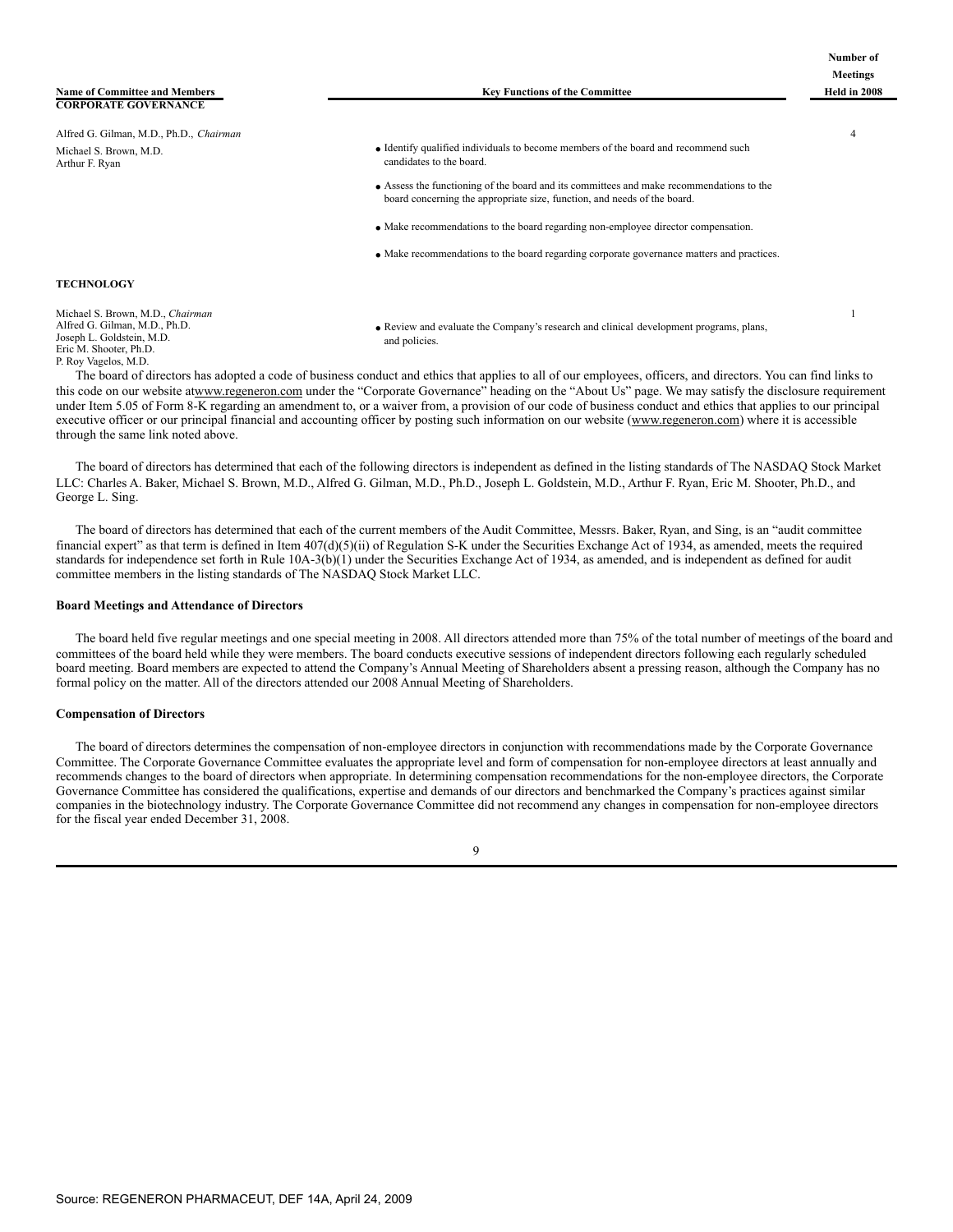| Number of       |
|-----------------|
| <b>Meetings</b> |
| Held in 2008    |
|                 |
|                 |

4

1

Alfred G. Gilman, M.D., Ph.D., *Chairman* Michael S. Brown, M.D. Arthur F. Ryan

- Identify qualified individuals to become members of the board and recommend such candidates to the board.
- Assess the functioning of the board and its committees and make recommendations to the board concerning the appropriate size, function, and needs of the board.
- Make recommendations to the board regarding non-employee director compensation.
- Make recommendations to the board regarding corporate governance matters and practices.

#### **TECHNOLOGY**

Michael S. Brown, M.D., *Chairman* Alfred G. Gilman, M.D., Ph.D. Joseph L. Goldstein, M.D. Eric M. Shooter, Ph.D. P. Roy Vagelos, M.D.

Review and evaluate the Company's research and clinical development programs, plans, • and policies.

 The board of directors has adopted a code of business conduct and ethics that applies to all of our employees, officers, and directors. You can find links to this code on our website atwww.regeneron.com under the "Corporate Governance" heading on the "About Us" page. We may satisfy the disclosure requirement under Item 5.05 of Form 8-K regarding an amendment to, or a waiver from, a provision of our code of business conduct and ethics that applies to our principal executive officer or our principal financial and accounting officer by posting such information on our website (www.regeneron.com) where it is accessible through the same link noted above.

 The board of directors has determined that each of the following directors is independent as defined in the listing standards of The NASDAQ Stock Market LLC: Charles A. Baker, Michael S. Brown, M.D., Alfred G. Gilman, M.D., Ph.D., Joseph L. Goldstein, M.D., Arthur F. Ryan, Eric M. Shooter, Ph.D., and George L. Sing.

 The board of directors has determined that each of the current members of the Audit Committee, Messrs. Baker, Ryan, and Sing, is an "audit committee financial expert" as that term is defined in Item 407(d)(5)(ii) of Regulation S-K under the Securities Exchange Act of 1934, as amended, meets the required standards for independence set forth in Rule 10A-3(b)(1) under the Securities Exchange Act of 1934, as amended, and is independent as defined for audit committee members in the listing standards of The NASDAQ Stock Market LLC.

#### **Board Meetings and Attendance of Directors**

 The board held five regular meetings and one special meeting in 2008. All directors attended more than 75% of the total number of meetings of the board and committees of the board held while they were members. The board conducts executive sessions of independent directors following each regularly scheduled board meeting. Board members are expected to attend the Company's Annual Meeting of Shareholders absent a pressing reason, although the Company has no formal policy on the matter. All of the directors attended our 2008 Annual Meeting of Shareholders.

#### **Compensation of Directors**

 The board of directors determines the compensation of non-employee directors in conjunction with recommendations made by the Corporate Governance Committee. The Corporate Governance Committee evaluates the appropriate level and form of compensation for non-employee directors at least annually and recommends changes to the board of directors when appropriate. In determining compensation recommendations for the non-employee directors, the Corporate Governance Committee has considered the qualifications, expertise and demands of our directors and benchmarked the Company's practices against similar companies in the biotechnology industry. The Corporate Governance Committee did not recommend any changes in compensation for non-employee directors for the fiscal year ended December 31, 2008.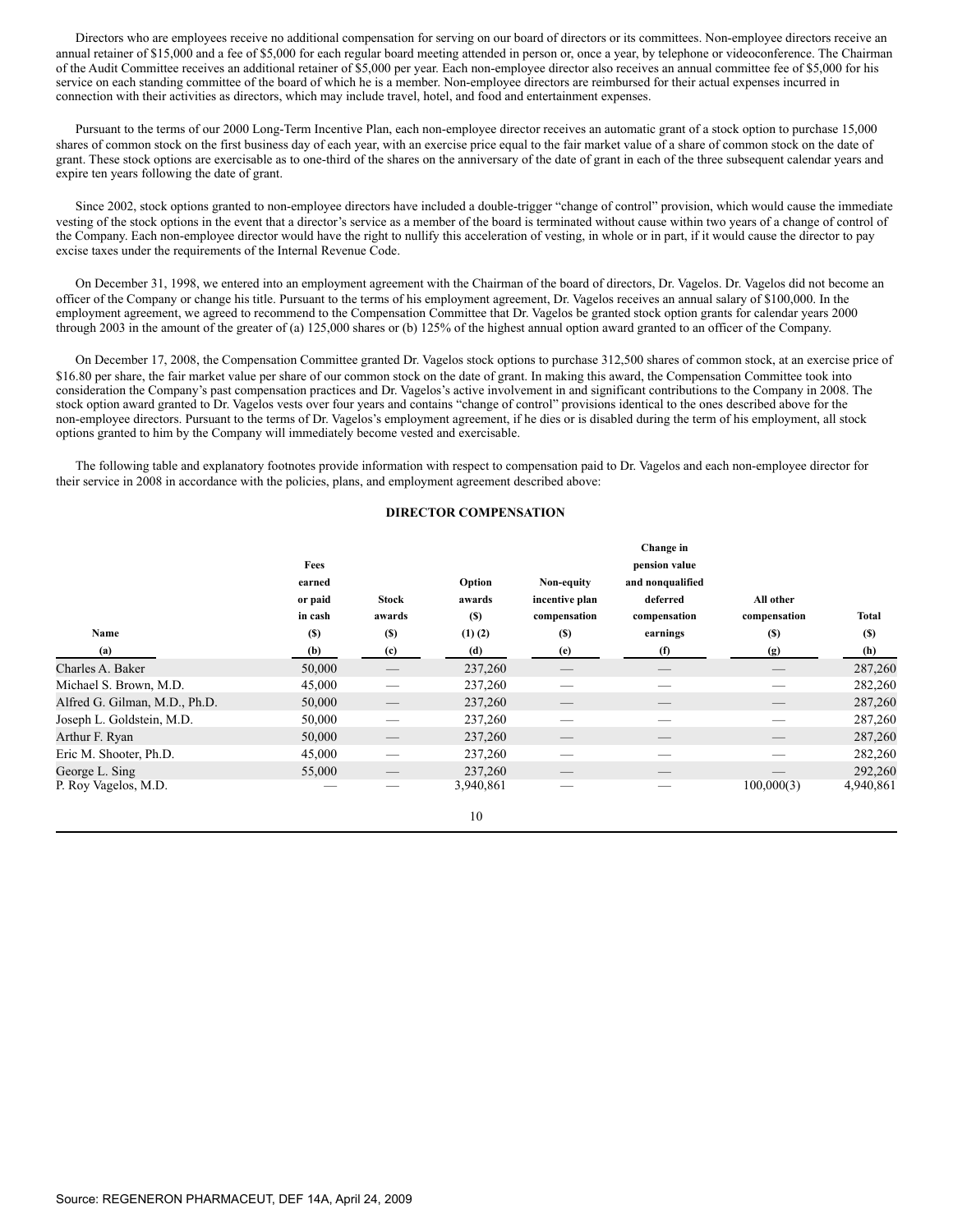Directors who are employees receive no additional compensation for serving on our board of directors or its committees. Non-employee directors receive an annual retainer of \$15,000 and a fee of \$5,000 for each regular board meeting attended in person or, once a year, by telephone or videoconference. The Chairman of the Audit Committee receives an additional retainer of \$5,000 per year. Each non-employee director also receives an annual committee fee of \$5,000 for his service on each standing committee of the board of which he is a member. Non-employee directors are reimbursed for their actual expenses incurred in connection with their activities as directors, which may include travel, hotel, and food and entertainment expenses.

 Pursuant to the terms of our 2000 Long-Term Incentive Plan, each non-employee director receives an automatic grant of a stock option to purchase 15,000 shares of common stock on the first business day of each year, with an exercise price equal to the fair market value of a share of common stock on the date of grant. These stock options are exercisable as to one-third of the shares on the anniversary of the date of grant in each of the three subsequent calendar years and expire ten years following the date of grant.

 Since 2002, stock options granted to non-employee directors have included a double-trigger "change of control" provision, which would cause the immediate vesting of the stock options in the event that a director's service as a member of the board is terminated without cause within two years of a change of control of the Company. Each non-employee director would have the right to nullify this acceleration of vesting, in whole or in part, if it would cause the director to pay excise taxes under the requirements of the Internal Revenue Code.

 On December 31, 1998, we entered into an employment agreement with the Chairman of the board of directors, Dr. Vagelos. Dr. Vagelos did not become an officer of the Company or change his title. Pursuant to the terms of his employment agreement, Dr. Vagelos receives an annual salary of \$100,000. In the employment agreement, we agreed to recommend to the Compensation Committee that Dr. Vagelos be granted stock option grants for calendar years 2000 through 2003 in the amount of the greater of (a) 125,000 shares or (b) 125% of the highest annual option award granted to an officer of the Company.

 On December 17, 2008, the Compensation Committee granted Dr. Vagelos stock options to purchase 312,500 shares of common stock, at an exercise price of \$16.80 per share, the fair market value per share of our common stock on the date of grant. In making this award, the Compensation Committee took into consideration the Company's past compensation practices and Dr. Vagelos's active involvement in and significant contributions to the Company in 2008. The stock option award granted to Dr. Vagelos vests over four years and contains "change of control" provisions identical to the ones described above for the non-employee directors. Pursuant to the terms of Dr. Vagelos's employment agreement, if he dies or is disabled during the term of his employment, all stock options granted to him by the Company will immediately become vested and exercisable.

 The following table and explanatory footnotes provide information with respect to compensation paid to Dr. Vagelos and each non-employee director for their service in 2008 in accordance with the policies, plans, and employment agreement described above:

#### **DIRECTOR COMPENSATION**

|                               |         |        |             |                | Change in        |              |            |
|-------------------------------|---------|--------|-------------|----------------|------------------|--------------|------------|
|                               | Fees    |        |             |                | pension value    |              |            |
|                               | earned  |        | Option      | Non-equity     | and nonqualified |              |            |
|                               | or paid | Stock  | awards      | incentive plan | deferred         | All other    |            |
|                               | in cash | awards | <b>(S)</b>  | compensation   | compensation     | compensation | Total      |
| Name                          | (S)     | (S)    | $(1)$ $(2)$ | <b>(S)</b>     | earnings         | (S)          | <b>(S)</b> |
| (a)                           | (b)     | (c)    | (d)         | (e)            | (f)              | (g)          | (h)        |
| Charles A. Baker              | 50,000  |        | 237,260     |                |                  |              | 287,260    |
| Michael S. Brown, M.D.        | 45,000  |        | 237,260     |                |                  |              | 282,260    |
| Alfred G. Gilman, M.D., Ph.D. | 50,000  |        | 237,260     |                |                  |              | 287,260    |
| Joseph L. Goldstein, M.D.     | 50,000  |        | 237,260     |                |                  |              | 287,260    |
| Arthur F. Ryan                | 50,000  |        | 237,260     |                |                  |              | 287,260    |
| Eric M. Shooter, Ph.D.        | 45,000  |        | 237,260     |                |                  |              | 282,260    |
| George L. Sing                | 55,000  |        | 237,260     |                |                  |              | 292,260    |
| P. Roy Vagelos, M.D.          |         |        | 3,940,861   |                |                  | 100,000(3)   | 4,940,861  |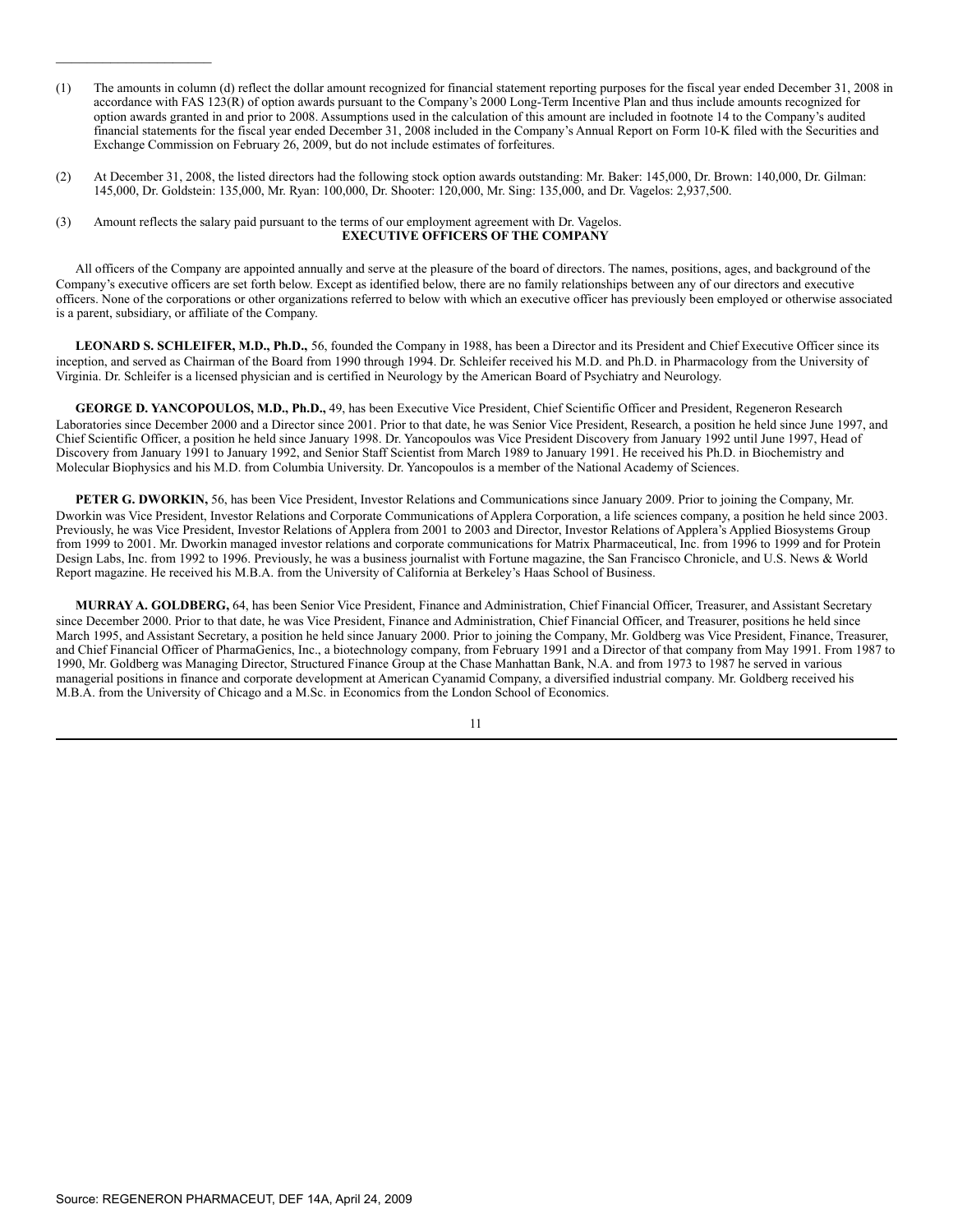- (1) The amounts in column (d) reflect the dollar amount recognized for financial statement reporting purposes for the fiscal year ended December 31, 2008 in accordance with FAS 123(R) of option awards pursuant to the Company's 2000 Long-Term Incentive Plan and thus include amounts recognized for option awards granted in and prior to 2008. Assumptions used in the calculation of this amount are included in footnote 14 to the Company's audited financial statements for the fiscal year ended December 31, 2008 included in the Company's Annual Report on Form 10-K filed with the Securities and Exchange Commission on February 26, 2009, but do not include estimates of forfeitures.
- (2) At December 31, 2008, the listed directors had the following stock option awards outstanding: Mr. Baker: 145,000, Dr. Brown: 140,000, Dr. Gilman: 145,000, Dr. Goldstein: 135,000, Mr. Ryan: 100,000, Dr. Shooter: 120,000, Mr. Sing: 135,000, and Dr. Vagelos: 2,937,500.
- (3) Amount reflects the salary paid pursuant to the terms of our employment agreement with Dr. Vagelos. **EXECUTIVE OFFICERS OF THE COMPANY**

\_\_\_\_\_\_\_\_\_\_\_\_\_\_\_\_\_\_\_\_

 All officers of the Company are appointed annually and serve at the pleasure of the board of directors. The names, positions, ages, and background of the Company's executive officers are set forth below. Except as identified below, there are no family relationships between any of our directors and executive officers. None of the corporations or other organizations referred to below with which an executive officer has previously been employed or otherwise associated is a parent, subsidiary, or affiliate of the Company.

 **LEONARD S. SCHLEIFER, M.D., Ph.D.,** 56, founded the Company in 1988, has been a Director and its President and Chief Executive Officer since its inception, and served as Chairman of the Board from 1990 through 1994. Dr. Schleifer received his M.D. and Ph.D. in Pharmacology from the University of Virginia. Dr. Schleifer is a licensed physician and is certified in Neurology by the American Board of Psychiatry and Neurology.

 **GEORGE D. YANCOPOULOS, M.D., Ph.D.,** 49, has been Executive Vice President, Chief Scientific Officer and President, Regeneron Research Laboratories since December 2000 and a Director since 2001. Prior to that date, he was Senior Vice President, Research, a position he held since June 1997, and Chief Scientific Officer, a position he held since January 1998. Dr. Yancopoulos was Vice President Discovery from January 1992 until June 1997, Head of Discovery from January 1991 to January 1992, and Senior Staff Scientist from March 1989 to January 1991. He received his Ph.D. in Biochemistry and Molecular Biophysics and his M.D. from Columbia University. Dr. Yancopoulos is a member of the National Academy of Sciences.

 **PETER G. DWORKIN,** 56, has been Vice President, Investor Relations and Communications since January 2009. Prior to joining the Company, Mr. Dworkin was Vice President, Investor Relations and Corporate Communications of Applera Corporation, a life sciences company, a position he held since 2003. Previously, he was Vice President, Investor Relations of Applera from 2001 to 2003 and Director, Investor Relations of Applera's Applied Biosystems Group from 1999 to 2001. Mr. Dworkin managed investor relations and corporate communications for Matrix Pharmaceutical, Inc. from 1996 to 1999 and for Protein Design Labs, Inc. from 1992 to 1996. Previously, he was a business journalist with Fortune magazine, the San Francisco Chronicle, and U.S. News & World Report magazine. He received his M.B.A. from the University of California at Berkeley's Haas School of Business.

 **MURRAY A. GOLDBERG,** 64, has been Senior Vice President, Finance and Administration, Chief Financial Officer, Treasurer, and Assistant Secretary since December 2000. Prior to that date, he was Vice President, Finance and Administration, Chief Financial Officer, and Treasurer, positions he held since March 1995, and Assistant Secretary, a position he held since January 2000. Prior to joining the Company, Mr. Goldberg was Vice President, Finance, Treasurer, and Chief Financial Officer of PharmaGenics, Inc., a biotechnology company, from February 1991 and a Director of that company from May 1991. From 1987 to 1990, Mr. Goldberg was Managing Director, Structured Finance Group at the Chase Manhattan Bank, N.A. and from 1973 to 1987 he served in various managerial positions in finance and corporate development at American Cyanamid Company, a diversified industrial company. Mr. Goldberg received his M.B.A. from the University of Chicago and a M.Sc. in Economics from the London School of Economics.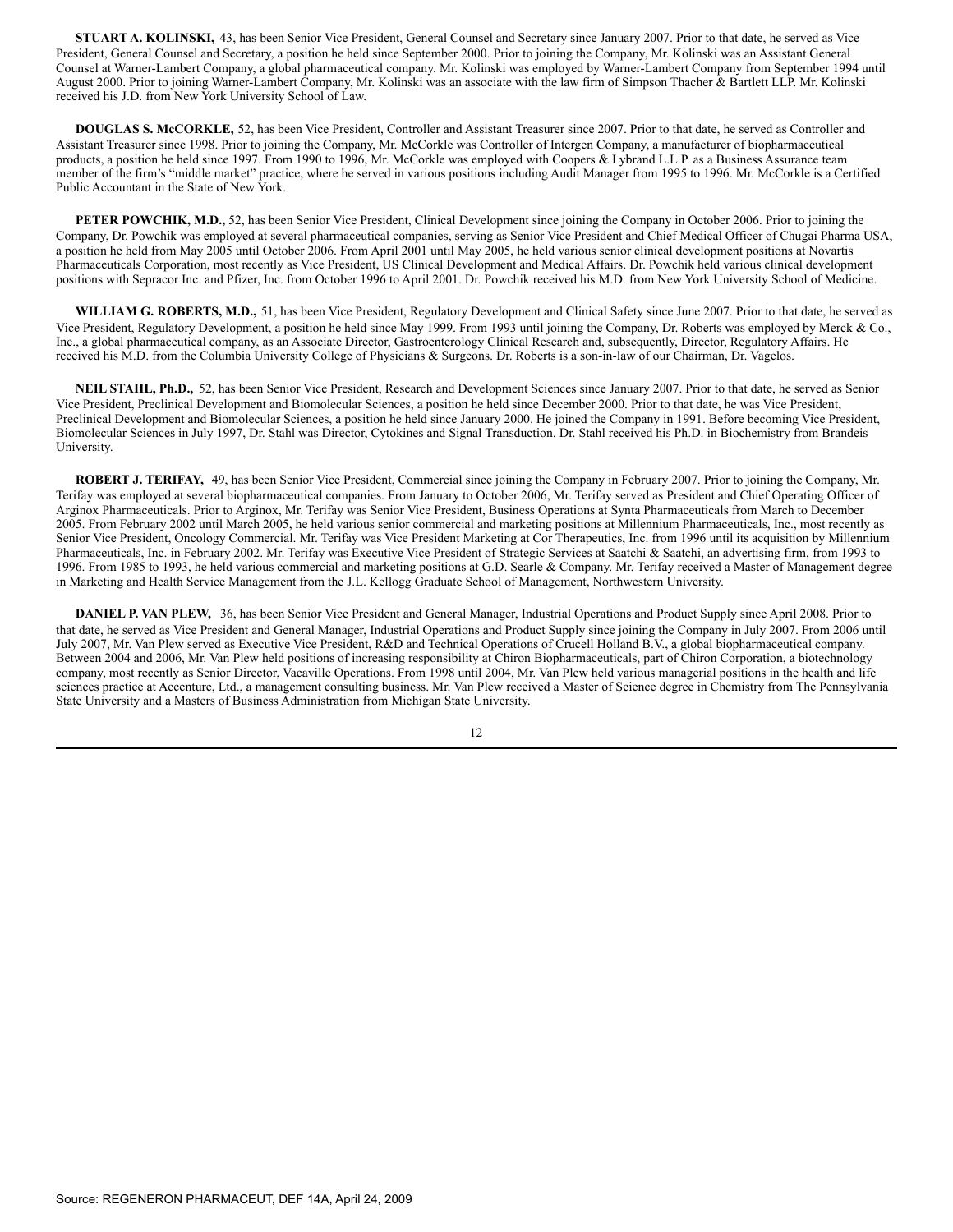**STUART A. KOLINSKI,** 43, has been Senior Vice President, General Counsel and Secretary since January 2007. Prior to that date, he served as Vice President, General Counsel and Secretary, a position he held since September 2000. Prior to joining the Company, Mr. Kolinski was an Assistant General Counsel at Warner-Lambert Company, a global pharmaceutical company. Mr. Kolinski was employed by Warner-Lambert Company from September 1994 until August 2000. Prior to joining Warner-Lambert Company, Mr. Kolinski was an associate with the law firm of Simpson Thacher & Bartlett LLP. Mr. Kolinski received his J.D. from New York University School of Law.

 **DOUGLAS S. McCORKLE,** 52, has been Vice President, Controller and Assistant Treasurer since 2007. Prior to that date, he served as Controller and Assistant Treasurer since 1998. Prior to joining the Company, Mr. McCorkle was Controller of Intergen Company, a manufacturer of biopharmaceutical products, a position he held since 1997. From 1990 to 1996, Mr. McCorkle was employed with Coopers & Lybrand L.L.P. as a Business Assurance team member of the firm's "middle market" practice, where he served in various positions including Audit Manager from 1995 to 1996. Mr. McCorkle is a Certified Public Accountant in the State of New York.

 **PETER POWCHIK, M.D.,** 52, has been Senior Vice President, Clinical Development since joining the Company in October 2006. Prior to joining the Company, Dr. Powchik was employed at several pharmaceutical companies, serving as Senior Vice President and Chief Medical Officer of Chugai Pharma USA, a position he held from May 2005 until October 2006. From April 2001 until May 2005, he held various senior clinical development positions at Novartis Pharmaceuticals Corporation, most recently as Vice President, US Clinical Development and Medical Affairs. Dr. Powchik held various clinical development positions with Sepracor Inc. and Pfizer, Inc. from October 1996 to April 2001. Dr. Powchik received his M.D. from New York University School of Medicine.

WILLIAM G. ROBERTS, M.D., 51, has been Vice President, Regulatory Development and Clinical Safety since June 2007. Prior to that date, he served as Vice President, Regulatory Development, a position he held since May 1999. From 1993 until joining the Company, Dr. Roberts was employed by Merck & Co., Inc., a global pharmaceutical company, as an Associate Director, Gastroenterology Clinical Research and, subsequently, Director, Regulatory Affairs. He received his M.D. from the Columbia University College of Physicians & Surgeons. Dr. Roberts is a son-in-law of our Chairman, Dr. Vagelos.

 **NEIL STAHL, Ph.D.,** 52, has been Senior Vice President, Research and Development Sciences since January 2007. Prior to that date, he served as Senior Vice President, Preclinical Development and Biomolecular Sciences, a position he held since December 2000. Prior to that date, he was Vice President, Preclinical Development and Biomolecular Sciences, a position he held since January 2000. He joined the Company in 1991. Before becoming Vice President, Biomolecular Sciences in July 1997, Dr. Stahl was Director, Cytokines and Signal Transduction. Dr. Stahl received his Ph.D. in Biochemistry from Brandeis University.

 **ROBERT J. TERIFAY,** 49, has been Senior Vice President, Commercial since joining the Company in February 2007. Prior to joining the Company, Mr. Terifay was employed at several biopharmaceutical companies. From January to October 2006, Mr. Terifay served as President and Chief Operating Officer of Arginox Pharmaceuticals. Prior to Arginox, Mr. Terifay was Senior Vice President, Business Operations at Synta Pharmaceuticals from March to December 2005. From February 2002 until March 2005, he held various senior commercial and marketing positions at Millennium Pharmaceuticals, Inc., most recently as Senior Vice President, Oncology Commercial. Mr. Terifay was Vice President Marketing at Cor Therapeutics, Inc. from 1996 until its acquisition by Millennium Pharmaceuticals, Inc. in February 2002. Mr. Terifay was Executive Vice President of Strategic Services at Saatchi & Saatchi, an advertising firm, from 1993 to 1996. From 1985 to 1993, he held various commercial and marketing positions at G.D. Searle & Company. Mr. Terifay received a Master of Management degree in Marketing and Health Service Management from the J.L. Kellogg Graduate School of Management, Northwestern University.

 **DANIEL P. VAN PLEW,** 36, has been Senior Vice President and General Manager, Industrial Operations and Product Supply since April 2008. Prior to that date, he served as Vice President and General Manager, Industrial Operations and Product Supply since joining the Company in July 2007. From 2006 until July 2007, Mr. Van Plew served as Executive Vice President, R&D and Technical Operations of Crucell Holland B.V., a global biopharmaceutical company. Between 2004 and 2006, Mr. Van Plew held positions of increasing responsibility at Chiron Biopharmaceuticals, part of Chiron Corporation, a biotechnology company, most recently as Senior Director, Vacaville Operations. From 1998 until 2004, Mr. Van Plew held various managerial positions in the health and life sciences practice at Accenture, Ltd., a management consulting business. Mr. Van Plew received a Master of Science degree in Chemistry from The Pennsylvania State University and a Masters of Business Administration from Michigan State University.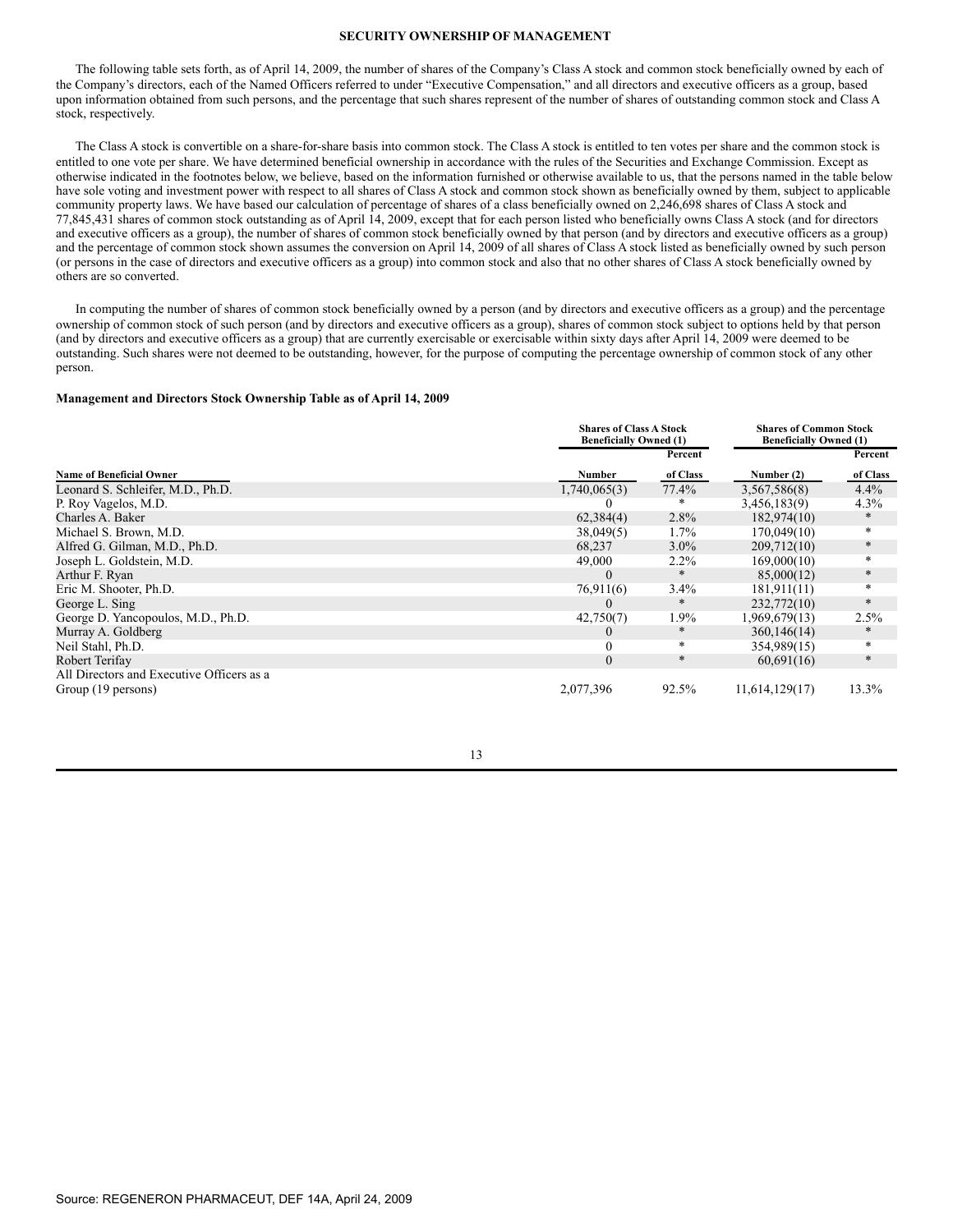#### **SECURITY OWNERSHIP OF MANAGEMENT**

 The following table sets forth, as of April 14, 2009, the number of shares of the Company's Class A stock and common stock beneficially owned by each of the Company's directors, each of the Named Officers referred to under "Executive Compensation," and all directors and executive officers as a group, based upon information obtained from such persons, and the percentage that such shares represent of the number of shares of outstanding common stock and Class A stock, respectively.

 The Class A stock is convertible on a share-for-share basis into common stock. The Class A stock is entitled to ten votes per share and the common stock is entitled to one vote per share. We have determined beneficial ownership in accordance with the rules of the Securities and Exchange Commission. Except as otherwise indicated in the footnotes below, we believe, based on the information furnished or otherwise available to us, that the persons named in the table below have sole voting and investment power with respect to all shares of Class A stock and common stock shown as beneficially owned by them, subject to applicable community property laws. We have based our calculation of percentage of shares of a class beneficially owned on 2,246,698 shares of Class A stock and 77,845,431 shares of common stock outstanding as of April 14, 2009, except that for each person listed who beneficially owns Class A stock (and for directors and executive officers as a group), the number of shares of common stock beneficially owned by that person (and by directors and executive officers as a group) and the percentage of common stock shown assumes the conversion on April 14, 2009 of all shares of Class A stock listed as beneficially owned by such person (or persons in the case of directors and executive officers as a group) into common stock and also that no other shares of Class A stock beneficially owned by others are so converted.

 In computing the number of shares of common stock beneficially owned by a person (and by directors and executive officers as a group) and the percentage ownership of common stock of such person (and by directors and executive officers as a group), shares of common stock subject to options held by that person (and by directors and executive officers as a group) that are currently exercisable or exercisable within sixty days after April 14, 2009 were deemed to be outstanding. Such shares were not deemed to be outstanding, however, for the purpose of computing the percentage ownership of common stock of any other person.

#### **Management and Directors Stock Ownership Table as of April 14, 2009**

|                                           | <b>Shares of Class A Stock</b><br><b>Beneficially Owned (1)</b> |          | <b>Shares of Common Stock</b><br><b>Beneficially Owned (1)</b> |          |
|-------------------------------------------|-----------------------------------------------------------------|----------|----------------------------------------------------------------|----------|
|                                           |                                                                 | Percent  |                                                                | Percent  |
| <b>Name of Beneficial Owner</b>           | Number                                                          | of Class | Number (2)                                                     | of Class |
| Leonard S. Schleifer, M.D., Ph.D.         | 1,740,065(3)                                                    | 77.4%    | 3,567,586(8)                                                   | 4.4%     |
| P. Roy Vagelos, M.D.                      |                                                                 |          | 3,456,183(9)                                                   | 4.3%     |
| Charles A. Baker                          | 62,384(4)                                                       | 2.8%     | 182,974(10)                                                    | $*$      |
| Michael S. Brown, M.D.                    | 38,049(5)                                                       | $1.7\%$  | 170,049(10)                                                    | $\ast$   |
| Alfred G. Gilman, M.D., Ph.D.             | 68,237                                                          | $3.0\%$  | 209,712(10)                                                    | $\ast$   |
| Joseph L. Goldstein, M.D.                 | 49,000                                                          | $2.2\%$  | 169,000(10)                                                    | *        |
| Arthur F. Ryan                            |                                                                 | *        | 85,000(12)                                                     | $\ast$   |
| Eric M. Shooter, Ph.D.                    | 76,911(6)                                                       | 3.4%     | 181,911(11)                                                    | $\ast$   |
| George L. Sing                            |                                                                 |          | 232,772(10)                                                    | $\ast$   |
| George D. Yancopoulos, M.D., Ph.D.        | 42,750(7)                                                       | 1.9%     | 1,969,679(13)                                                  | 2.5%     |
| Murray A. Goldberg                        |                                                                 | ∗        | 360, 146 (14)                                                  | ∗        |
| Neil Stahl, Ph.D.                         |                                                                 | *        | 354,989(15)                                                    | *        |
| Robert Terifay                            | $\Omega$                                                        | $\ast$   | 60,691(16)                                                     | $\ast$   |
| All Directors and Executive Officers as a |                                                                 |          |                                                                |          |
| Group (19 persons)                        | 2,077,396                                                       | 92.5%    | 11,614,129(17)                                                 | 13.3%    |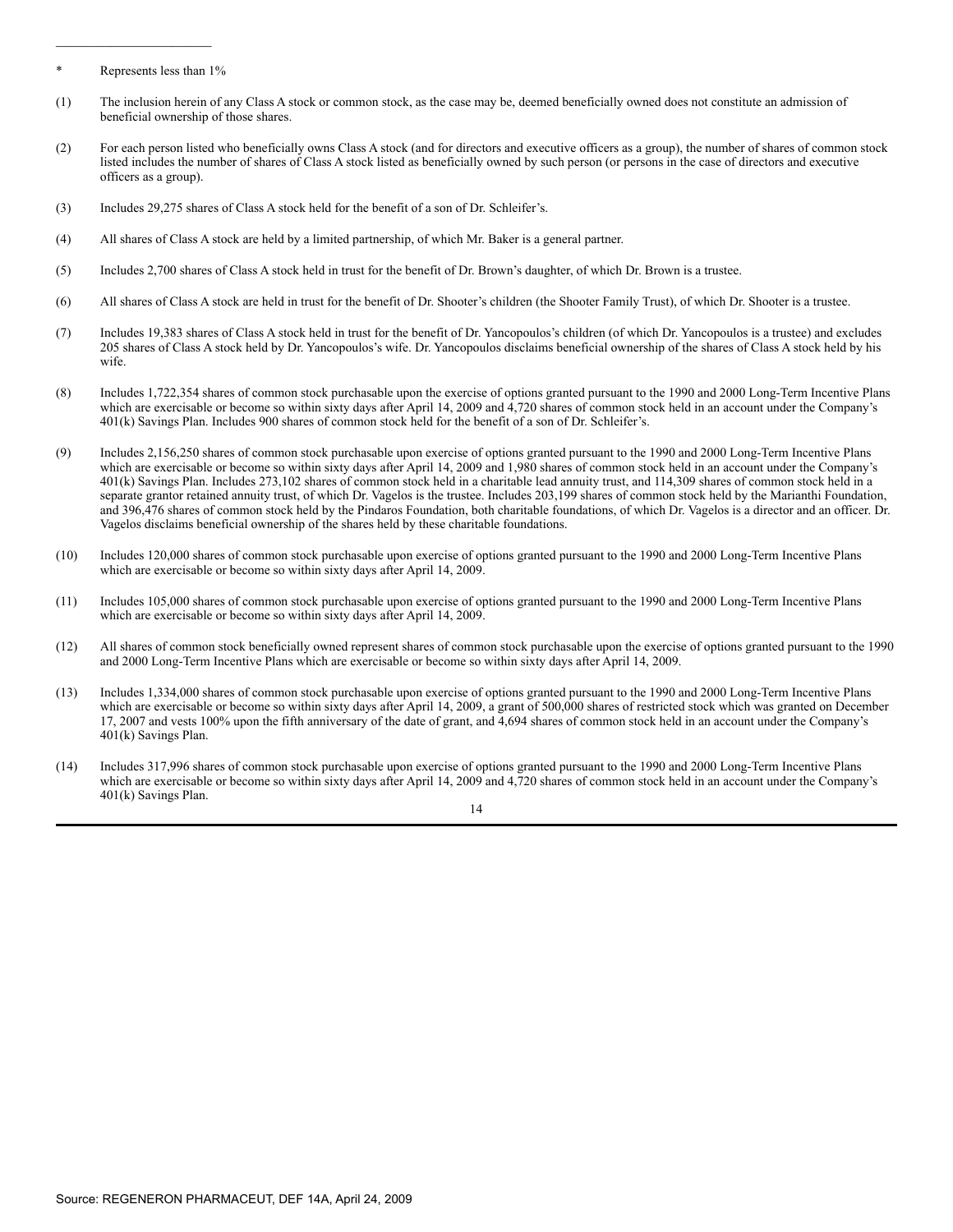Represents less than 1%

 $\overline{\phantom{a}}$  . The set of the set of the set of the set of the set of the set of the set of the set of the set of the set of the set of the set of the set of the set of the set of the set of the set of the set of the set o

- (1) The inclusion herein of any Class A stock or common stock, as the case may be, deemed beneficially owned does not constitute an admission of beneficial ownership of those shares.
- (2) For each person listed who beneficially owns Class A stock (and for directors and executive officers as a group), the number of shares of common stock listed includes the number of shares of Class A stock listed as beneficially owned by such person (or persons in the case of directors and executive officers as a group).
- (3) Includes 29,275 shares of Class A stock held for the benefit of a son of Dr. Schleifer's.
- (4) All shares of Class A stock are held by a limited partnership, of which Mr. Baker is a general partner.
- (5) Includes 2,700 shares of Class A stock held in trust for the benefit of Dr. Brown's daughter, of which Dr. Brown is a trustee.
- (6) All shares of Class A stock are held in trust for the benefit of Dr. Shooter's children (the Shooter Family Trust), of which Dr. Shooter is a trustee.
- (7) Includes 19,383 shares of Class A stock held in trust for the benefit of Dr. Yancopoulos's children (of which Dr. Yancopoulos is a trustee) and excludes 205 shares of Class A stock held by Dr. Yancopoulos's wife. Dr. Yancopoulos disclaims beneficial ownership of the shares of Class A stock held by his wife.
- (8) Includes 1,722,354 shares of common stock purchasable upon the exercise of options granted pursuant to the 1990 and 2000 Long-Term Incentive Plans which are exercisable or become so within sixty days after April 14, 2009 and 4,720 shares of common stock held in an account under the Company's 401(k) Savings Plan. Includes 900 shares of common stock held for the benefit of a son of Dr. Schleifer's.
- (9) Includes 2,156,250 shares of common stock purchasable upon exercise of options granted pursuant to the 1990 and 2000 Long-Term Incentive Plans which are exercisable or become so within sixty days after April 14, 2009 and 1,980 shares of common stock held in an account under the Company's 401(k) Savings Plan. Includes 273,102 shares of common stock held in a charitable lead annuity trust, and 114,309 shares of common stock held in a separate grantor retained annuity trust, of which Dr. Vagelos is the trustee. Includes 203,199 shares of common stock held by the Marianthi Foundation, and 396,476 shares of common stock held by the Pindaros Foundation, both charitable foundations, of which Dr. Vagelos is a director and an officer. Dr. Vagelos disclaims beneficial ownership of the shares held by these charitable foundations.
- (10) Includes 120,000 shares of common stock purchasable upon exercise of options granted pursuant to the 1990 and 2000 Long-Term Incentive Plans which are exercisable or become so within sixty days after April 14, 2009.
- (11) Includes 105,000 shares of common stock purchasable upon exercise of options granted pursuant to the 1990 and 2000 Long-Term Incentive Plans which are exercisable or become so within sixty days after April 14, 2009.
- (12) All shares of common stock beneficially owned represent shares of common stock purchasable upon the exercise of options granted pursuant to the 1990 and 2000 Long-Term Incentive Plans which are exercisable or become so within sixty days after April 14, 2009.
- (13) Includes 1,334,000 shares of common stock purchasable upon exercise of options granted pursuant to the 1990 and 2000 Long-Term Incentive Plans which are exercisable or become so within sixty days after April 14, 2009, a grant of 500,000 shares of restricted stock which was granted on December 17, 2007 and vests 100% upon the fifth anniversary of the date of grant, and 4,694 shares of common stock held in an account under the Company's 401(k) Savings Plan.
- (14) Includes 317,996 shares of common stock purchasable upon exercise of options granted pursuant to the 1990 and 2000 Long-Term Incentive Plans which are exercisable or become so within sixty days after April 14, 2009 and 4,720 shares of common stock held in an account under the Company's 401(k) Savings Plan.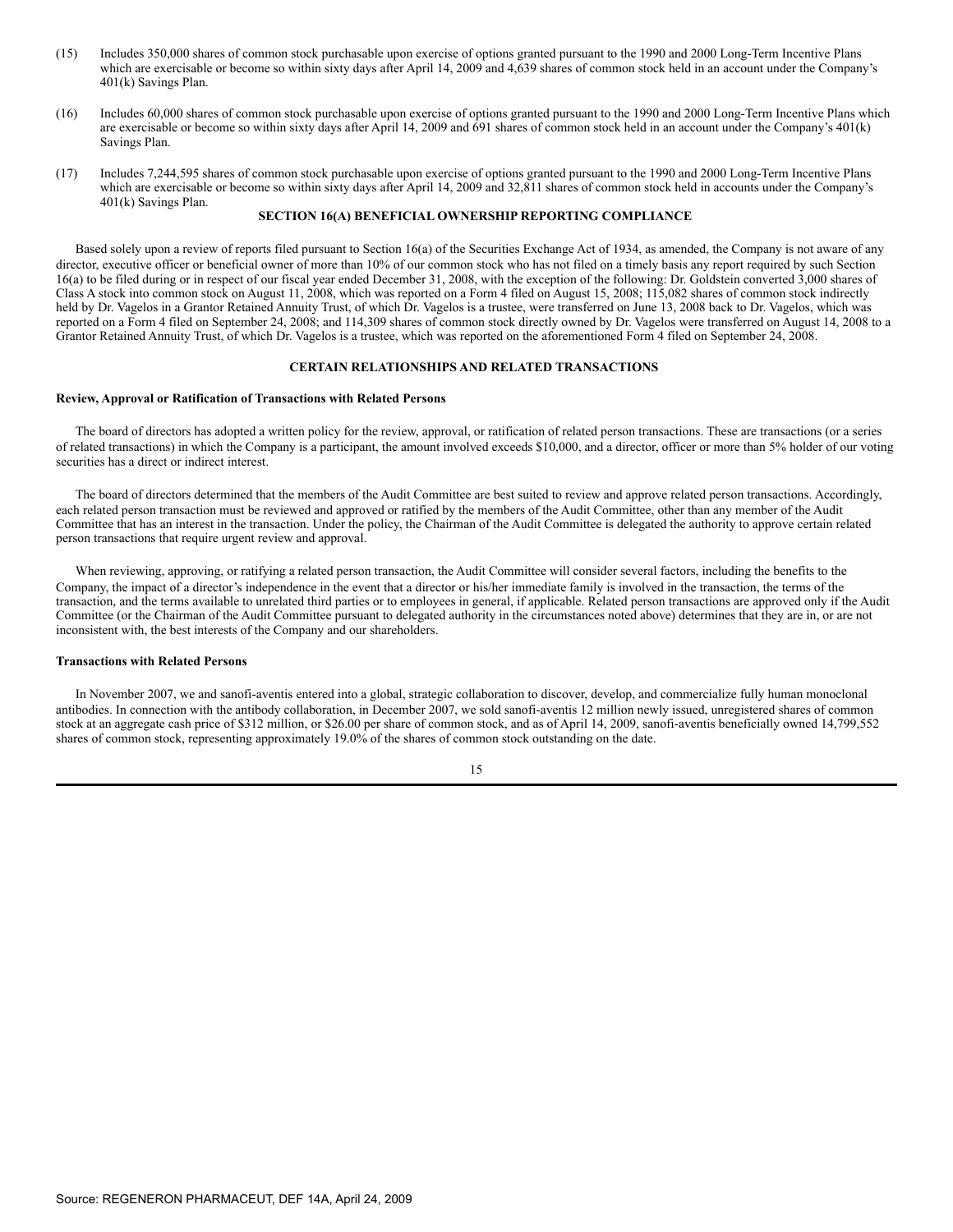- (15) Includes 350,000 shares of common stock purchasable upon exercise of options granted pursuant to the 1990 and 2000 Long-Term Incentive Plans which are exercisable or become so within sixty days after April 14, 2009 and 4,639 shares of common stock held in an account under the Company's 401(k) Savings Plan.
- (16) Includes 60,000 shares of common stock purchasable upon exercise of options granted pursuant to the 1990 and 2000 Long-Term Incentive Plans which are exercisable or become so within sixty days after April 14, 2009 and 691 shares of common stock held in an account under the Company's 401(k) Savings Plan.
- (17) Includes 7,244,595 shares of common stock purchasable upon exercise of options granted pursuant to the 1990 and 2000 Long-Term Incentive Plans which are exercisable or become so within sixty days after April 14, 2009 and 32,811 shares of common stock held in accounts under the Company's 401(k) Savings Plan.

#### **SECTION 16(A) BENEFICIAL OWNERSHIP REPORTING COMPLIANCE**

 Based solely upon a review of reports filed pursuant to Section 16(a) of the Securities Exchange Act of 1934, as amended, the Company is not aware of any director, executive officer or beneficial owner of more than 10% of our common stock who has not filed on a timely basis any report required by such Section 16(a) to be filed during or in respect of our fiscal year ended December 31, 2008, with the exception of the following: Dr. Goldstein converted 3,000 shares of Class A stock into common stock on August 11, 2008, which was reported on a Form 4 filed on August 15, 2008; 115,082 shares of common stock indirectly held by Dr. Vagelos in a Grantor Retained Annuity Trust, of which Dr. Vagelos is a trustee, were transferred on June 13, 2008 back to Dr. Vagelos, which was reported on a Form 4 filed on September 24, 2008; and 114,309 shares of common stock directly owned by Dr. Vagelos were transferred on August 14, 2008 to a Grantor Retained Annuity Trust, of which Dr. Vagelos is a trustee, which was reported on the aforementioned Form 4 filed on September 24, 2008.

#### **CERTAIN RELATIONSHIPS AND RELATED TRANSACTIONS**

#### **Review, Approval or Ratification of Transactions with Related Persons**

 The board of directors has adopted a written policy for the review, approval, or ratification of related person transactions. These are transactions (or a series of related transactions) in which the Company is a participant, the amount involved exceeds \$10,000, and a director, officer or more than 5% holder of our voting securities has a direct or indirect interest.

 The board of directors determined that the members of the Audit Committee are best suited to review and approve related person transactions. Accordingly, each related person transaction must be reviewed and approved or ratified by the members of the Audit Committee, other than any member of the Audit Committee that has an interest in the transaction. Under the policy, the Chairman of the Audit Committee is delegated the authority to approve certain related person transactions that require urgent review and approval.

When reviewing, approving, or ratifying a related person transaction, the Audit Committee will consider several factors, including the benefits to the Company, the impact of a director's independence in the event that a director or his/her immediate family is involved in the transaction, the terms of the transaction, and the terms available to unrelated third parties or to employees in general, if applicable. Related person transactions are approved only if the Audit Committee (or the Chairman of the Audit Committee pursuant to delegated authority in the circumstances noted above) determines that they are in, or are not inconsistent with, the best interests of the Company and our shareholders.

#### **Transactions with Related Persons**

 In November 2007, we and sanofi-aventis entered into a global, strategic collaboration to discover, develop, and commercialize fully human monoclonal antibodies. In connection with the antibody collaboration, in December 2007, we sold sanofi-aventis 12 million newly issued, unregistered shares of common stock at an aggregate cash price of \$312 million, or \$26.00 per share of common stock, and as of April 14, 2009, sanofi-aventis beneficially owned 14,799,552 shares of common stock, representing approximately 19.0% of the shares of common stock outstanding on the date.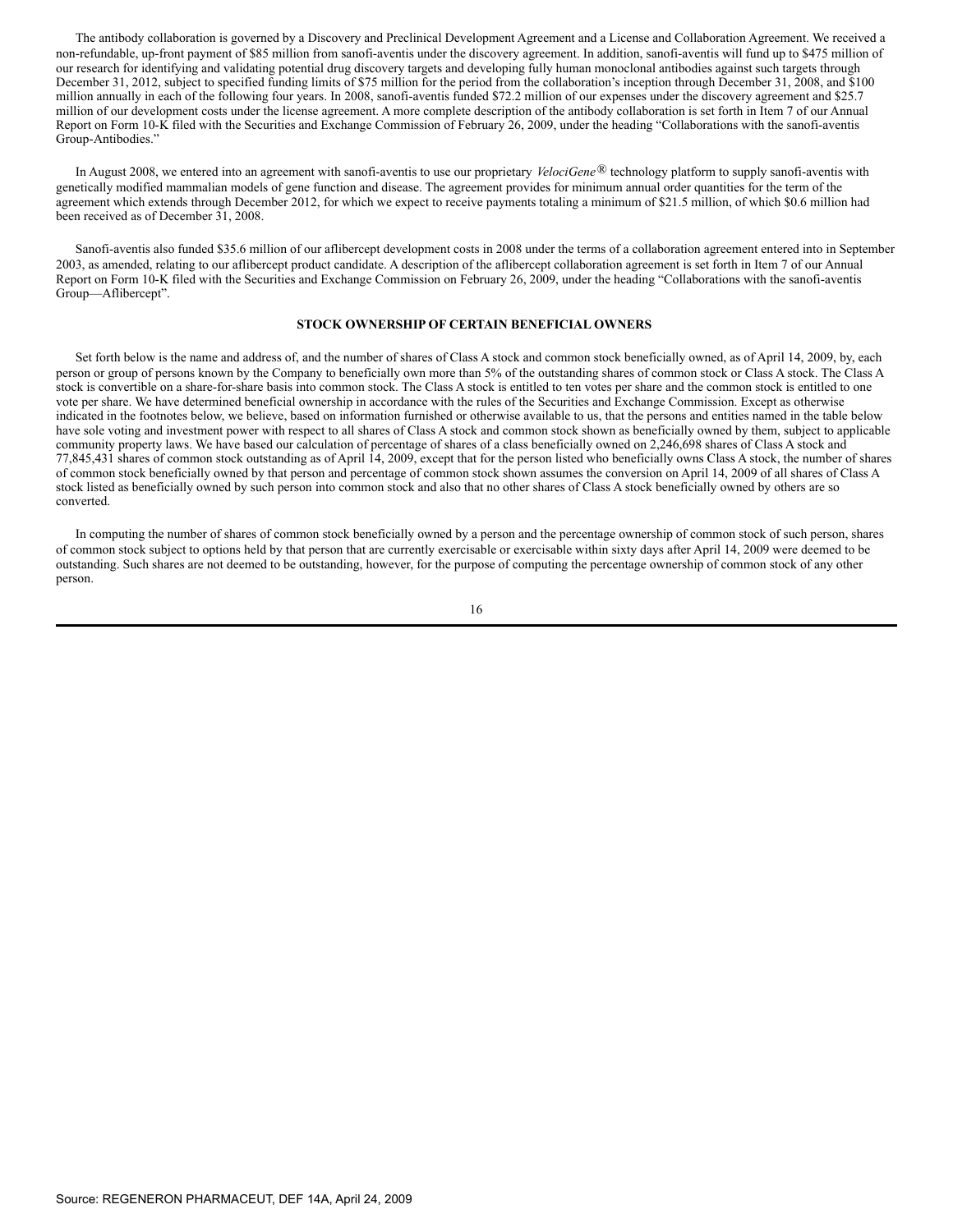The antibody collaboration is governed by a Discovery and Preclinical Development Agreement and a License and Collaboration Agreement. We received a non-refundable, up-front payment of \$85 million from sanofi-aventis under the discovery agreement. In addition, sanofi-aventis will fund up to \$475 million of our research for identifying and validating potential drug discovery targets and developing fully human monoclonal antibodies against such targets through December 31, 2012, subject to specified funding limits of \$75 million for the period from the collaboration's inception through December 31, 2008, and \$100 million annually in each of the following four years. In 2008, sanofi-aventis funded \$72.2 million of our expenses under the discovery agreement and \$25.7 million of our development costs under the license agreement. A more complete description of the antibody collaboration is set forth in Item 7 of our Annual Report on Form 10-K filed with the Securities and Exchange Commission of February 26, 2009, under the heading "Collaborations with the sanofi-aventis Group-Antibodies."

 In August 2008, we entered into an agreement with sanofi-aventis to use our proprietary *VelociGene*® technology platform to supply sanofi-aventis with genetically modified mammalian models of gene function and disease. The agreement provides for minimum annual order quantities for the term of the agreement which extends through December 2012, for which we expect to receive payments totaling a minimum of \$21.5 million, of which \$0.6 million had been received as of December 31, 2008.

 Sanofi-aventis also funded \$35.6 million of our aflibercept development costs in 2008 under the terms of a collaboration agreement entered into in September 2003, as amended, relating to our aflibercept product candidate. A description of the aflibercept collaboration agreement is set forth in Item 7 of our Annual Report on Form 10-K filed with the Securities and Exchange Commission on February 26, 2009, under the heading "Collaborations with the sanofi-aventis Group—Aflibercept".

#### **STOCK OWNERSHIP OF CERTAIN BENEFICIAL OWNERS**

 Set forth below is the name and address of, and the number of shares of Class A stock and common stock beneficially owned, as of April 14, 2009, by, each person or group of persons known by the Company to beneficially own more than 5% of the outstanding shares of common stock or Class A stock. The Class A stock is convertible on a share-for-share basis into common stock. The Class A stock is entitled to ten votes per share and the common stock is entitled to one vote per share. We have determined beneficial ownership in accordance with the rules of the Securities and Exchange Commission. Except as otherwise indicated in the footnotes below, we believe, based on information furnished or otherwise available to us, that the persons and entities named in the table below have sole voting and investment power with respect to all shares of Class A stock and common stock shown as beneficially owned by them, subject to applicable community property laws. We have based our calculation of percentage of shares of a class beneficially owned on 2,246,698 shares of Class A stock and 77,845,431 shares of common stock outstanding as of April 14, 2009, except that for the person listed who beneficially owns Class A stock, the number of shares of common stock beneficially owned by that person and percentage of common stock shown assumes the conversion on April 14, 2009 of all shares of Class A stock listed as beneficially owned by such person into common stock and also that no other shares of Class A stock beneficially owned by others are so converted.

 In computing the number of shares of common stock beneficially owned by a person and the percentage ownership of common stock of such person, shares of common stock subject to options held by that person that are currently exercisable or exercisable within sixty days after April 14, 2009 were deemed to be outstanding. Such shares are not deemed to be outstanding, however, for the purpose of computing the percentage ownership of common stock of any other person.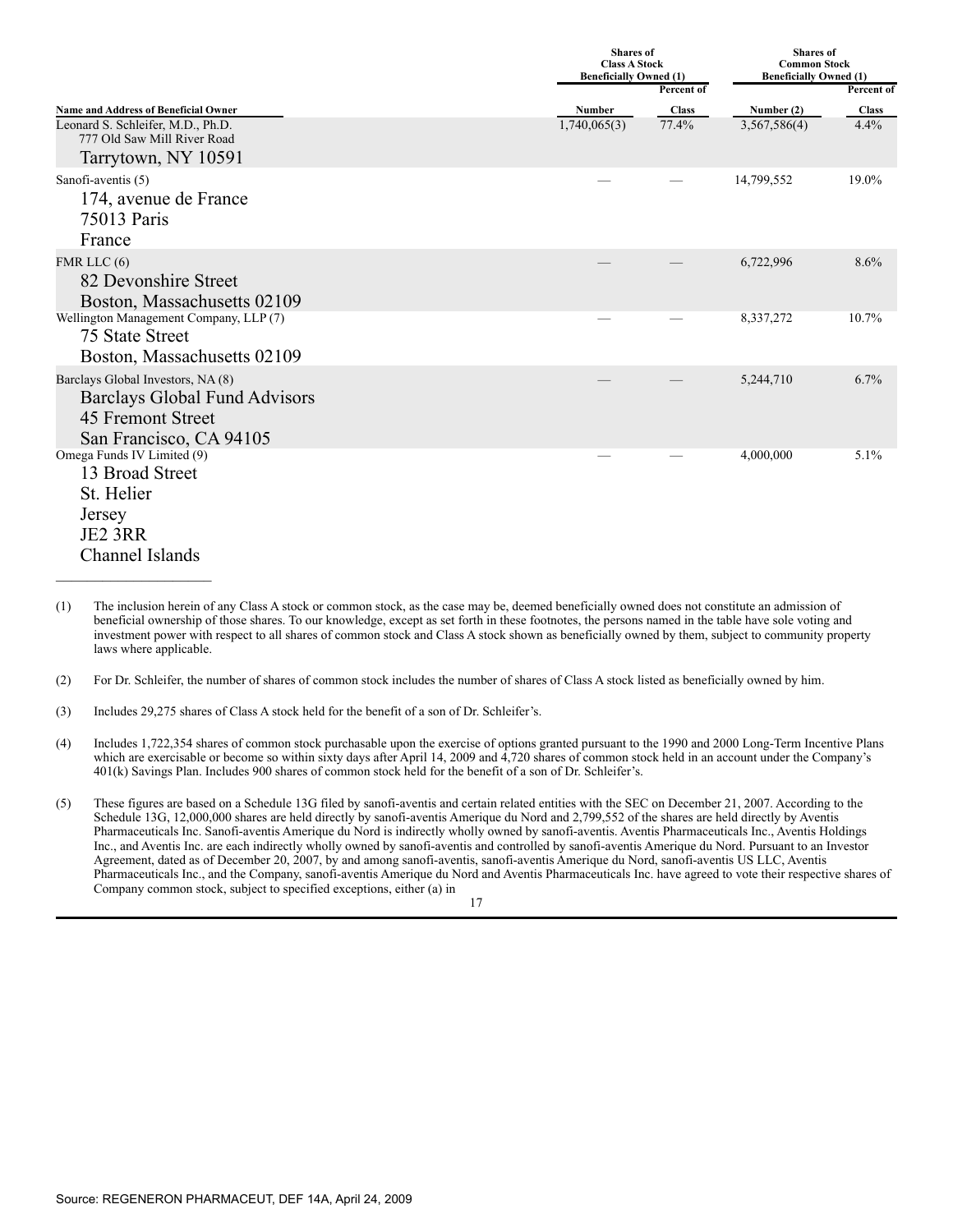|                                                                                                                           | <b>Shares</b> of<br><b>Class A Stock</b><br><b>Beneficially Owned (1)</b> |            | <b>Shares</b> of<br><b>Common Stock</b><br><b>Beneficially Owned (1)</b> |              |
|---------------------------------------------------------------------------------------------------------------------------|---------------------------------------------------------------------------|------------|--------------------------------------------------------------------------|--------------|
|                                                                                                                           |                                                                           | Percent of |                                                                          | Percent of   |
| <b>Name and Address of Beneficial Owner</b>                                                                               | Number                                                                    | Class      | Number (2)                                                               | <b>Class</b> |
| Leonard S. Schleifer, M.D., Ph.D.<br>777 Old Saw Mill River Road<br>Tarrytown, NY 10591                                   | 1,740,065(3)                                                              | 77.4%      | 3,567,586(4)                                                             | 4.4%         |
| Sanofi-aventis (5)<br>174, avenue de France<br>75013 Paris<br>France                                                      |                                                                           |            | 14,799,552                                                               | 19.0%        |
| FMR LLC $(6)$<br>82 Devonshire Street<br>Boston, Massachusetts 02109                                                      |                                                                           |            | 6,722,996                                                                | 8.6%         |
| Wellington Management Company, LLP (7)<br>75 State Street<br>Boston, Massachusetts 02109                                  |                                                                           |            | 8,337,272                                                                | 10.7%        |
| Barclays Global Investors, NA (8)<br><b>Barclays Global Fund Advisors</b><br>45 Fremont Street<br>San Francisco, CA 94105 |                                                                           |            | 5,244,710                                                                | 6.7%         |
| Omega Funds IV Limited (9)<br>13 Broad Street<br>St. Helier<br>Jersey<br>JE2 3RR<br>Channel Islands                       |                                                                           |            | 4,000,000                                                                | 5.1%         |

<sup>(1)</sup> The inclusion herein of any Class A stock or common stock, as the case may be, deemed beneficially owned does not constitute an admission of beneficial ownership of those shares. To our knowledge, except as set forth in these footnotes, the persons named in the table have sole voting and investment power with respect to all shares of common stock and Class A stock shown as beneficially owned by them, subject to community property laws where applicable.

 $\overline{\phantom{a}}$  , where  $\overline{\phantom{a}}$ 

- (4) Includes 1,722,354 shares of common stock purchasable upon the exercise of options granted pursuant to the 1990 and 2000 Long-Term Incentive Plans which are exercisable or become so within sixty days after April 14, 2009 and 4,720 shares of common stock held in an account under the Company's 401(k) Savings Plan. Includes 900 shares of common stock held for the benefit of a son of Dr. Schleifer's.
- (5) These figures are based on a Schedule 13G filed by sanofi-aventis and certain related entities with the SEC on December 21, 2007. According to the Schedule 13G, 12,000,000 shares are held directly by sanofi-aventis Amerique du Nord and 2,799,552 of the shares are held directly by Aventis Pharmaceuticals Inc. Sanofi-aventis Amerique du Nord is indirectly wholly owned by sanofi-aventis. Aventis Pharmaceuticals Inc., Aventis Holdings Inc., and Aventis Inc. are each indirectly wholly owned by sanofi-aventis and controlled by sanofi-aventis Amerique du Nord. Pursuant to an Investor Agreement, dated as of December 20, 2007, by and among sanofi-aventis, sanofi-aventis Amerique du Nord, sanofi-aventis US LLC, Aventis Pharmaceuticals Inc., and the Company, sanofi-aventis Amerique du Nord and Aventis Pharmaceuticals Inc. have agreed to vote their respective shares of Company common stock, subject to specified exceptions, either (a) in

<sup>(2)</sup> For Dr. Schleifer, the number of shares of common stock includes the number of shares of Class A stock listed as beneficially owned by him.

<sup>(3)</sup> Includes 29,275 shares of Class A stock held for the benefit of a son of Dr. Schleifer's.

<sup>17</sup>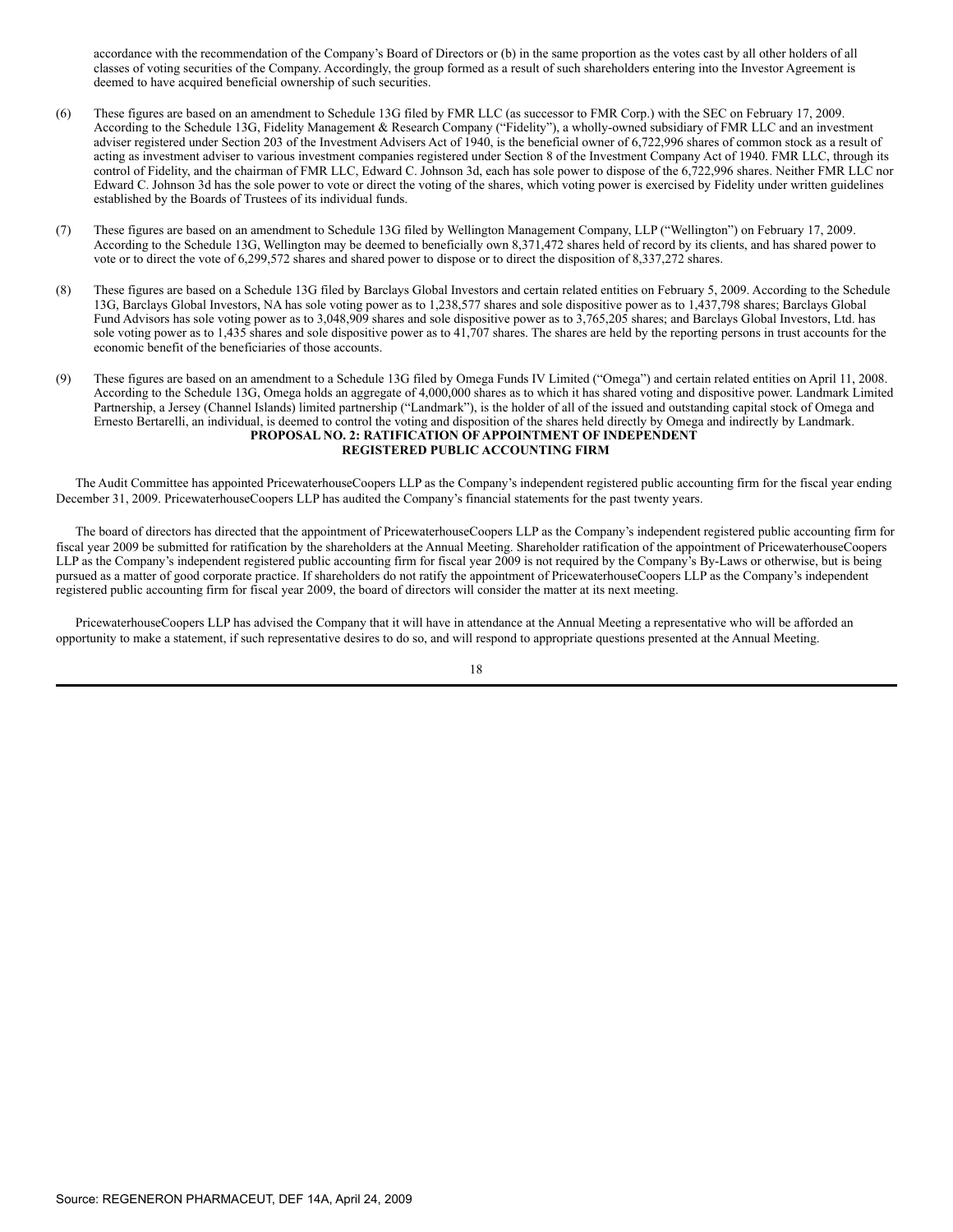accordance with the recommendation of the Company's Board of Directors or (b) in the same proportion as the votes cast by all other holders of all classes of voting securities of the Company. Accordingly, the group formed as a result of such shareholders entering into the Investor Agreement is deemed to have acquired beneficial ownership of such securities.

- (6) These figures are based on an amendment to Schedule 13G filed by FMR LLC (as successor to FMR Corp.) with the SEC on February 17, 2009. According to the Schedule 13G, Fidelity Management & Research Company ("Fidelity"), a wholly-owned subsidiary of FMR LLC and an investment adviser registered under Section 203 of the Investment Advisers Act of 1940, is the beneficial owner of 6,722,996 shares of common stock as a result of acting as investment adviser to various investment companies registered under Section 8 of the Investment Company Act of 1940. FMR LLC, through its control of Fidelity, and the chairman of FMR LLC, Edward C. Johnson 3d, each has sole power to dispose of the 6,722,996 shares. Neither FMR LLC nor Edward C. Johnson 3d has the sole power to vote or direct the voting of the shares, which voting power is exercised by Fidelity under written guidelines established by the Boards of Trustees of its individual funds.
- (7) These figures are based on an amendment to Schedule 13G filed by Wellington Management Company, LLP ("Wellington") on February 17, 2009. According to the Schedule 13G, Wellington may be deemed to beneficially own 8,371,472 shares held of record by its clients, and has shared power to vote or to direct the vote of 6,299,572 shares and shared power to dispose or to direct the disposition of 8,337,272 shares.
- (8) These figures are based on a Schedule 13G filed by Barclays Global Investors and certain related entities on February 5, 2009. According to the Schedule 13G, Barclays Global Investors, NA has sole voting power as to 1,238,577 shares and sole dispositive power as to 1,437,798 shares; Barclays Global Fund Advisors has sole voting power as to 3,048,909 shares and sole dispositive power as to 3,765,205 shares; and Barclays Global Investors, Ltd. has sole voting power as to 1,435 shares and sole dispositive power as to 41,707 shares. The shares are held by the reporting persons in trust accounts for the economic benefit of the beneficiaries of those accounts.
- (9) These figures are based on an amendment to a Schedule 13G filed by Omega Funds IV Limited ("Omega") and certain related entities on April 11, 2008. According to the Schedule 13G, Omega holds an aggregate of 4,000,000 shares as to which it has shared voting and dispositive power. Landmark Limited Partnership, a Jersey (Channel Islands) limited partnership ("Landmark"), is the holder of all of the issued and outstanding capital stock of Omega and Ernesto Bertarelli, an individual, is deemed to control the voting and disposition of the shares held directly by Omega and indirectly by Landmark. **PROPOSAL NO. 2: RATIFICATION OF APPOINTMENT OF INDEPENDENT REGISTERED PUBLIC ACCOUNTING FIRM**

 The Audit Committee has appointed PricewaterhouseCoopers LLP as the Company's independent registered public accounting firm for the fiscal year ending December 31, 2009. PricewaterhouseCoopers LLP has audited the Company's financial statements for the past twenty years.

 The board of directors has directed that the appointment of PricewaterhouseCoopers LLP as the Company's independent registered public accounting firm for fiscal year 2009 be submitted for ratification by the shareholders at the Annual Meeting. Shareholder ratification of the appointment of PricewaterhouseCoopers LLP as the Company's independent registered public accounting firm for fiscal year 2009 is not required by the Company's By-Laws or otherwise, but is being pursued as a matter of good corporate practice. If shareholders do not ratify the appointment of PricewaterhouseCoopers LLP as the Company's independent registered public accounting firm for fiscal year 2009, the board of directors will consider the matter at its next meeting.

 PricewaterhouseCoopers LLP has advised the Company that it will have in attendance at the Annual Meeting a representative who will be afforded an opportunity to make a statement, if such representative desires to do so, and will respond to appropriate questions presented at the Annual Meeting.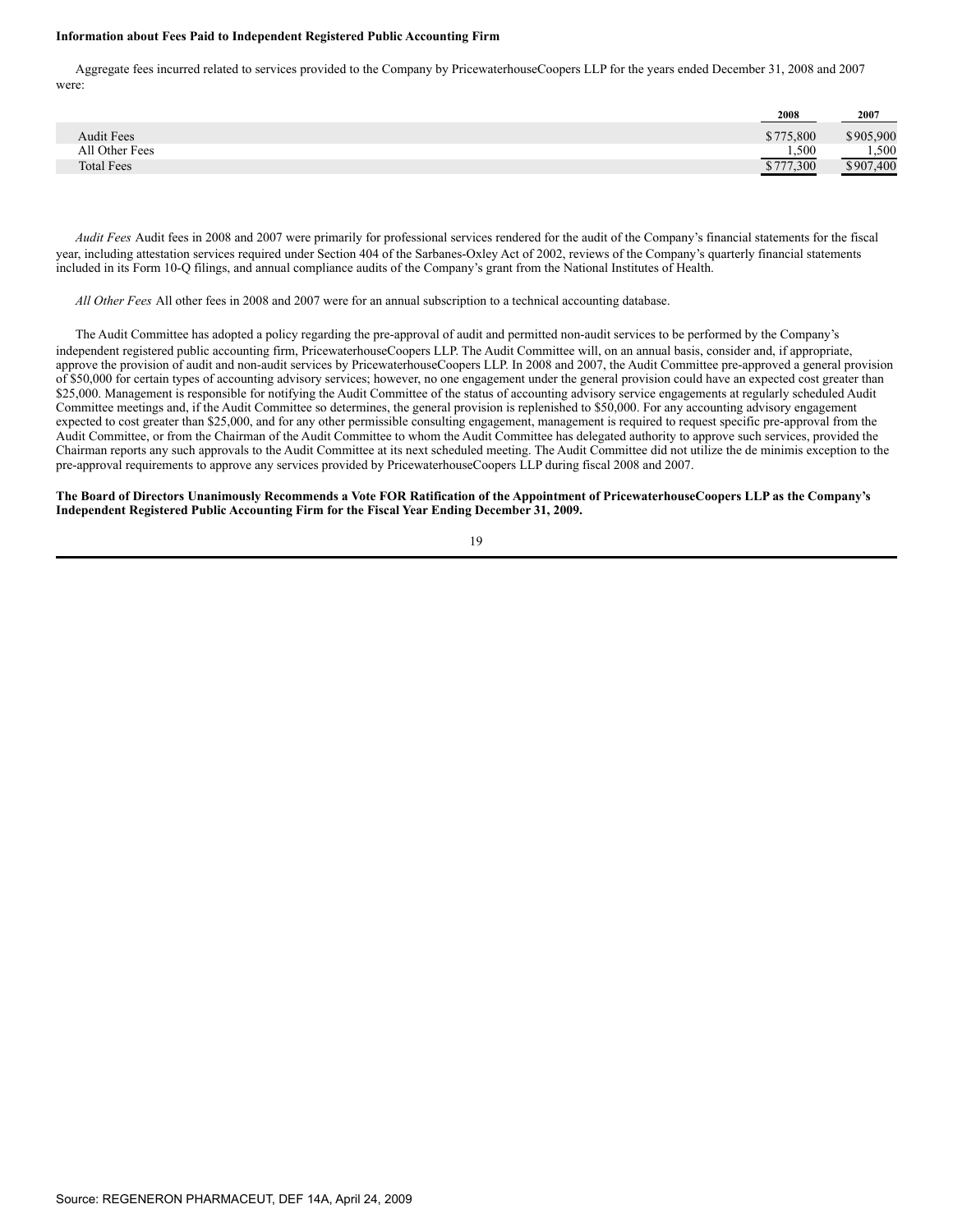#### **Information about Fees Paid to Independent Registered Public Accounting Firm**

 Aggregate fees incurred related to services provided to the Company by PricewaterhouseCoopers LLP for the years ended December 31, 2008 and 2007 were:

|                   | 2008      | 2007      |
|-------------------|-----------|-----------|
| <b>Audit Fees</b> | \$775,800 | \$905,900 |
| All Other Fees    | .500      | .500      |
| <b>Total Fees</b> | \$777,300 | \$907,400 |

 *Audit Fees* Audit fees in 2008 and 2007 were primarily for professional services rendered for the audit of the Company's financial statements for the fiscal year, including attestation services required under Section 404 of the Sarbanes-Oxley Act of 2002, reviews of the Company's quarterly financial statements included in its Form 10-Q filings, and annual compliance audits of the Company's grant from the National Institutes of Health.

*All Other Fees* All other fees in 2008 and 2007 were for an annual subscription to a technical accounting database.

 The Audit Committee has adopted a policy regarding the pre-approval of audit and permitted non-audit services to be performed by the Company's independent registered public accounting firm, PricewaterhouseCoopers LLP. The Audit Committee will, on an annual basis, consider and, if appropriate, approve the provision of audit and non-audit services by PricewaterhouseCoopers LLP. In 2008 and 2007, the Audit Committee pre-approved a general provision of \$50,000 for certain types of accounting advisory services; however, no one engagement under the general provision could have an expected cost greater than \$25,000. Management is responsible for notifying the Audit Committee of the status of accounting advisory service engagements at regularly scheduled Audit Committee meetings and, if the Audit Committee so determines, the general provision is replenished to \$50,000. For any accounting advisory engagement expected to cost greater than \$25,000, and for any other permissible consulting engagement, management is required to request specific pre-approval from the Audit Committee, or from the Chairman of the Audit Committee to whom the Audit Committee has delegated authority to approve such services, provided the Chairman reports any such approvals to the Audit Committee at its next scheduled meeting. The Audit Committee did not utilize the de minimis exception to the pre-approval requirements to approve any services provided by PricewaterhouseCoopers LLP during fiscal 2008 and 2007.

#### **The Board of Directors Unanimously Recommends a Vote FOR Ratification of the Appointment of PricewaterhouseCoopers LLP as the Company's Independent Registered Public Accounting Firm for the Fiscal Year Ending December 31, 2009.**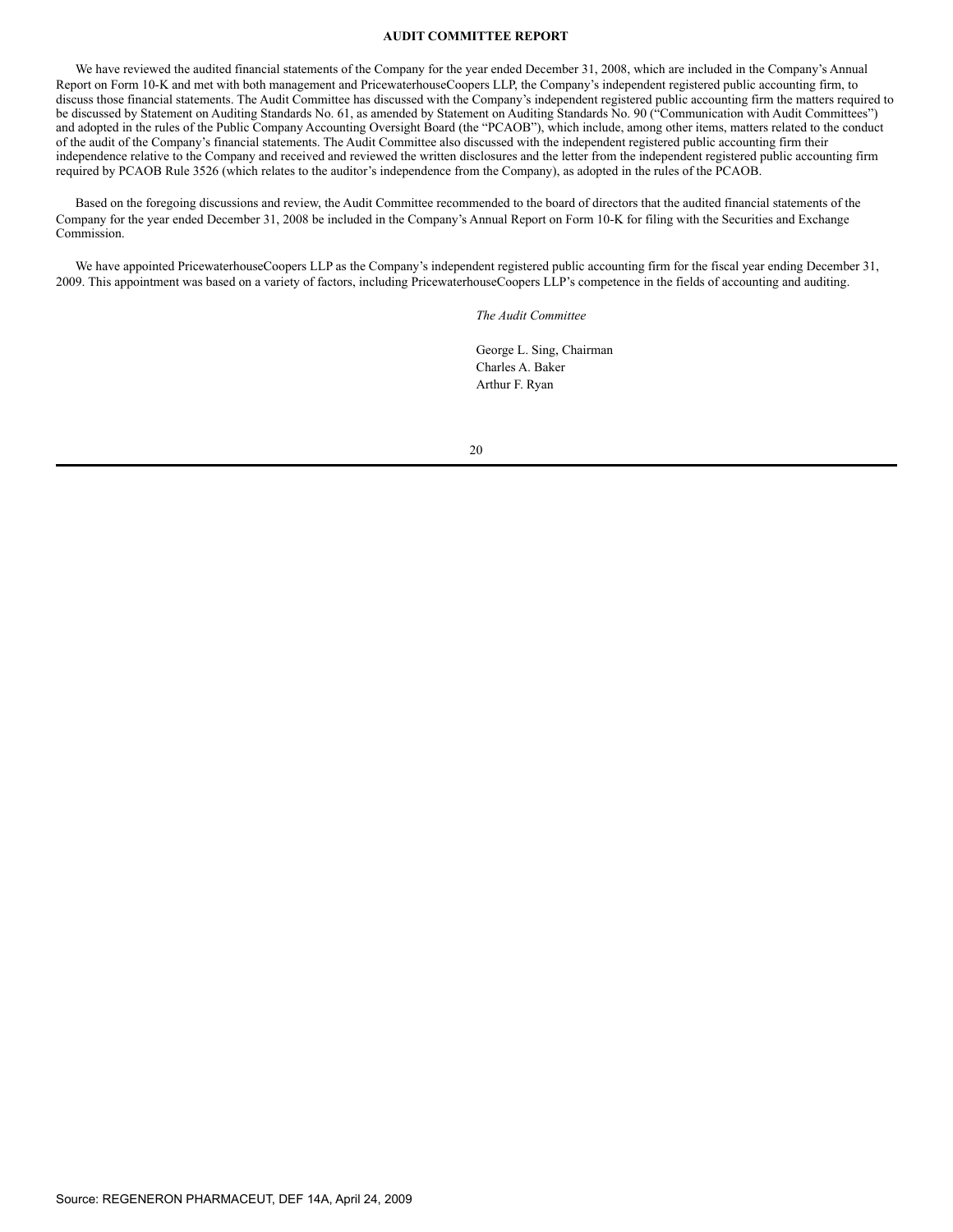#### **AUDIT COMMITTEE REPORT**

 We have reviewed the audited financial statements of the Company for the year ended December 31, 2008, which are included in the Company's Annual Report on Form 10-K and met with both management and PricewaterhouseCoopers LLP, the Company's independent registered public accounting firm, to discuss those financial statements. The Audit Committee has discussed with the Company's independent registered public accounting firm the matters required to be discussed by Statement on Auditing Standards No. 61, as amended by Statement on Auditing Standards No. 90 ("Communication with Audit Committees") and adopted in the rules of the Public Company Accounting Oversight Board (the "PCAOB"), which include, among other items, matters related to the conduct of the audit of the Company's financial statements. The Audit Committee also discussed with the independent registered public accounting firm their independence relative to the Company and received and reviewed the written disclosures and the letter from the independent registered public accounting firm required by PCAOB Rule 3526 (which relates to the auditor's independence from the Company), as adopted in the rules of the PCAOB.

 Based on the foregoing discussions and review, the Audit Committee recommended to the board of directors that the audited financial statements of the Company for the year ended December 31, 2008 be included in the Company's Annual Report on Form 10-K for filing with the Securities and Exchange Commission.

 We have appointed PricewaterhouseCoopers LLP as the Company's independent registered public accounting firm for the fiscal year ending December 31, 2009. This appointment was based on a variety of factors, including PricewaterhouseCoopers LLP's competence in the fields of accounting and auditing.

*The Audit Committee*

George L. Sing, Chairman Charles A. Baker Arthur F. Ryan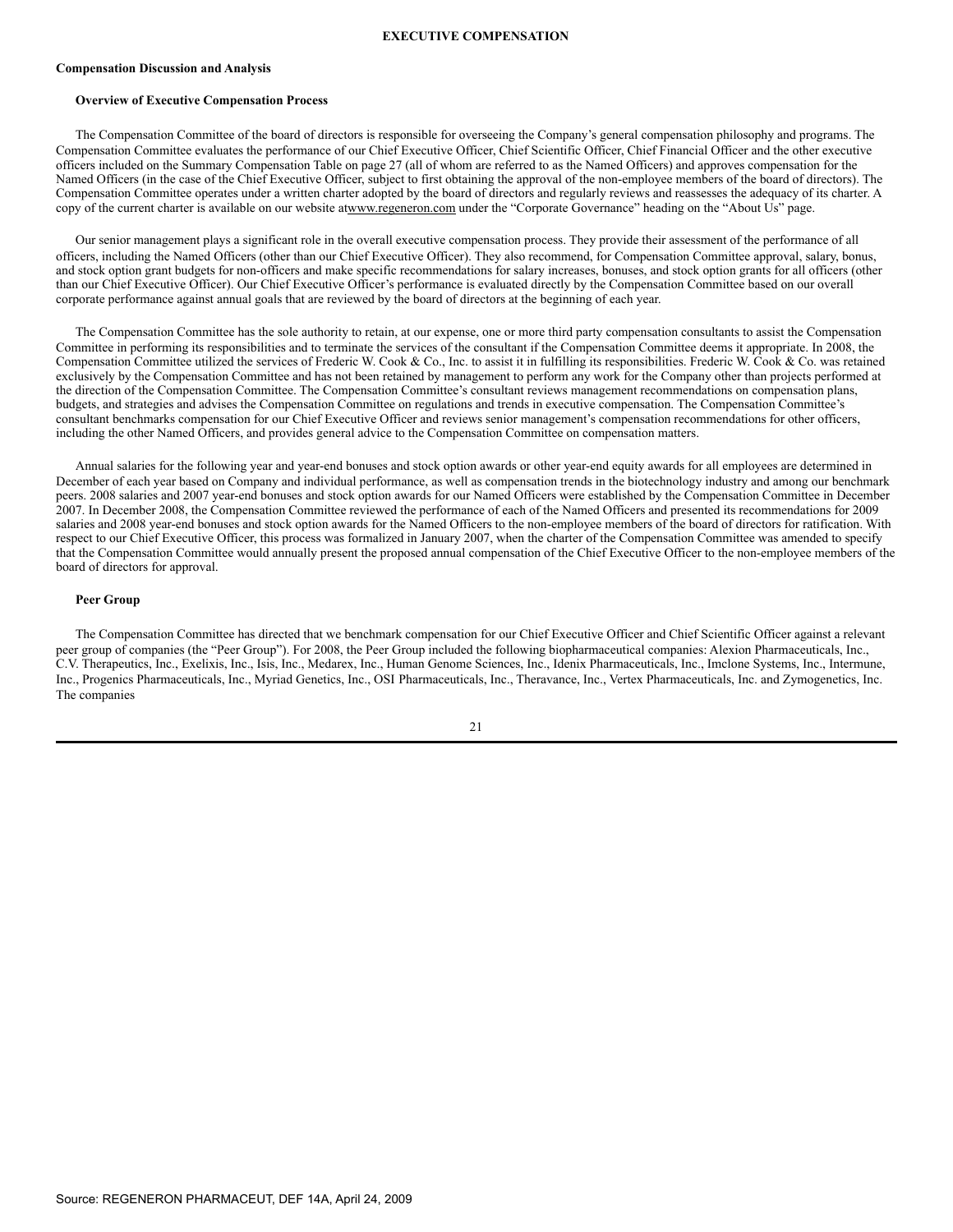#### **EXECUTIVE COMPENSATION**

#### **Compensation Discussion and Analysis**

#### **Overview of Executive Compensation Process**

 The Compensation Committee of the board of directors is responsible for overseeing the Company's general compensation philosophy and programs. The Compensation Committee evaluates the performance of our Chief Executive Officer, Chief Scientific Officer, Chief Financial Officer and the other executive officers included on the Summary Compensation Table on page 27 (all of whom are referred to as the Named Officers) and approves compensation for the Named Officers (in the case of the Chief Executive Officer, subject to first obtaining the approval of the non-employee members of the board of directors). The Compensation Committee operates under a written charter adopted by the board of directors and regularly reviews and reassesses the adequacy of its charter. A copy of the current charter is available on our website atwww.regeneron.com under the "Corporate Governance" heading on the "About Us" page.

 Our senior management plays a significant role in the overall executive compensation process. They provide their assessment of the performance of all officers, including the Named Officers (other than our Chief Executive Officer). They also recommend, for Compensation Committee approval, salary, bonus, and stock option grant budgets for non-officers and make specific recommendations for salary increases, bonuses, and stock option grants for all officers (other than our Chief Executive Officer). Our Chief Executive Officer's performance is evaluated directly by the Compensation Committee based on our overall corporate performance against annual goals that are reviewed by the board of directors at the beginning of each year.

 The Compensation Committee has the sole authority to retain, at our expense, one or more third party compensation consultants to assist the Compensation Committee in performing its responsibilities and to terminate the services of the consultant if the Compensation Committee deems it appropriate. In 2008, the Compensation Committee utilized the services of Frederic W. Cook & Co., Inc. to assist it in fulfilling its responsibilities. Frederic W. Cook & Co. was retained exclusively by the Compensation Committee and has not been retained by management to perform any work for the Company other than projects performed at the direction of the Compensation Committee. The Compensation Committee's consultant reviews management recommendations on compensation plans, budgets, and strategies and advises the Compensation Committee on regulations and trends in executive compensation. The Compensation Committee's consultant benchmarks compensation for our Chief Executive Officer and reviews senior management's compensation recommendations for other officers, including the other Named Officers, and provides general advice to the Compensation Committee on compensation matters.

 Annual salaries for the following year and year-end bonuses and stock option awards or other year-end equity awards for all employees are determined in December of each year based on Company and individual performance, as well as compensation trends in the biotechnology industry and among our benchmark peers. 2008 salaries and 2007 year-end bonuses and stock option awards for our Named Officers were established by the Compensation Committee in December 2007. In December 2008, the Compensation Committee reviewed the performance of each of the Named Officers and presented its recommendations for 2009 salaries and 2008 year-end bonuses and stock option awards for the Named Officers to the non-employee members of the board of directors for ratification. With respect to our Chief Executive Officer, this process was formalized in January 2007, when the charter of the Compensation Committee was amended to specify that the Compensation Committee would annually present the proposed annual compensation of the Chief Executive Officer to the non-employee members of the board of directors for approval.

#### **Peer Group**

 The Compensation Committee has directed that we benchmark compensation for our Chief Executive Officer and Chief Scientific Officer against a relevant peer group of companies (the "Peer Group"). For 2008, the Peer Group included the following biopharmaceutical companies: Alexion Pharmaceuticals, Inc., C.V. Therapeutics, Inc., Exelixis, Inc., Isis, Inc., Medarex, Inc., Human Genome Sciences, Inc., Idenix Pharmaceuticals, Inc., Imclone Systems, Inc., Intermune, Inc., Progenics Pharmaceuticals, Inc., Myriad Genetics, Inc., OSI Pharmaceuticals, Inc., Theravance, Inc., Vertex Pharmaceuticals, Inc. and Zymogenetics, Inc. The companies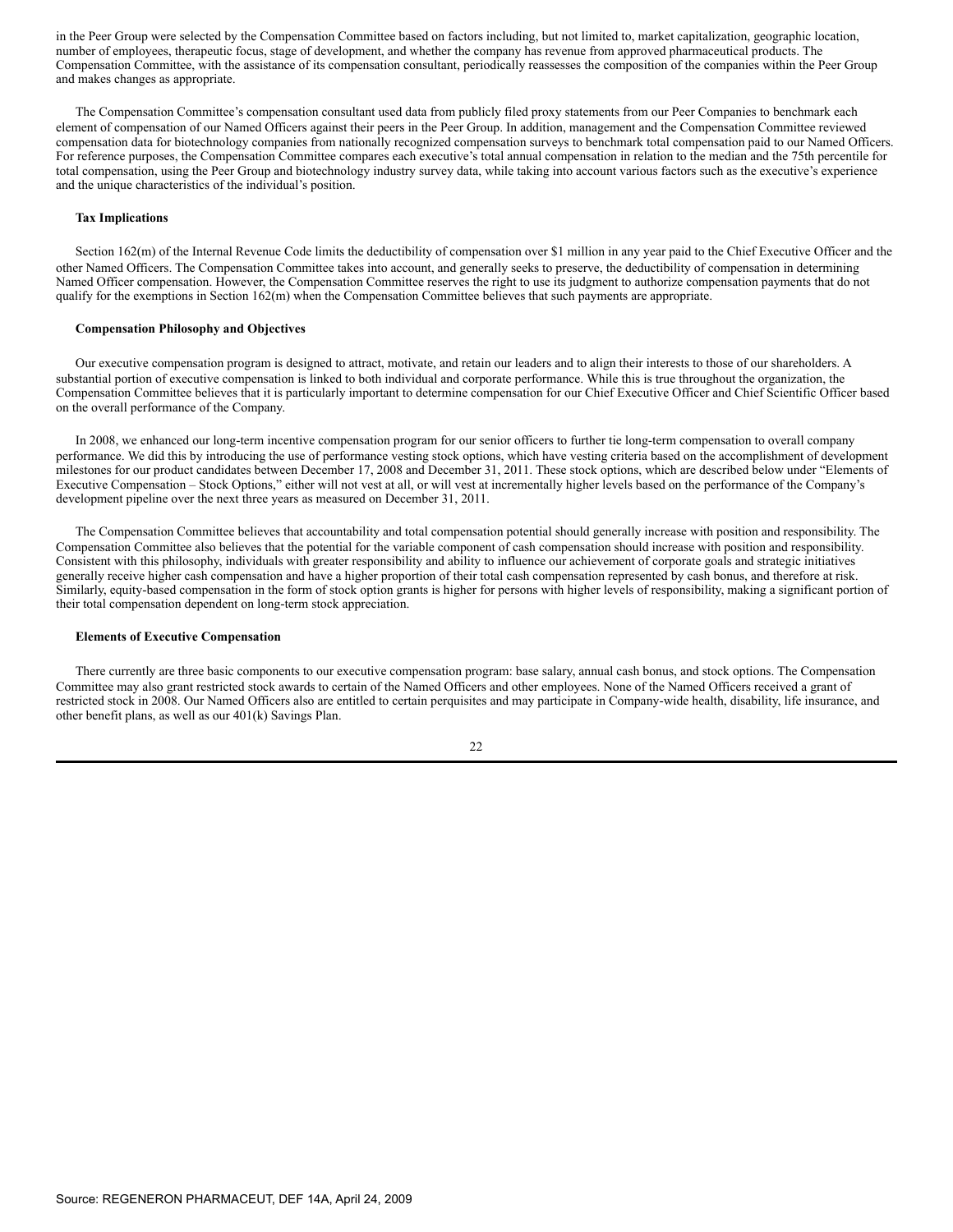in the Peer Group were selected by the Compensation Committee based on factors including, but not limited to, market capitalization, geographic location, number of employees, therapeutic focus, stage of development, and whether the company has revenue from approved pharmaceutical products. The Compensation Committee, with the assistance of its compensation consultant, periodically reassesses the composition of the companies within the Peer Group and makes changes as appropriate.

 The Compensation Committee's compensation consultant used data from publicly filed proxy statements from our Peer Companies to benchmark each element of compensation of our Named Officers against their peers in the Peer Group. In addition, management and the Compensation Committee reviewed compensation data for biotechnology companies from nationally recognized compensation surveys to benchmark total compensation paid to our Named Officers. For reference purposes, the Compensation Committee compares each executive's total annual compensation in relation to the median and the 75th percentile for total compensation, using the Peer Group and biotechnology industry survey data, while taking into account various factors such as the executive's experience and the unique characteristics of the individual's position.

#### **Tax Implications**

 Section 162(m) of the Internal Revenue Code limits the deductibility of compensation over \$1 million in any year paid to the Chief Executive Officer and the other Named Officers. The Compensation Committee takes into account, and generally seeks to preserve, the deductibility of compensation in determining Named Officer compensation. However, the Compensation Committee reserves the right to use its judgment to authorize compensation payments that do not qualify for the exemptions in Section 162(m) when the Compensation Committee believes that such payments are appropriate.

#### **Compensation Philosophy and Objectives**

 Our executive compensation program is designed to attract, motivate, and retain our leaders and to align their interests to those of our shareholders. A substantial portion of executive compensation is linked to both individual and corporate performance. While this is true throughout the organization, the Compensation Committee believes that it is particularly important to determine compensation for our Chief Executive Officer and Chief Scientific Officer based on the overall performance of the Company.

 In 2008, we enhanced our long-term incentive compensation program for our senior officers to further tie long-term compensation to overall company performance. We did this by introducing the use of performance vesting stock options, which have vesting criteria based on the accomplishment of development milestones for our product candidates between December 17, 2008 and December 31, 2011. These stock options, which are described below under "Elements of Executive Compensation – Stock Options," either will not vest at all, or will vest at incrementally higher levels based on the performance of the Company's development pipeline over the next three years as measured on December 31, 2011.

 The Compensation Committee believes that accountability and total compensation potential should generally increase with position and responsibility. The Compensation Committee also believes that the potential for the variable component of cash compensation should increase with position and responsibility. Consistent with this philosophy, individuals with greater responsibility and ability to influence our achievement of corporate goals and strategic initiatives generally receive higher cash compensation and have a higher proportion of their total cash compensation represented by cash bonus, and therefore at risk. Similarly, equity-based compensation in the form of stock option grants is higher for persons with higher levels of responsibility, making a significant portion of their total compensation dependent on long-term stock appreciation.

#### **Elements of Executive Compensation**

 There currently are three basic components to our executive compensation program: base salary, annual cash bonus, and stock options. The Compensation Committee may also grant restricted stock awards to certain of the Named Officers and other employees. None of the Named Officers received a grant of restricted stock in 2008. Our Named Officers also are entitled to certain perquisites and may participate in Company-wide health, disability, life insurance, and other benefit plans, as well as our 401(k) Savings Plan.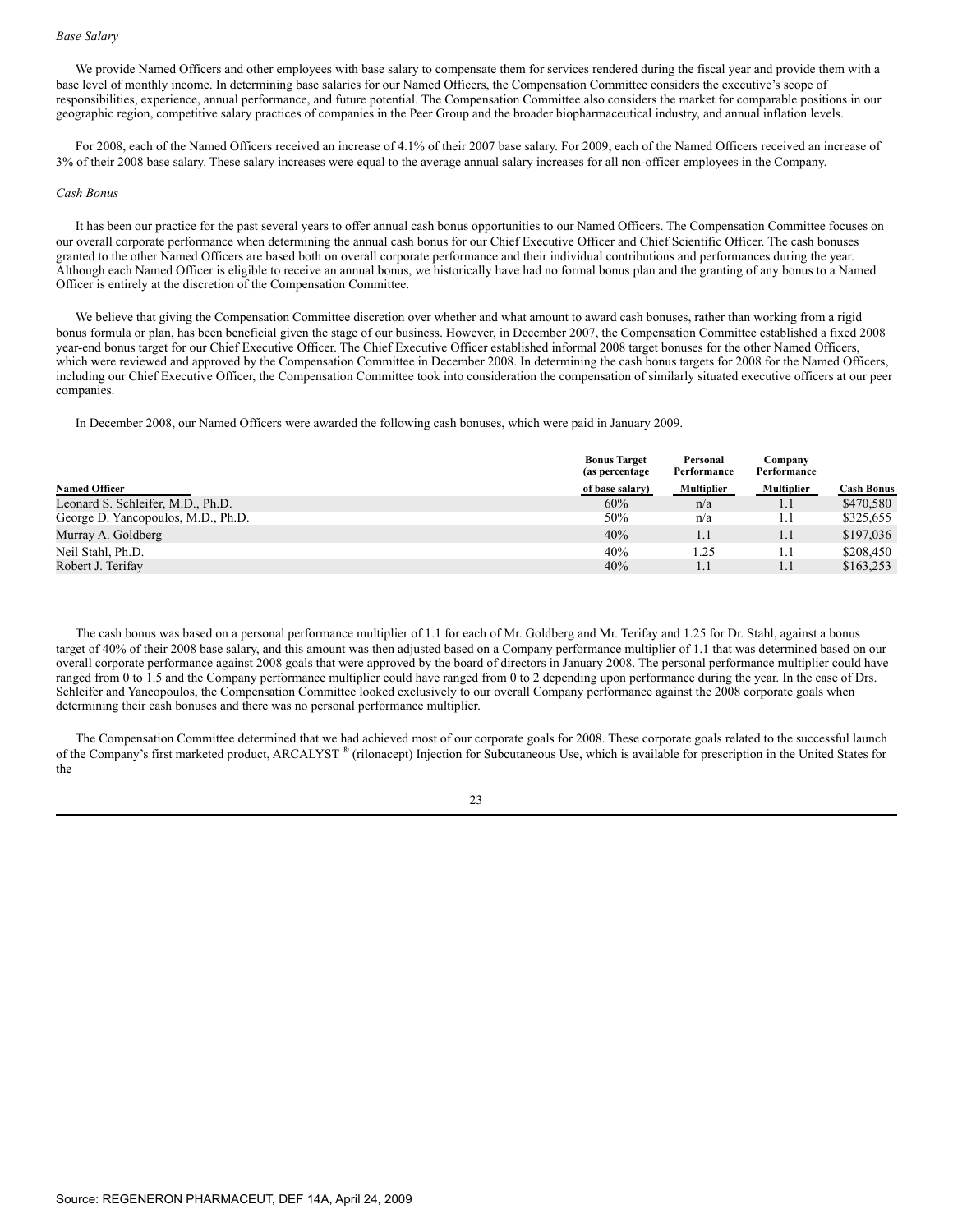#### *Base Salary*

 We provide Named Officers and other employees with base salary to compensate them for services rendered during the fiscal year and provide them with a base level of monthly income. In determining base salaries for our Named Officers, the Compensation Committee considers the executive's scope of responsibilities, experience, annual performance, and future potential. The Compensation Committee also considers the market for comparable positions in our geographic region, competitive salary practices of companies in the Peer Group and the broader biopharmaceutical industry, and annual inflation levels.

 For 2008, each of the Named Officers received an increase of 4.1% of their 2007 base salary. For 2009, each of the Named Officers received an increase of 3% of their 2008 base salary. These salary increases were equal to the average annual salary increases for all non-officer employees in the Company.

#### *Cash Bonus*

 It has been our practice for the past several years to offer annual cash bonus opportunities to our Named Officers. The Compensation Committee focuses on our overall corporate performance when determining the annual cash bonus for our Chief Executive Officer and Chief Scientific Officer. The cash bonuses granted to the other Named Officers are based both on overall corporate performance and their individual contributions and performances during the year. Although each Named Officer is eligible to receive an annual bonus, we historically have had no formal bonus plan and the granting of any bonus to a Named Officer is entirely at the discretion of the Compensation Committee.

 We believe that giving the Compensation Committee discretion over whether and what amount to award cash bonuses, rather than working from a rigid bonus formula or plan, has been beneficial given the stage of our business. However, in December 2007, the Compensation Committee established a fixed 2008 year-end bonus target for our Chief Executive Officer. The Chief Executive Officer established informal 2008 target bonuses for the other Named Officers, which were reviewed and approved by the Compensation Committee in December 2008. In determining the cash bonus targets for 2008 for the Named Officers, including our Chief Executive Officer, the Compensation Committee took into consideration the compensation of similarly situated executive officers at our peer companies.

In December 2008, our Named Officers were awarded the following cash bonuses, which were paid in January 2009.

|                                    | <b>Bonus Target</b><br>(as percentage) | Personal<br>Performance | Company<br>Performance |            |
|------------------------------------|----------------------------------------|-------------------------|------------------------|------------|
| <b>Named Officer</b>               | of base salary)                        | <b>Multiplier</b>       | <b>Multiplier</b>      | Cash Bonus |
| Leonard S. Schleifer, M.D., Ph.D.  | 60%                                    | n/a                     |                        | \$470.580  |
| George D. Yancopoulos, M.D., Ph.D. | 50%                                    | n/a                     |                        | \$325,655  |
| Murray A. Goldberg                 | 40%                                    | 1.1                     | 1.1                    | \$197,036  |
| Neil Stahl, Ph.D.                  | 40%                                    | 1.25                    |                        | \$208,450  |
| Robert J. Terifay                  | 40%                                    | 1.1                     | 1.1                    | \$163,253  |

 The cash bonus was based on a personal performance multiplier of 1.1 for each of Mr. Goldberg and Mr. Terifay and 1.25 for Dr. Stahl, against a bonus target of 40% of their 2008 base salary, and this amount was then adjusted based on a Company performance multiplier of 1.1 that was determined based on our overall corporate performance against 2008 goals that were approved by the board of directors in January 2008. The personal performance multiplier could have ranged from 0 to 1.5 and the Company performance multiplier could have ranged from 0 to 2 depending upon performance during the year. In the case of Drs. Schleifer and Yancopoulos, the Compensation Committee looked exclusively to our overall Company performance against the 2008 corporate goals when determining their cash bonuses and there was no personal performance multiplier.

 The Compensation Committee determined that we had achieved most of our corporate goals for 2008. These corporate goals related to the successful launch of the Company's first marketed product, ARCALYST  $^{\circ}$  (rilonacept) Injection for Subcutaneous Use, which is available for prescription in the United States for the

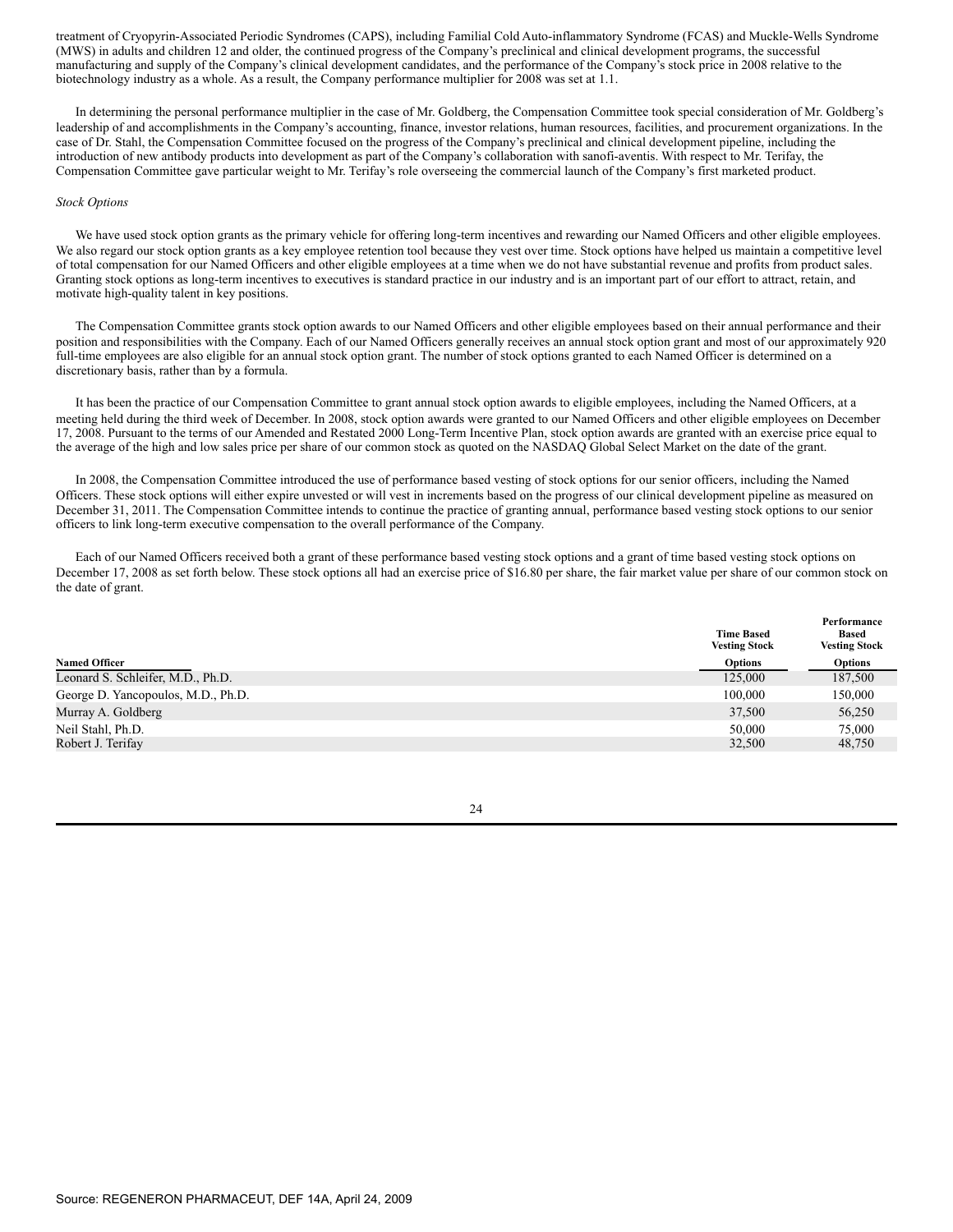treatment of Cryopyrin-Associated Periodic Syndromes (CAPS), including Familial Cold Auto-inflammatory Syndrome (FCAS) and Muckle-Wells Syndrome (MWS) in adults and children 12 and older, the continued progress of the Company's preclinical and clinical development programs, the successful manufacturing and supply of the Company's clinical development candidates, and the performance of the Company's stock price in 2008 relative to the biotechnology industry as a whole. As a result, the Company performance multiplier for 2008 was set at 1.1.

 In determining the personal performance multiplier in the case of Mr. Goldberg, the Compensation Committee took special consideration of Mr. Goldberg's leadership of and accomplishments in the Company's accounting, finance, investor relations, human resources, facilities, and procurement organizations. In the case of Dr. Stahl, the Compensation Committee focused on the progress of the Company's preclinical and clinical development pipeline, including the introduction of new antibody products into development as part of the Company's collaboration with sanofi-aventis. With respect to Mr. Terifay, the Compensation Committee gave particular weight to Mr. Terifay's role overseeing the commercial launch of the Company's first marketed product.

#### *Stock Options*

 We have used stock option grants as the primary vehicle for offering long-term incentives and rewarding our Named Officers and other eligible employees. We also regard our stock option grants as a key employee retention tool because they vest over time. Stock options have helped us maintain a competitive level of total compensation for our Named Officers and other eligible employees at a time when we do not have substantial revenue and profits from product sales. Granting stock options as long-term incentives to executives is standard practice in our industry and is an important part of our effort to attract, retain, and motivate high-quality talent in key positions.

 The Compensation Committee grants stock option awards to our Named Officers and other eligible employees based on their annual performance and their position and responsibilities with the Company. Each of our Named Officers generally receives an annual stock option grant and most of our approximately 920 full-time employees are also eligible for an annual stock option grant. The number of stock options granted to each Named Officer is determined on a discretionary basis, rather than by a formula.

 It has been the practice of our Compensation Committee to grant annual stock option awards to eligible employees, including the Named Officers, at a meeting held during the third week of December. In 2008, stock option awards were granted to our Named Officers and other eligible employees on December 17, 2008. Pursuant to the terms of our Amended and Restated 2000 Long-Term Incentive Plan, stock option awards are granted with an exercise price equal to the average of the high and low sales price per share of our common stock as quoted on the NASDAQ Global Select Market on the date of the grant.

 In 2008, the Compensation Committee introduced the use of performance based vesting of stock options for our senior officers, including the Named Officers. These stock options will either expire unvested or will vest in increments based on the progress of our clinical development pipeline as measured on December 31, 2011. The Compensation Committee intends to continue the practice of granting annual, performance based vesting stock options to our senior officers to link long-term executive compensation to the overall performance of the Company.

 Each of our Named Officers received both a grant of these performance based vesting stock options and a grant of time based vesting stock options on December 17, 2008 as set forth below. These stock options all had an exercise price of \$16.80 per share, the fair market value per share of our common stock on the date of grant.

|                                    | <b>Time Based</b><br><b>Vesting Stock</b> | Performance<br><b>Based</b><br><b>Vesting Stock</b> |
|------------------------------------|-------------------------------------------|-----------------------------------------------------|
| <b>Named Officer</b>               | Options                                   | Options                                             |
| Leonard S. Schleifer, M.D., Ph.D.  | 125,000                                   | 187,500                                             |
| George D. Yancopoulos, M.D., Ph.D. | 100,000                                   | 150,000                                             |
| Murray A. Goldberg                 | 37,500                                    | 56,250                                              |
| Neil Stahl, Ph.D.                  | 50,000                                    | 75,000                                              |
| Robert J. Terifay                  | 32,500                                    | 48,750                                              |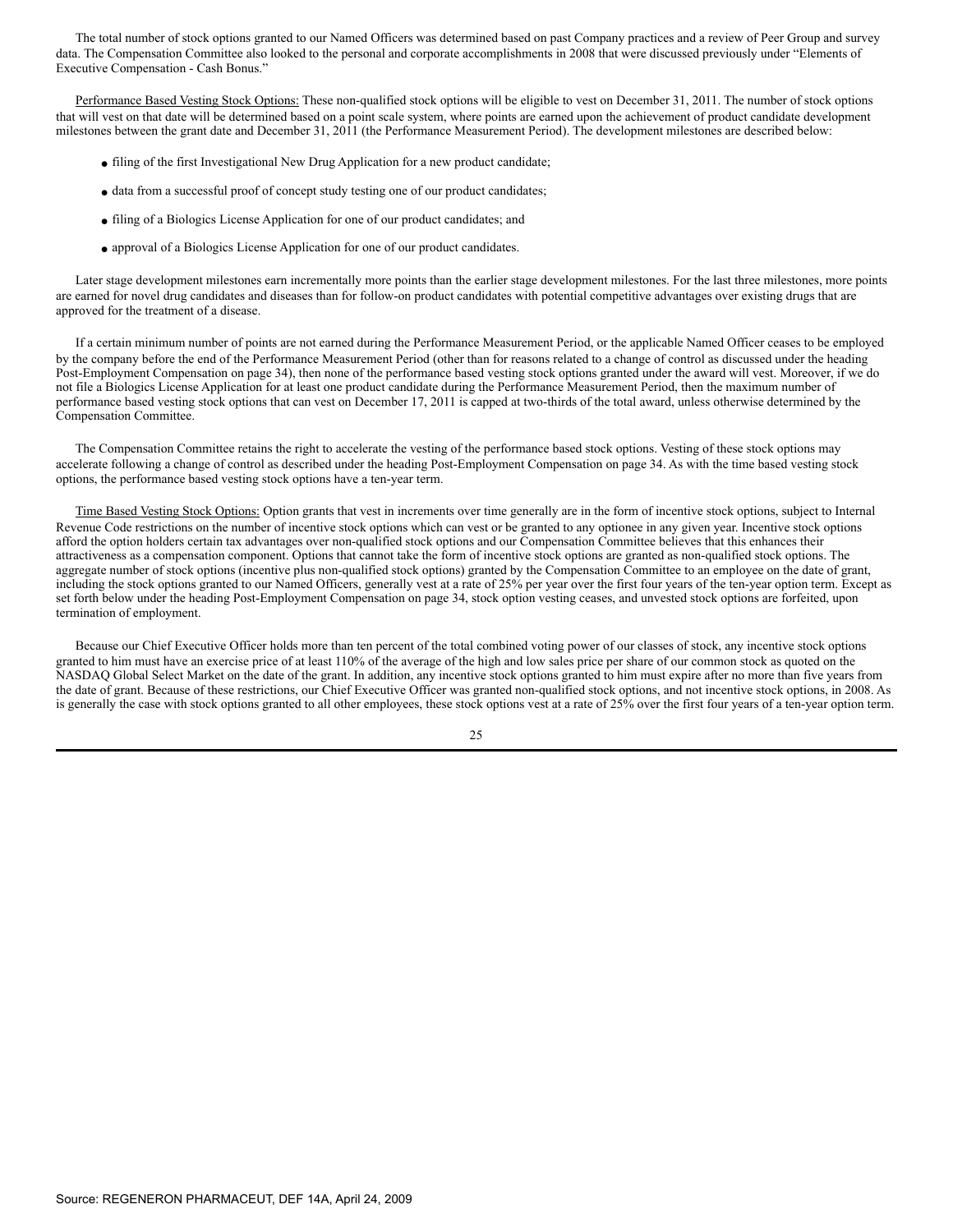The total number of stock options granted to our Named Officers was determined based on past Company practices and a review of Peer Group and survey data. The Compensation Committee also looked to the personal and corporate accomplishments in 2008 that were discussed previously under "Elements of Executive Compensation - Cash Bonus."

 Performance Based Vesting Stock Options: These non-qualified stock options will be eligible to vest on December 31, 2011. The number of stock options that will vest on that date will be determined based on a point scale system, where points are earned upon the achievement of product candidate development milestones between the grant date and December 31, 2011 (the Performance Measurement Period). The development milestones are described below:

- filing of the first Investigational New Drug Application for a new product candidate;
- data from a successful proof of concept study testing one of our product candidates;
- filing of a Biologics License Application for one of our product candidates; and
- approval of a Biologics License Application for one of our product candidates.

 Later stage development milestones earn incrementally more points than the earlier stage development milestones. For the last three milestones, more points are earned for novel drug candidates and diseases than for follow-on product candidates with potential competitive advantages over existing drugs that are approved for the treatment of a disease.

 If a certain minimum number of points are not earned during the Performance Measurement Period, or the applicable Named Officer ceases to be employed by the company before the end of the Performance Measurement Period (other than for reasons related to a change of control as discussed under the heading Post-Employment Compensation on page 34), then none of the performance based vesting stock options granted under the award will vest. Moreover, if we do not file a Biologics License Application for at least one product candidate during the Performance Measurement Period, then the maximum number of performance based vesting stock options that can vest on December 17, 2011 is capped at two-thirds of the total award, unless otherwise determined by the Compensation Committee.

 The Compensation Committee retains the right to accelerate the vesting of the performance based stock options. Vesting of these stock options may accelerate following a change of control as described under the heading Post-Employment Compensation on page 34. As with the time based vesting stock options, the performance based vesting stock options have a ten-year term.

 Time Based Vesting Stock Options: Option grants that vest in increments over time generally are in the form of incentive stock options, subject to Internal Revenue Code restrictions on the number of incentive stock options which can vest or be granted to any optionee in any given year. Incentive stock options afford the option holders certain tax advantages over non-qualified stock options and our Compensation Committee believes that this enhances their attractiveness as a compensation component. Options that cannot take the form of incentive stock options are granted as non-qualified stock options. The aggregate number of stock options (incentive plus non-qualified stock options) granted by the Compensation Committee to an employee on the date of grant, including the stock options granted to our Named Officers, generally vest at a rate of 25% per year over the first four years of the ten-year option term. Except as set forth below under the heading Post-Employment Compensation on page 34, stock option vesting ceases, and unvested stock options are forfeited, upon termination of employment.

 Because our Chief Executive Officer holds more than ten percent of the total combined voting power of our classes of stock, any incentive stock options granted to him must have an exercise price of at least 110% of the average of the high and low sales price per share of our common stock as quoted on the NASDAQ Global Select Market on the date of the grant. In addition, any incentive stock options granted to him must expire after no more than five years from the date of grant. Because of these restrictions, our Chief Executive Officer was granted non-qualified stock options, and not incentive stock options, in 2008. As is generally the case with stock options granted to all other employees, these stock options vest at a rate of 25% over the first four years of a ten-year option term.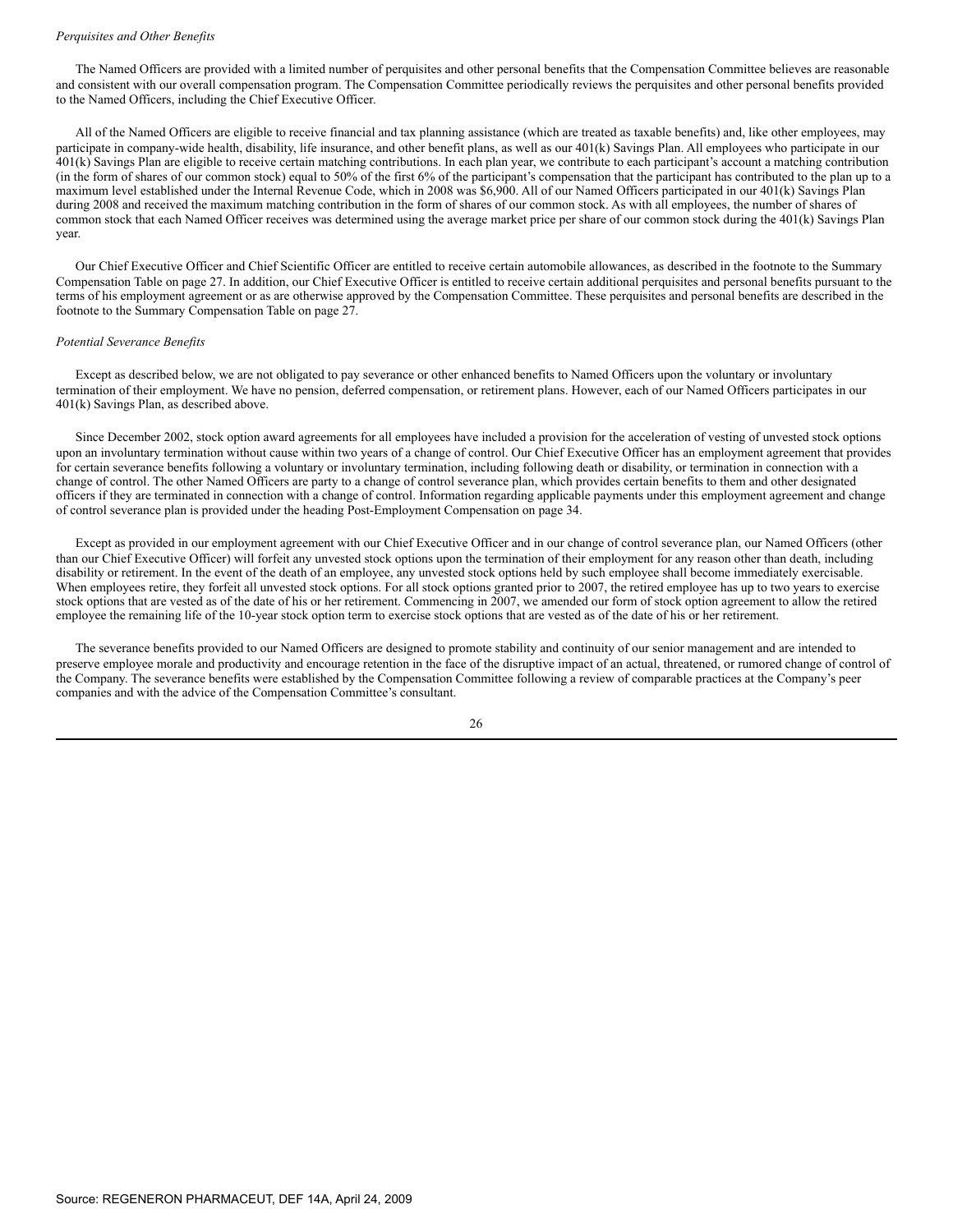#### *Perquisites and Other Benefits*

 The Named Officers are provided with a limited number of perquisites and other personal benefits that the Compensation Committee believes are reasonable and consistent with our overall compensation program. The Compensation Committee periodically reviews the perquisites and other personal benefits provided to the Named Officers, including the Chief Executive Officer.

 All of the Named Officers are eligible to receive financial and tax planning assistance (which are treated as taxable benefits) and, like other employees, may participate in company-wide health, disability, life insurance, and other benefit plans, as well as our 401(k) Savings Plan. All employees who participate in our 401(k) Savings Plan are eligible to receive certain matching contributions. In each plan year, we contribute to each participant's account a matching contribution (in the form of shares of our common stock) equal to 50% of the first 6% of the participant's compensation that the participant has contributed to the plan up to a maximum level established under the Internal Revenue Code, which in 2008 was \$6,900. All of our Named Officers participated in our 401(k) Savings Plan during 2008 and received the maximum matching contribution in the form of shares of our common stock. As with all employees, the number of shares of common stock that each Named Officer receives was determined using the average market price per share of our common stock during the 401(k) Savings Plan year.

 Our Chief Executive Officer and Chief Scientific Officer are entitled to receive certain automobile allowances, as described in the footnote to the Summary Compensation Table on page 27. In addition, our Chief Executive Officer is entitled to receive certain additional perquisites and personal benefits pursuant to the terms of his employment agreement or as are otherwise approved by the Compensation Committee. These perquisites and personal benefits are described in the footnote to the Summary Compensation Table on page 27.

#### *Potential Severance Benefits*

 Except as described below, we are not obligated to pay severance or other enhanced benefits to Named Officers upon the voluntary or involuntary termination of their employment. We have no pension, deferred compensation, or retirement plans. However, each of our Named Officers participates in our 401(k) Savings Plan, as described above.

 Since December 2002, stock option award agreements for all employees have included a provision for the acceleration of vesting of unvested stock options upon an involuntary termination without cause within two years of a change of control. Our Chief Executive Officer has an employment agreement that provides for certain severance benefits following a voluntary or involuntary termination, including following death or disability, or termination in connection with a change of control. The other Named Officers are party to a change of control severance plan, which provides certain benefits to them and other designated officers if they are terminated in connection with a change of control. Information regarding applicable payments under this employment agreement and change of control severance plan is provided under the heading Post-Employment Compensation on page 34.

 Except as provided in our employment agreement with our Chief Executive Officer and in our change of control severance plan, our Named Officers (other than our Chief Executive Officer) will forfeit any unvested stock options upon the termination of their employment for any reason other than death, including disability or retirement. In the event of the death of an employee, any unvested stock options held by such employee shall become immediately exercisable. When employees retire, they forfeit all unvested stock options. For all stock options granted prior to 2007, the retired employee has up to two years to exercise stock options that are vested as of the date of his or her retirement. Commencing in 2007, we amended our form of stock option agreement to allow the retired employee the remaining life of the 10-year stock option term to exercise stock options that are vested as of the date of his or her retirement.

 The severance benefits provided to our Named Officers are designed to promote stability and continuity of our senior management and are intended to preserve employee morale and productivity and encourage retention in the face of the disruptive impact of an actual, threatened, or rumored change of control of the Company. The severance benefits were established by the Compensation Committee following a review of comparable practices at the Company's peer companies and with the advice of the Compensation Committee's consultant.

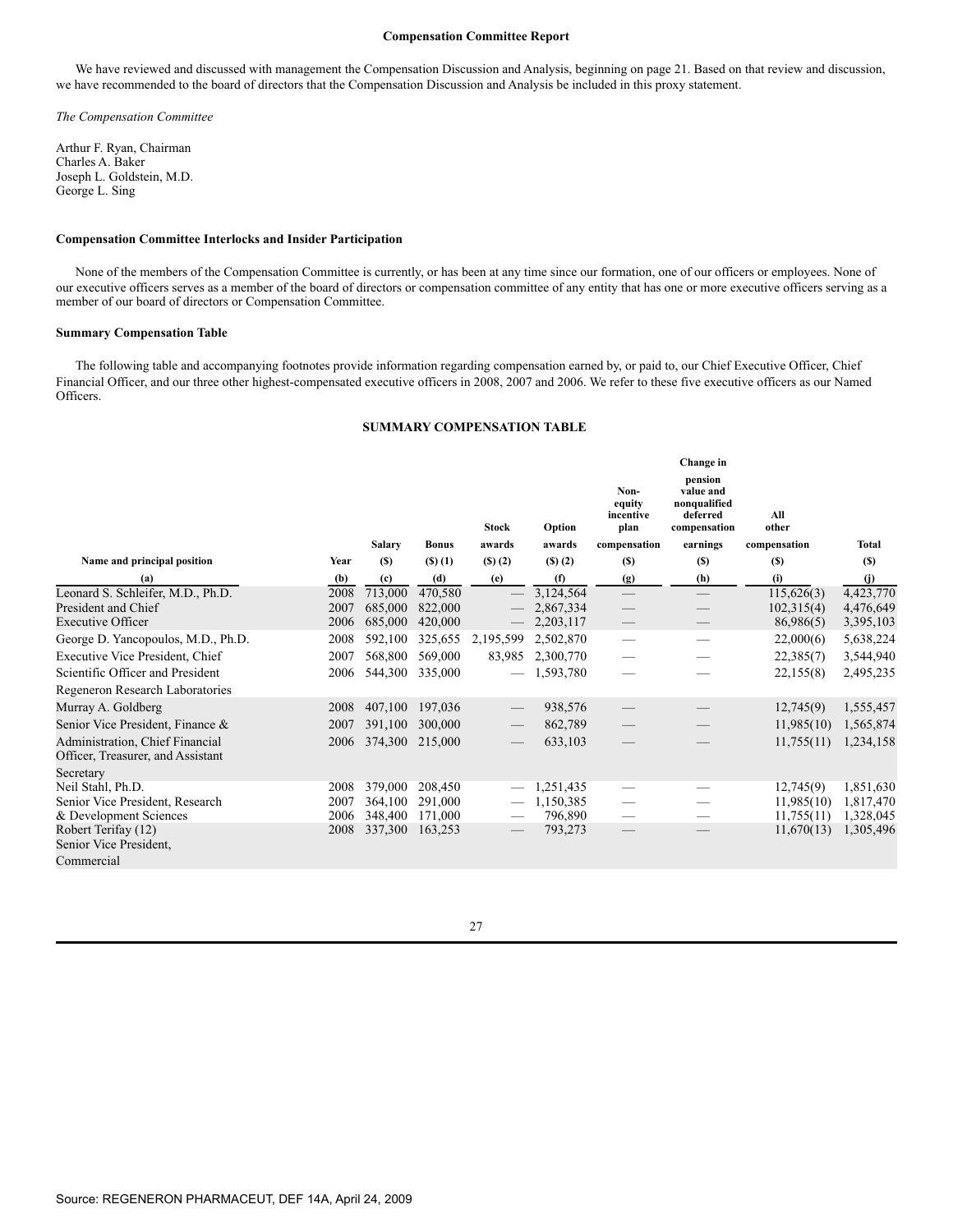#### **Compensation Committee Report**

 We have reviewed and discussed with management the Compensation Discussion and Analysis, beginning on page 21. Based on that review and discussion, we have recommended to the board of directors that the Compensation Discussion and Analysis be included in this proxy statement.

*The Compensation Committee*

Arthur F. Ryan, Chairman Charles A. Baker Joseph L. Goldstein, M.D. George L. Sing

# **Compensation Committee Interlocks and Insider Participation**

None of the members of the Compensation Committee is currently, or has been at any time since our formation, one of our officers or employees. None of our executive officers serves as a member of the board of directors or compensation committee of any entity that has one or more executive officers serving as a member of our board of directors or Compensation Committee.

#### **Summary Compensation Table**

 The following table and accompanying footnotes provide information regarding compensation earned by, or paid to, our Chief Executive Officer, Chief Financial Officer, and our three other highest-compensated executive officers in 2008, 2007 and 2006. We refer to these five executive officers as our Named Officers.

#### **SUMMARY COMPENSATION TABLE**

|      |                                                     |                                                                                                          | <b>Stock</b>                                                                                                     | Option             | Non-<br>equity<br>incentive<br>plan                                                   | Change in<br>pension<br>value and<br>nonqualified<br>deferred<br>compensation | All<br>other           |                                                                                 |
|------|-----------------------------------------------------|----------------------------------------------------------------------------------------------------------|------------------------------------------------------------------------------------------------------------------|--------------------|---------------------------------------------------------------------------------------|-------------------------------------------------------------------------------|------------------------|---------------------------------------------------------------------------------|
|      |                                                     |                                                                                                          | awards                                                                                                           | awards             | compensation                                                                          |                                                                               | compensation           | <b>Total</b>                                                                    |
|      |                                                     |                                                                                                          |                                                                                                                  |                    |                                                                                       |                                                                               |                        | (S)<br>(i)                                                                      |
|      |                                                     |                                                                                                          |                                                                                                                  |                    |                                                                                       |                                                                               |                        | 4,423,770                                                                       |
|      |                                                     |                                                                                                          |                                                                                                                  |                    |                                                                                       |                                                                               |                        | 4,476,649                                                                       |
| 2006 |                                                     | 420,000                                                                                                  |                                                                                                                  | 2,203,117          | $\hspace{0.1cm}-\hspace{0.1cm}$                                                       |                                                                               | 86,986(5)              | 3,395,103                                                                       |
| 2008 | 592,100                                             | 325.655                                                                                                  | 2,195,599                                                                                                        | 2,502,870          | $\overline{\phantom{m}}$                                                              |                                                                               | 22,000(6)              | 5,638,224                                                                       |
| 2007 | 568,800                                             | 569,000                                                                                                  | 83,985                                                                                                           | 2,300,770          |                                                                                       |                                                                               | 22,385(7)              | 3,544,940                                                                       |
| 2006 | 544.300                                             | 335,000                                                                                                  |                                                                                                                  | 1,593,780          |                                                                                       |                                                                               | 22,155(8)              | 2,495,235                                                                       |
|      |                                                     |                                                                                                          |                                                                                                                  |                    |                                                                                       |                                                                               |                        |                                                                                 |
| 2008 | 407.100                                             | 197.036                                                                                                  |                                                                                                                  | 938,576            |                                                                                       |                                                                               | 12,745(9)              | 1,555,457                                                                       |
| 2007 |                                                     | 300,000                                                                                                  |                                                                                                                  | 862,789            |                                                                                       |                                                                               | 11,985(10)             | 1,565,874                                                                       |
| 2006 |                                                     |                                                                                                          |                                                                                                                  | 633,103            |                                                                                       |                                                                               | 11,755(11)             | 1,234,158                                                                       |
|      |                                                     |                                                                                                          |                                                                                                                  |                    |                                                                                       |                                                                               |                        |                                                                                 |
|      |                                                     |                                                                                                          |                                                                                                                  |                    |                                                                                       |                                                                               |                        | 1,851,630                                                                       |
|      |                                                     |                                                                                                          |                                                                                                                  |                    |                                                                                       |                                                                               |                        | 1,817,470<br>1,328,045                                                          |
| 2008 | 337,300                                             | 163,253                                                                                                  |                                                                                                                  | 793,273            |                                                                                       |                                                                               | 11,670(13)             | 1,305,496                                                                       |
|      | Year<br>(b)<br>2008<br>2007<br>2008<br>2007<br>2006 | <b>Salary</b><br>(S)<br>(c)<br>713,000<br>685,000<br>685,000<br>391,100<br>379,000<br>364,100<br>348,400 | <b>Bonus</b><br>$($ S $)$ $(1)$<br>(d)<br>470.580<br>822,000<br>374,300 215,000<br>208,450<br>291,000<br>171.000 | $(S)$ $(2)$<br>(e) | $($ S $)$ $(2)$<br>(f)<br>3,124,564<br>2,867,334<br>1,251,435<br>1,150,385<br>796,890 | (S)<br>(g)                                                                    | earnings<br>(S)<br>(h) | (S)<br>(i)<br>115,626(3)<br>102,315(4)<br>12,745(9)<br>11,985(10)<br>11,755(11) |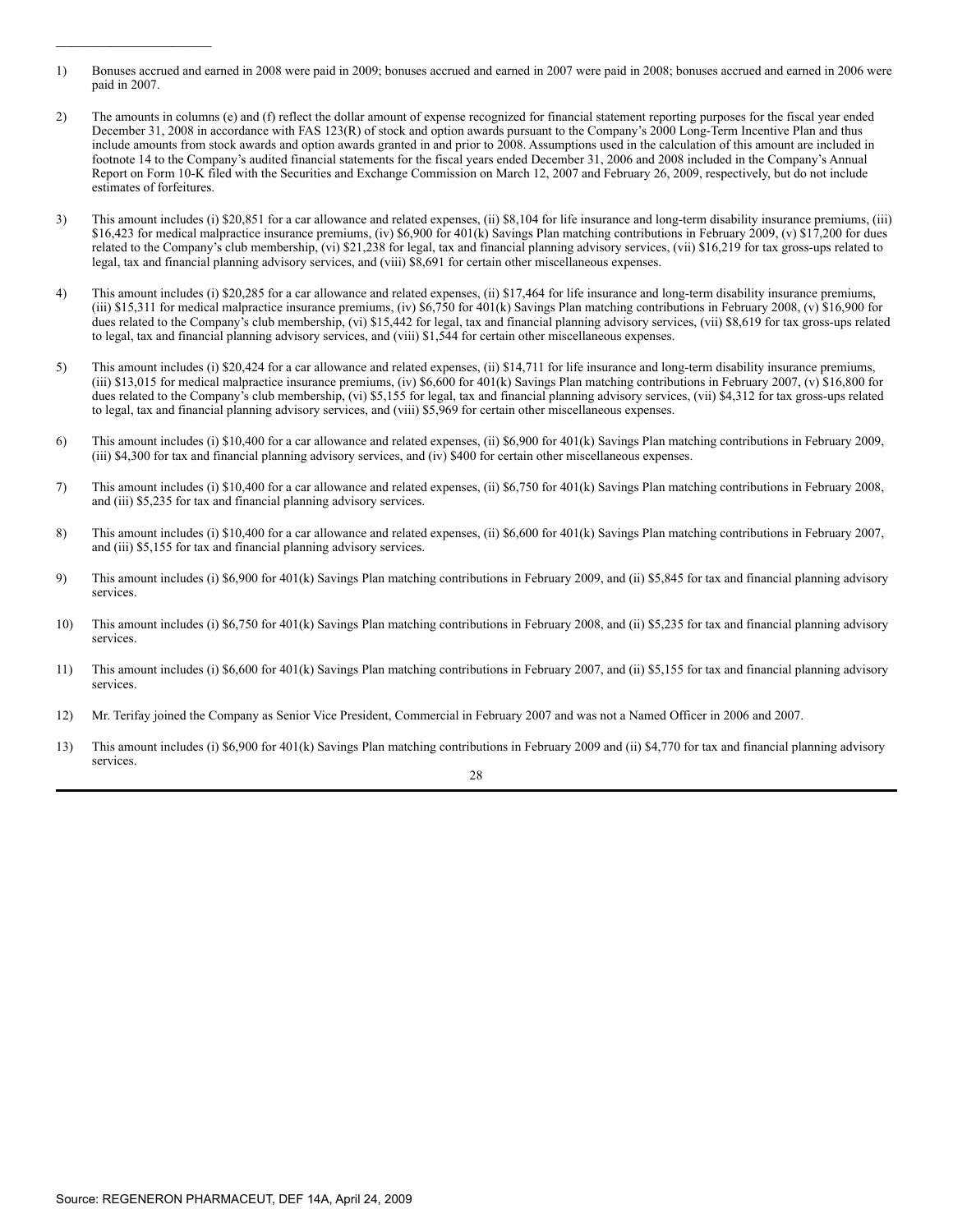- 1) Bonuses accrued and earned in 2008 were paid in 2009; bonuses accrued and earned in 2007 were paid in 2008; bonuses accrued and earned in 2006 were paid in 2007.
- 2) The amounts in columns (e) and (f) reflect the dollar amount of expense recognized for financial statement reporting purposes for the fiscal year ended December 31, 2008 in accordance with FAS 123(R) of stock and option awards pursuant to the Company's 2000 Long-Term Incentive Plan and thus include amounts from stock awards and option awards granted in and prior to 2008. Assumptions used in the calculation of this amount are included in footnote 14 to the Company's audited financial statements for the fiscal years ended December 31, 2006 and 2008 included in the Company's Annual Report on Form 10-K filed with the Securities and Exchange Commission on March 12, 2007 and February 26, 2009, respectively, but do not include estimates of forfeitures.
- 3) This amount includes (i) \$20,851 for a car allowance and related expenses, (ii) \$8,104 for life insurance and long-term disability insurance premiums, (iii) \$16,423 for medical malpractice insurance premiums, (iv) \$6,900 for 401(k) Savings Plan matching contributions in February 2009, (v) \$17,200 for dues related to the Company's club membership, (vi) \$21,238 for legal, tax and financial planning advisory services, (vii) \$16,219 for tax gross-ups related to legal, tax and financial planning advisory services, and (viii) \$8,691 for certain other miscellaneous expenses.
- 4) This amount includes (i) \$20,285 for a car allowance and related expenses, (ii) \$17,464 for life insurance and long-term disability insurance premiums, (iii) \$15,311 for medical malpractice insurance premiums, (iv) \$6,750 for 401(k) Savings Plan matching contributions in February 2008, (v) \$16,900 for dues related to the Company's club membership, (vi) \$15,442 for legal, tax and financial planning advisory services, (vii) \$8,619 for tax gross-ups related to legal, tax and financial planning advisory services, and (viii) \$1,544 for certain other miscellaneous expenses.
- 5) This amount includes (i) \$20,424 for a car allowance and related expenses, (ii) \$14,711 for life insurance and long-term disability insurance premiums, (iii)  $$13,015$  for medical malpractice insurance premiums, (iv)  $$6,600$  for  $401(k)$  Savings Plan matching contributions in February 2007, (v)  $$16,800$  for dues related to the Company's club membership, (vi) \$5,155 for legal, tax and financial planning advisory services, (vii) \$4,312 for tax gross-ups related to legal, tax and financial planning advisory services, and (viii) \$5,969 for certain other miscellaneous expenses.
- 6) This amount includes (i) \$10,400 for a car allowance and related expenses, (ii) \$6,900 for 401(k) Savings Plan matching contributions in February 2009, (iii) \$4,300 for tax and financial planning advisory services, and (iv) \$400 for certain other miscellaneous expenses.
- 7) This amount includes (i) \$10,400 for a car allowance and related expenses, (ii) \$6,750 for 401(k) Savings Plan matching contributions in February 2008, and (iii) \$5,235 for tax and financial planning advisory services.
- 8) This amount includes (i) \$10,400 for a car allowance and related expenses, (ii) \$6,600 for 401(k) Savings Plan matching contributions in February 2007, and (iii) \$5,155 for tax and financial planning advisory services.
- 9) This amount includes (i) \$6,900 for 401(k) Savings Plan matching contributions in February 2009, and (ii) \$5,845 for tax and financial planning advisory services.
- 10) This amount includes (i) \$6,750 for 401(k) Savings Plan matching contributions in February 2008, and (ii) \$5,235 for tax and financial planning advisory services.
- 11) This amount includes (i) \$6,600 for 401(k) Savings Plan matching contributions in February 2007, and (ii) \$5,155 for tax and financial planning advisory services.
- 12) Mr. Terifay joined the Company as Senior Vice President, Commercial in February 2007 and was not a Named Officer in 2006 and 2007.
- 13) This amount includes (i) \$6,900 for 401(k) Savings Plan matching contributions in February 2009 and (ii) \$4,770 for tax and financial planning advisory services.

28

 $\overline{\phantom{a}}$  . The set of the set of the set of the set of the set of the set of the set of the set of the set of the set of the set of the set of the set of the set of the set of the set of the set of the set of the set o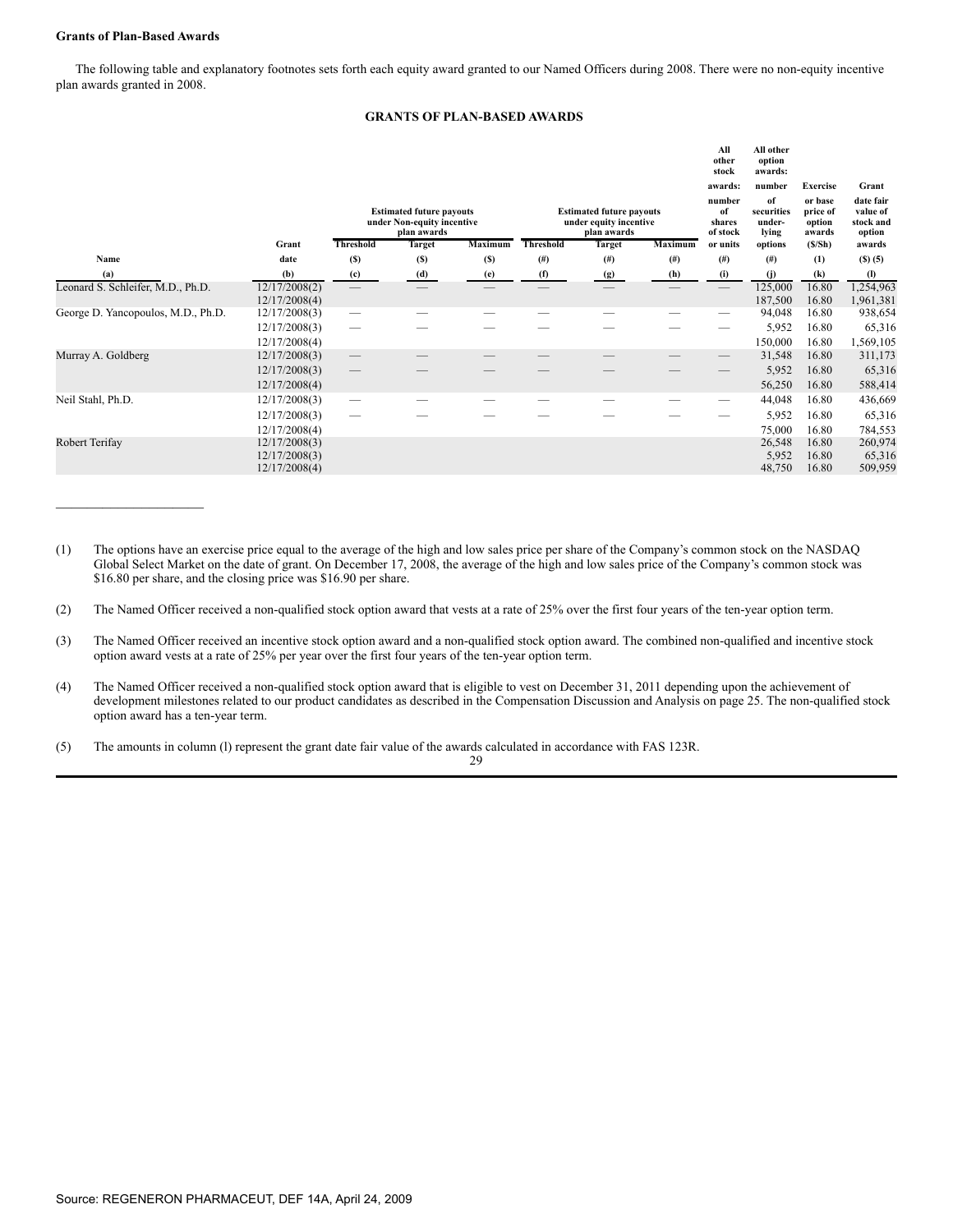#### **Grants of Plan-Based Awards**

 $\overline{\phantom{a}}$  , where  $\overline{\phantom{a}}$ 

 The following table and explanatory footnotes sets forth each equity award granted to our Named Officers during 2008. There were no non-equity incentive plan awards granted in 2008.

### **GRANTS OF PLAN-BASED AWARDS**

|                                    |                                |                               |                                                                              |                |                  |                                                                          |                | All<br>other<br>stock              | All other<br>option<br>awards:      |                                         |                                              |
|------------------------------------|--------------------------------|-------------------------------|------------------------------------------------------------------------------|----------------|------------------|--------------------------------------------------------------------------|----------------|------------------------------------|-------------------------------------|-----------------------------------------|----------------------------------------------|
|                                    |                                |                               |                                                                              |                |                  |                                                                          |                | awards:                            | number                              | <b>Exercise</b>                         | Grant                                        |
|                                    |                                |                               | <b>Estimated future payouts</b><br>under Non-equity incentive<br>plan awards |                |                  | <b>Estimated future payouts</b><br>under equity incentive<br>plan awards |                | number<br>of<br>shares<br>of stock | of<br>securities<br>under-<br>lying | or base<br>price of<br>option<br>awards | date fair<br>value of<br>stock and<br>option |
|                                    | Grant                          | <b>Threshold</b>              | <b>Target</b>                                                                | <b>Maximum</b> | <b>Threshold</b> | <b>Target</b>                                                            | <b>Maximum</b> | or units                           | options                             | (S/Sh)                                  | awards                                       |
| Name                               | date                           | (S)                           | (S)                                                                          | (S)            | $(\#)$           | (# )                                                                     | (# )           | (# )                               | $^{(#)}$                            | (1)                                     | $(S)$ (5)                                    |
| (a)                                | (b)                            | (c)                           | (d)                                                                          | (e)            | (f)              | (g)                                                                      | (h)            | (i)                                | (i)                                 | (k)                                     | (1)                                          |
| Leonard S. Schleifer, M.D., Ph.D.  | 12/17/2008(2)<br>12/17/2008(4) |                               |                                                                              |                |                  |                                                                          |                |                                    | 125,000<br>187,500                  | 16.80<br>16.80                          | 1,254,963<br>1,961,381                       |
| George D. Yancopoulos, M.D., Ph.D. | 12/17/2008(3)                  |                               |                                                                              |                |                  |                                                                          |                |                                    | 94,048                              | 16.80                                   | 938,654                                      |
|                                    | 12/17/2008(3)                  |                               |                                                                              |                |                  |                                                                          |                |                                    | 5,952                               | 16.80                                   | 65,316                                       |
|                                    | 12/17/2008(4)                  |                               |                                                                              |                |                  |                                                                          |                |                                    | 150,000                             | 16.80                                   | 1,569,105                                    |
| Murray A. Goldberg                 | 12/17/2008(3)                  | $\overbrace{\phantom{12333}}$ |                                                                              |                |                  |                                                                          |                |                                    | 31,548                              | 16.80                                   | 311,173                                      |
|                                    | 12/17/2008(3)                  |                               |                                                                              |                |                  |                                                                          |                |                                    | 5,952                               | 16.80                                   | 65,316                                       |
|                                    | 12/17/2008(4)                  |                               |                                                                              |                |                  |                                                                          |                |                                    | 56,250                              | 16.80                                   | 588,414                                      |
| Neil Stahl, Ph.D.                  | 12/17/2008(3)                  |                               |                                                                              |                |                  |                                                                          |                |                                    | 44,048                              | 16.80                                   | 436,669                                      |
|                                    | 12/17/2008(3)                  |                               |                                                                              |                |                  |                                                                          |                |                                    | 5,952                               | 16.80                                   | 65,316                                       |
|                                    | 12/17/2008(4)                  |                               |                                                                              |                |                  |                                                                          |                |                                    | 75,000                              | 16.80                                   | 784,553                                      |
| Robert Terifay                     | 12/17/2008(3)                  |                               |                                                                              |                |                  |                                                                          |                |                                    | 26,548                              | 16.80                                   | 260,974                                      |
|                                    | 12/17/2008(3)                  |                               |                                                                              |                |                  |                                                                          |                |                                    | 5,952                               | 16.80                                   | 65,316                                       |
|                                    | 12/17/2008(4)                  |                               |                                                                              |                |                  |                                                                          |                |                                    | 48,750                              | 16.80                                   | 509,959                                      |

- (1) The options have an exercise price equal to the average of the high and low sales price per share of the Company's common stock on the NASDAQ Global Select Market on the date of grant. On December 17, 2008, the average of the high and low sales price of the Company's common stock was \$16.80 per share, and the closing price was \$16.90 per share.
- (2) The Named Officer received a non-qualified stock option award that vests at a rate of 25% over the first four years of the ten-year option term.
- (3) The Named Officer received an incentive stock option award and a non-qualified stock option award. The combined non-qualified and incentive stock option award vests at a rate of 25% per year over the first four years of the ten-year option term.
- (4) The Named Officer received a non-qualified stock option award that is eligible to vest on December 31, 2011 depending upon the achievement of development milestones related to our product candidates as described in the Compensation Discussion and Analysis on page 25. The non-qualified stock option award has a ten-year term.
- (5) The amounts in column (l) represent the grant date fair value of the awards calculated in accordance with FAS 123R.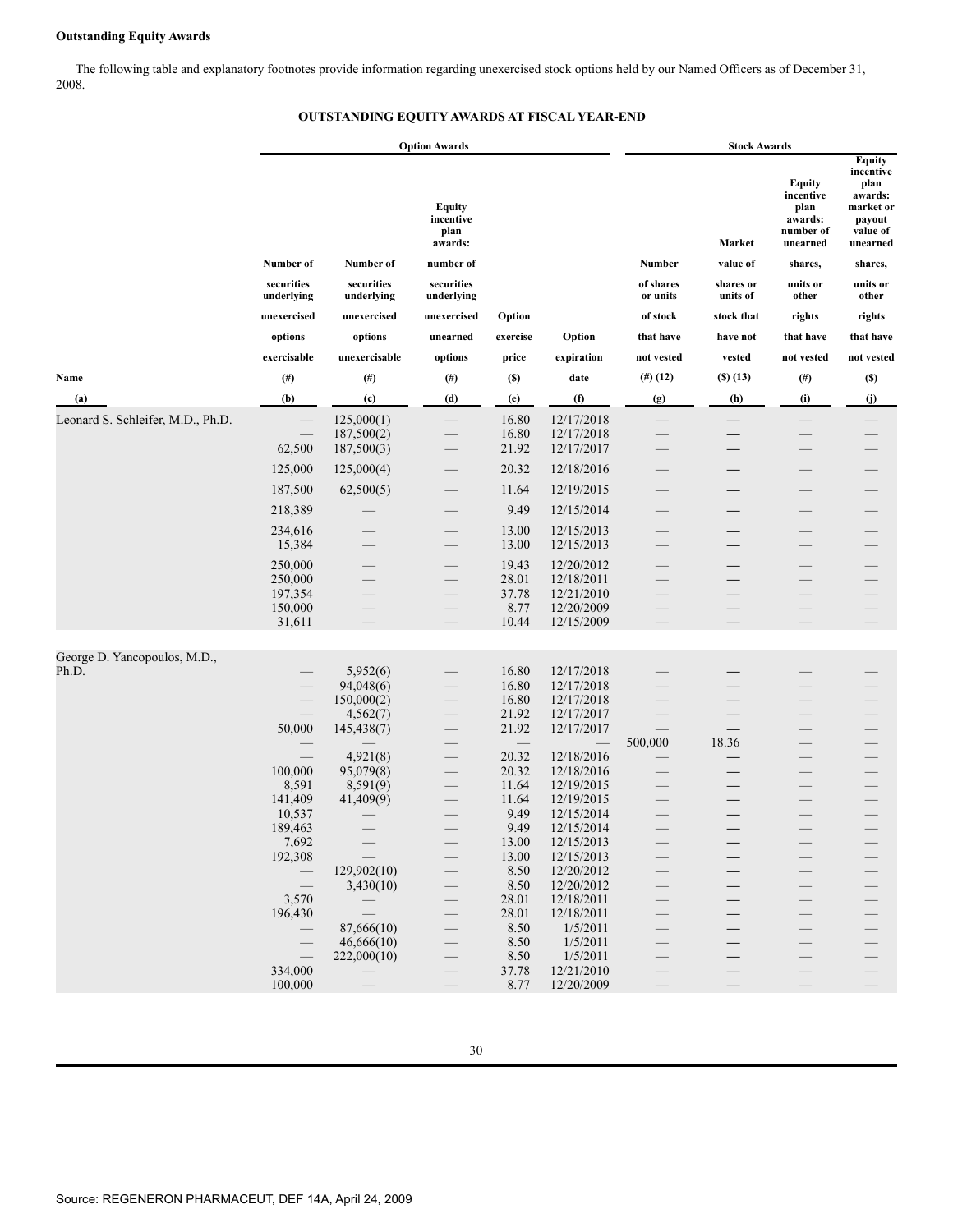# **Outstanding Equity Awards**

 The following table and explanatory footnotes provide information regarding unexercised stock options held by our Named Officers as of December 31, 2008.

|                                                  |                                                                                                 |                                                                                                                                           | <b>Option Awards</b>                                                                                                                            |                                                    | <b>Stock Awards</b>                               |                                                                                          |                                                                                                             |                                                                                                                                                              |                                                                                                                                                                                 |
|--------------------------------------------------|-------------------------------------------------------------------------------------------------|-------------------------------------------------------------------------------------------------------------------------------------------|-------------------------------------------------------------------------------------------------------------------------------------------------|----------------------------------------------------|---------------------------------------------------|------------------------------------------------------------------------------------------|-------------------------------------------------------------------------------------------------------------|--------------------------------------------------------------------------------------------------------------------------------------------------------------|---------------------------------------------------------------------------------------------------------------------------------------------------------------------------------|
| Name<br>(a)<br>Leonard S. Schleifer, M.D., Ph.D. | Number of<br>securities<br>underlying<br>unexercised<br>options<br>exercisable<br>$(\#)$<br>(b) | Number of<br>securities<br>underlying<br>unexercised<br>options<br>unexercisable<br>$^{(#)}$<br>$\left( \mathrm{c} \right)$<br>125,000(1) | <b>Equity</b><br>incentive<br>plan<br>awards:<br>number of<br>securities<br>underlying<br>unexercised<br>unearned<br>options<br>$^{(#)}$<br>(d) | Option<br>exercise<br>price<br>(S)<br>(e)<br>16.80 | Option<br>expiration<br>date<br>(f)<br>12/17/2018 | Number<br>of shares<br>or units<br>of stock<br>that have<br>not vested<br>(#)(12)<br>(g) | Market<br>value of<br>shares or<br>units of<br>stock that<br>have not<br>vested<br>$($ \$ $)$ $(13)$<br>(h) | <b>Equity</b><br>incentive<br>plan<br>awards:<br>number of<br>unearned<br>shares,<br>units or<br>other<br>rights<br>that have<br>not vested<br>$(\#)$<br>(i) | <b>Equity</b><br>incentive<br>plan<br>awards:<br>market or<br>payout<br>value of<br>unearned<br>shares,<br>units or<br>other<br>rights<br>that have<br>not vested<br>(S)<br>(j) |
|                                                  |                                                                                                 | 187,500(2)                                                                                                                                |                                                                                                                                                 | 16.80                                              | 12/17/2018                                        |                                                                                          |                                                                                                             |                                                                                                                                                              |                                                                                                                                                                                 |
|                                                  | 62,500                                                                                          | 187,500(3)                                                                                                                                |                                                                                                                                                 | 21.92                                              | 12/17/2017                                        |                                                                                          |                                                                                                             |                                                                                                                                                              |                                                                                                                                                                                 |
|                                                  | 125,000                                                                                         | 125,000(4)                                                                                                                                |                                                                                                                                                 | 20.32                                              | 12/18/2016                                        |                                                                                          |                                                                                                             |                                                                                                                                                              |                                                                                                                                                                                 |
|                                                  | 187,500                                                                                         | 62,500(5)                                                                                                                                 |                                                                                                                                                 | 11.64                                              | 12/19/2015                                        |                                                                                          |                                                                                                             |                                                                                                                                                              |                                                                                                                                                                                 |
|                                                  | 218,389                                                                                         |                                                                                                                                           |                                                                                                                                                 | 9.49                                               | 12/15/2014                                        |                                                                                          |                                                                                                             |                                                                                                                                                              |                                                                                                                                                                                 |
|                                                  | 234,616<br>15,384                                                                               |                                                                                                                                           |                                                                                                                                                 | 13.00<br>13.00                                     | 12/15/2013<br>12/15/2013                          |                                                                                          |                                                                                                             |                                                                                                                                                              |                                                                                                                                                                                 |
|                                                  | 250,000                                                                                         |                                                                                                                                           |                                                                                                                                                 | 19.43                                              | 12/20/2012                                        |                                                                                          |                                                                                                             |                                                                                                                                                              |                                                                                                                                                                                 |
|                                                  | 250,000                                                                                         |                                                                                                                                           | $\overline{\phantom{0}}$                                                                                                                        | 28.01                                              | 12/18/2011                                        | $\overline{\phantom{a}}$                                                                 |                                                                                                             |                                                                                                                                                              |                                                                                                                                                                                 |
|                                                  | 197,354<br>150,000                                                                              |                                                                                                                                           | $\overline{\phantom{0}}$                                                                                                                        | 37.78<br>8.77                                      | 12/21/2010<br>12/20/2009                          |                                                                                          |                                                                                                             |                                                                                                                                                              |                                                                                                                                                                                 |
|                                                  | 31,611                                                                                          |                                                                                                                                           |                                                                                                                                                 | 10.44                                              | 12/15/2009                                        |                                                                                          |                                                                                                             |                                                                                                                                                              |                                                                                                                                                                                 |
| George D. Yancopoulos, M.D.,                     |                                                                                                 |                                                                                                                                           |                                                                                                                                                 |                                                    |                                                   |                                                                                          |                                                                                                             |                                                                                                                                                              |                                                                                                                                                                                 |
| Ph.D.                                            |                                                                                                 | 5,952(6)<br>94,048(6)<br>150,000(2)                                                                                                       | $\overline{\phantom{0}}$<br>$\overline{\phantom{0}}$                                                                                            | 16.80<br>16.80<br>16.80                            | 12/17/2018<br>12/17/2018<br>12/17/2018            |                                                                                          |                                                                                                             |                                                                                                                                                              |                                                                                                                                                                                 |
|                                                  |                                                                                                 | 4,562(7)                                                                                                                                  |                                                                                                                                                 | 21.92                                              | 12/17/2017                                        |                                                                                          |                                                                                                             |                                                                                                                                                              |                                                                                                                                                                                 |
|                                                  | 50,000                                                                                          | 145,438(7)                                                                                                                                |                                                                                                                                                 | 21.92                                              | 12/17/2017                                        |                                                                                          | 18.36                                                                                                       |                                                                                                                                                              |                                                                                                                                                                                 |
|                                                  |                                                                                                 | 4,921(8)                                                                                                                                  |                                                                                                                                                 | 20.32                                              | 12/18/2016                                        | 500,000                                                                                  |                                                                                                             |                                                                                                                                                              |                                                                                                                                                                                 |
|                                                  | 100,000                                                                                         | 95,079(8)                                                                                                                                 |                                                                                                                                                 | 20.32                                              | 12/18/2016                                        |                                                                                          |                                                                                                             |                                                                                                                                                              |                                                                                                                                                                                 |
|                                                  | 8,591                                                                                           | 8,591(9)                                                                                                                                  | $\overline{\phantom{0}}$                                                                                                                        | 11.64                                              | 12/19/2015                                        |                                                                                          |                                                                                                             |                                                                                                                                                              |                                                                                                                                                                                 |
|                                                  | 141,409<br>10,537                                                                               | 41,409(9)                                                                                                                                 |                                                                                                                                                 | 11.64<br>9.49                                      | 12/19/2015<br>12/15/2014                          |                                                                                          |                                                                                                             |                                                                                                                                                              |                                                                                                                                                                                 |
|                                                  | 189,463                                                                                         |                                                                                                                                           |                                                                                                                                                 | 9.49                                               | 12/15/2014                                        |                                                                                          |                                                                                                             |                                                                                                                                                              |                                                                                                                                                                                 |
|                                                  | 7,692                                                                                           |                                                                                                                                           |                                                                                                                                                 | 13.00                                              | 12/15/2013                                        |                                                                                          |                                                                                                             |                                                                                                                                                              |                                                                                                                                                                                 |
|                                                  | 192,308                                                                                         | 129,902(10)                                                                                                                               | $\overline{\phantom{0}}$<br>$\overline{\phantom{0}}$                                                                                            | 13.00<br>8.50                                      | 12/15/2013<br>12/20/2012                          |                                                                                          |                                                                                                             |                                                                                                                                                              |                                                                                                                                                                                 |
|                                                  | $\qquad \qquad$                                                                                 | 3,430(10)                                                                                                                                 | $\overline{\phantom{0}}$                                                                                                                        | 8.50                                               | 12/20/2012                                        |                                                                                          |                                                                                                             |                                                                                                                                                              |                                                                                                                                                                                 |
|                                                  | 3,570                                                                                           |                                                                                                                                           | $\overline{\phantom{0}}$                                                                                                                        | 28.01                                              | 12/18/2011                                        |                                                                                          |                                                                                                             |                                                                                                                                                              |                                                                                                                                                                                 |
|                                                  | 196,430<br>$\overline{\phantom{0}}$                                                             | 87,666(10)                                                                                                                                | $\Rightarrow$                                                                                                                                   | 28.01<br>8.50                                      | 12/18/2011<br>1/5/2011                            |                                                                                          |                                                                                                             |                                                                                                                                                              |                                                                                                                                                                                 |
|                                                  | $\qquad \qquad -$                                                                               | 46,666(10)                                                                                                                                | $\overline{\phantom{0}}$                                                                                                                        | 8.50                                               | 1/5/2011                                          |                                                                                          |                                                                                                             |                                                                                                                                                              |                                                                                                                                                                                 |
|                                                  |                                                                                                 | 222,000(10)                                                                                                                               | $\equiv$                                                                                                                                        | 8.50                                               | 1/5/2011                                          |                                                                                          |                                                                                                             |                                                                                                                                                              |                                                                                                                                                                                 |
|                                                  | 334,000<br>100,000                                                                              |                                                                                                                                           | $\equiv$                                                                                                                                        | 37.78<br>8.77                                      | 12/21/2010<br>12/20/2009                          | $\qquad \qquad -$                                                                        | $\qquad \qquad -$                                                                                           |                                                                                                                                                              | $\overline{\phantom{m}}$                                                                                                                                                        |

# **OUTSTANDING EQUITY AWARDS AT FISCAL YEAR-END**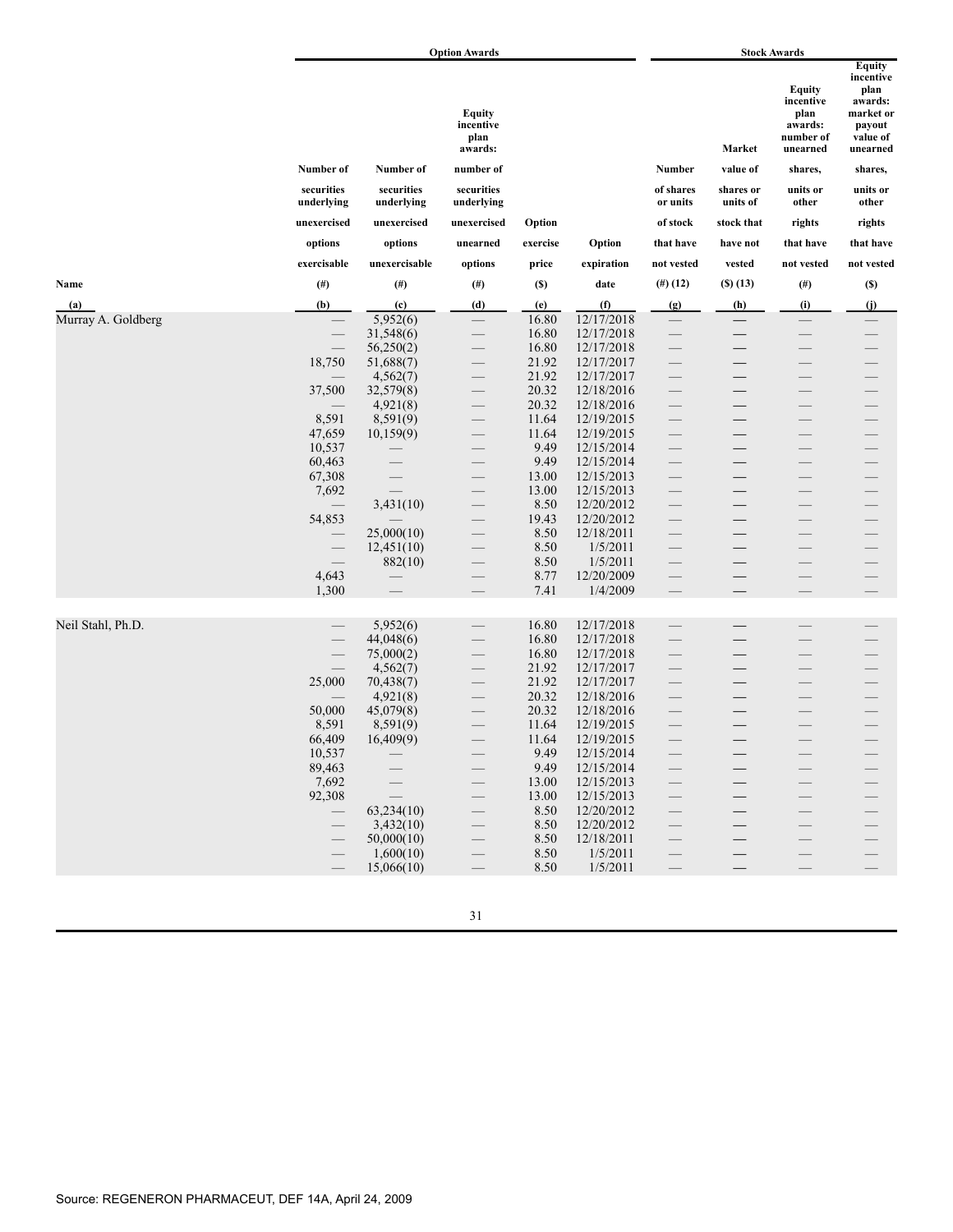|                    |                          |                          | <b>Option Awards</b>                          |                |                          | <b>Stock Awards</b>            |                          |                                                                        |                                                                                              |
|--------------------|--------------------------|--------------------------|-----------------------------------------------|----------------|--------------------------|--------------------------------|--------------------------|------------------------------------------------------------------------|----------------------------------------------------------------------------------------------|
|                    |                          |                          | <b>Equity</b><br>incentive<br>plan<br>awards: |                |                          |                                | Market                   | <b>Equity</b><br>incentive<br>plan<br>awards:<br>number of<br>unearned | <b>Equity</b><br>incentive<br>plan<br>awards:<br>market or<br>payout<br>value of<br>unearned |
|                    | Number of                | Number of                | number of                                     |                |                          | Number                         | value of                 | shares,                                                                | shares,                                                                                      |
|                    | securities<br>underlying | securities<br>underlying | securities<br>underlying                      |                |                          | of shares<br>or units          | shares or<br>units of    | units or<br>other                                                      | units or<br>other                                                                            |
|                    | unexercised              | unexercised              | unexercised                                   | Option         |                          | of stock                       | stock that               | rights                                                                 | rights                                                                                       |
|                    | options                  | options                  | unearned                                      | exercise       | Option                   | that have                      | have not                 | that have                                                              | that have                                                                                    |
|                    | exercisable              | unexercisable            | options                                       | price          | expiration               | not vested                     | vested                   | not vested                                                             | not vested                                                                                   |
| Name               | $(\#)$                   | $(\#)$                   | $(\#)$                                        | (S)            | date                     | $(\#)(12)$                     | $($ S $)$ $(13)$         | (# )                                                                   | (S)                                                                                          |
| (a)                | (b)                      | (c)                      | (d)                                           | (e)            | (f)                      | (g)                            | (h)                      | (i)                                                                    | (j)                                                                                          |
| Murray A. Goldberg |                          | 5,952(6)                 |                                               | 16.80          | 12/17/2018               |                                |                          |                                                                        |                                                                                              |
|                    |                          | 31,548(6)                |                                               | 16.80          | 12/17/2018               |                                |                          |                                                                        |                                                                                              |
|                    |                          | 56,250(2)                |                                               | 16.80          | 12/17/2018               |                                |                          |                                                                        |                                                                                              |
|                    | 18,750                   | 51,688(7)                |                                               | 21.92          | 12/17/2017               |                                |                          |                                                                        |                                                                                              |
|                    | 37,500                   | 4,562(7)<br>32,579(8)    |                                               | 21.92<br>20.32 | 12/17/2017<br>12/18/2016 | $\overline{\phantom{0}}$       |                          |                                                                        |                                                                                              |
|                    |                          | 4,921(8)                 |                                               | 20.32          | 12/18/2016               |                                |                          |                                                                        |                                                                                              |
|                    | 8,591                    | 8,591(9)                 |                                               | 11.64          | 12/19/2015               |                                |                          |                                                                        |                                                                                              |
|                    | 47,659                   | 10,159(9)                | $\overline{\phantom{0}}$                      | 11.64          | 12/19/2015               | $\overline{\phantom{0}}$       |                          |                                                                        |                                                                                              |
|                    | 10,537                   |                          | $\overline{\phantom{0}}$                      | 9.49           | 12/15/2014               |                                |                          |                                                                        |                                                                                              |
|                    | 60,463                   |                          | $\overline{\phantom{0}}$                      | 9.49           | 12/15/2014               |                                |                          |                                                                        |                                                                                              |
|                    | 67,308                   |                          |                                               | 13.00          | 12/15/2013               |                                |                          |                                                                        |                                                                                              |
|                    | 7,692                    |                          | $\overline{\phantom{0}}$                      | 13.00          | 12/15/2013               |                                |                          |                                                                        |                                                                                              |
|                    |                          | 3,431(10)                |                                               | 8.50           | 12/20/2012               |                                |                          | $\sim$                                                                 |                                                                                              |
|                    | 54,853                   |                          | $\qquad \qquad -$                             | 19.43          | 12/20/2012               | $\qquad \qquad \longleftarrow$ |                          |                                                                        |                                                                                              |
|                    |                          | 25,000(10)<br>12,451(10) | $\overline{\phantom{0}}$                      | 8.50<br>8.50   | 12/18/2011<br>1/5/2011   | $\overline{\phantom{0}}$       |                          |                                                                        |                                                                                              |
|                    |                          | 882(10)                  | $\overline{\phantom{0}}$                      | 8.50           | 1/5/2011                 | $\overline{\phantom{0}}$       |                          |                                                                        |                                                                                              |
|                    | 4,643                    |                          |                                               | 8.77           | 12/20/2009               |                                |                          |                                                                        |                                                                                              |
|                    | 1,300                    |                          |                                               | 7.41           | 1/4/2009                 |                                |                          |                                                                        |                                                                                              |
|                    |                          |                          |                                               |                |                          |                                |                          |                                                                        |                                                                                              |
| Neil Stahl, Ph.D.  |                          | 5,952(6)                 |                                               | 16.80          | 12/17/2018               | $\qquad \qquad$                |                          |                                                                        |                                                                                              |
|                    |                          | 44,048(6)                | $\overline{\phantom{0}}$                      | 16.80          | 12/17/2018               |                                |                          |                                                                        |                                                                                              |
|                    |                          | 75,000(2)                |                                               | 16.80          | 12/17/2018               |                                |                          |                                                                        |                                                                                              |
|                    |                          | 4,562(7)                 | $\overline{\phantom{0}}$                      | 21.92          | 12/17/2017               |                                |                          |                                                                        |                                                                                              |
|                    | 25,000                   | 70,438(7)                |                                               | 21.92          | 12/17/2017               |                                | $\overline{\phantom{0}}$ | $\sim$                                                                 |                                                                                              |
|                    |                          | 4,921(8)                 | $\qquad \qquad -$                             | 20.32          | 12/18/2016               | $\qquad \qquad \longleftarrow$ |                          |                                                                        |                                                                                              |
|                    | 50,000<br>8,591          | 45,079(8)<br>8,591(9)    | $\overline{\phantom{0}}$                      | 20.32<br>11.64 | 12/18/2016<br>12/19/2015 | $\overline{\phantom{0}}$       |                          |                                                                        |                                                                                              |
|                    | 66,409                   | 16,409(9)                |                                               | 11.64          | 12/19/2015               |                                |                          |                                                                        |                                                                                              |
|                    | 10,537                   |                          |                                               | 9.49           | 12/15/2014               |                                |                          |                                                                        |                                                                                              |
|                    | 89,463                   |                          | $\overline{\phantom{0}}$                      | 9.49           | 12/15/2014               | $\overline{\phantom{0}}$       | —                        |                                                                        |                                                                                              |
|                    | 7,692                    |                          | $\overline{\phantom{0}}$                      | 13.00          | 12/15/2013               | $\overline{\phantom{0}}$       |                          |                                                                        |                                                                                              |
|                    | 92,308                   |                          | $\overline{\phantom{0}}$                      | 13.00          | 12/15/2013               | $\overline{\phantom{0}}$       | $\overline{\phantom{0}}$ |                                                                        |                                                                                              |
|                    |                          | 63,234(10)               | $\overline{\phantom{0}}$                      | 8.50           | 12/20/2012               |                                |                          |                                                                        |                                                                                              |
|                    | $\qquad \qquad$          | 3,432(10)                | $\overline{\phantom{0}}$                      | 8.50           | 12/20/2012               |                                |                          |                                                                        |                                                                                              |
|                    |                          | 50,000(10)               |                                               | 8.50           | 12/18/2011               |                                |                          |                                                                        |                                                                                              |
|                    |                          | 1,600(10)                |                                               | 8.50           | 1/5/2011                 |                                |                          |                                                                        |                                                                                              |
|                    |                          | 15,066(10)               | $\overline{\phantom{0}}$                      | 8.50           | 1/5/2011                 |                                |                          |                                                                        |                                                                                              |
|                    |                          |                          |                                               |                |                          |                                |                          |                                                                        |                                                                                              |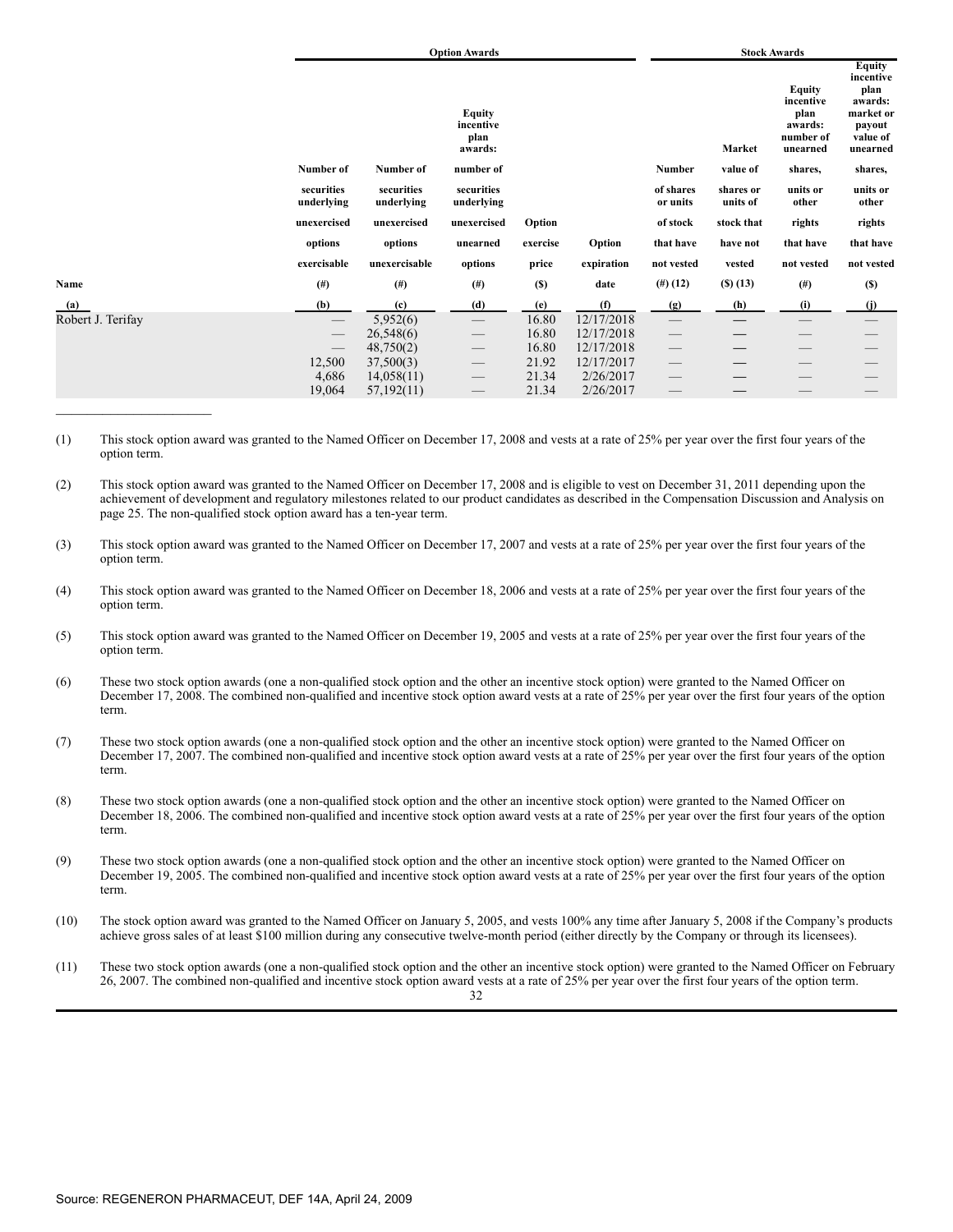|                   |                                 | <b>Option Awards</b>     | <b>Stock Awards</b>                           |          |            |                             |                       |                                                                        |                                                                                       |
|-------------------|---------------------------------|--------------------------|-----------------------------------------------|----------|------------|-----------------------------|-----------------------|------------------------------------------------------------------------|---------------------------------------------------------------------------------------|
|                   |                                 |                          | <b>Equity</b><br>incentive<br>plan<br>awards: |          |            |                             | Market                | <b>Equity</b><br>incentive<br>plan<br>awards:<br>number of<br>unearned | Equity<br>incentive<br>plan<br>awards:<br>market or<br>payout<br>value of<br>unearned |
|                   | Number of                       | Number of                | number of                                     |          |            | Number                      | value of              | shares,                                                                | shares,                                                                               |
|                   | securities<br>underlying        | securities<br>underlying | securities<br>underlying                      |          |            | of shares<br>or units       | shares or<br>units of | units or<br>other                                                      | units or<br>other                                                                     |
|                   | unexercised                     | unexercised              | unexercised                                   | Option   |            | of stock                    | stock that            | rights                                                                 | rights                                                                                |
|                   | options                         | options                  | unearned                                      | exercise | Option     | that have                   | have not              | that have                                                              | that have                                                                             |
|                   | exercisable                     | unexercisable            | options                                       | price    | expiration | not vested                  | vested                | not vested                                                             | not vested                                                                            |
| Name              | $(\#)$                          | $^{(#)}$                 | $^{(#)}$                                      | (S)      | date       | $(\#)(12)$                  | $($ S $)$ $(13)$      | $^{(#)}$                                                               | (S)                                                                                   |
| (a)               | (b)                             | (c)                      | (d)                                           | (e)      | (f)        | (g)                         | (h)                   | (i)                                                                    | (i)                                                                                   |
| Robert J. Terifay |                                 | 5,952(6)                 | $\overline{\phantom{m}}$                      | 16.80    | 12/17/2018 | $\overline{\phantom{m}}$    | —                     | $\hspace{0.1mm}-\hspace{0.1mm}$                                        |                                                                                       |
|                   | $\hspace{0.1mm}-\hspace{0.1mm}$ | 26,548(6)                | $\hspace{0.05cm}$                             | 16.80    | 12/17/2018 | $\hspace{0.05cm}$           |                       |                                                                        |                                                                                       |
|                   | $\qquad \qquad$                 | 48,750(2)                | $\hspace{0.1mm}-\hspace{0.1mm}$               | 16.80    | 12/17/2018 | $\overbrace{\hspace{15em}}$ |                       |                                                                        |                                                                                       |
|                   | 12,500                          | 37,500(3)                | $\overline{\phantom{m}}$                      | 21.92    | 12/17/2017 | $\overbrace{\hspace{15em}}$ |                       |                                                                        |                                                                                       |
|                   | 4,686                           | 14,058(11)               | $\hspace{0.1mm}-\hspace{0.1mm}$               | 21.34    | 2/26/2017  | $\hspace{0.05cm}$           |                       |                                                                        |                                                                                       |
|                   | 19,064                          | 57,192(11)               | $\hspace{0.1mm}-\hspace{0.1mm}$               | 21.34    | 2/26/2017  | $\qquad \qquad -$           |                       |                                                                        |                                                                                       |
|                   |                                 |                          |                                               |          |            |                             |                       |                                                                        |                                                                                       |

(1) This stock option award was granted to the Named Officer on December 17, 2008 and vests at a rate of 25% per year over the first four years of the option term.

(2) This stock option award was granted to the Named Officer on December 17, 2008 and is eligible to vest on December 31, 2011 depending upon the achievement of development and regulatory milestones related to our product candidates as described in the Compensation Discussion and Analysis on page 25. The non-qualified stock option award has a ten-year term.

- (3) This stock option award was granted to the Named Officer on December 17, 2007 and vests at a rate of 25% per year over the first four years of the option term.
- (4) This stock option award was granted to the Named Officer on December 18, 2006 and vests at a rate of 25% per year over the first four years of the option term.
- (5) This stock option award was granted to the Named Officer on December 19, 2005 and vests at a rate of 25% per year over the first four years of the option term.
- (6) These two stock option awards (one a non-qualified stock option and the other an incentive stock option) were granted to the Named Officer on December 17, 2008. The combined non-qualified and incentive stock option award vests at a rate of 25% per year over the first four years of the option term.
- (7) These two stock option awards (one a non-qualified stock option and the other an incentive stock option) were granted to the Named Officer on December 17, 2007. The combined non-qualified and incentive stock option award vests at a rate of 25% per year over the first four years of the option term.
- (8) These two stock option awards (one a non-qualified stock option and the other an incentive stock option) were granted to the Named Officer on December 18, 2006. The combined non-qualified and incentive stock option award vests at a rate of 25% per year over the first four years of the option term.
- (9) These two stock option awards (one a non-qualified stock option and the other an incentive stock option) were granted to the Named Officer on December 19, 2005. The combined non-qualified and incentive stock option award vests at a rate of 25% per year over the first four years of the option term.
- (10) The stock option award was granted to the Named Officer on January 5, 2005, and vests 100% any time after January 5, 2008 if the Company's products achieve gross sales of at least \$100 million during any consecutive twelve-month period (either directly by the Company or through its licensees).
- (11) These two stock option awards (one a non-qualified stock option and the other an incentive stock option) were granted to the Named Officer on February 26, 2007. The combined non-qualified and incentive stock option award vests at a rate of 25% per year over the first four years of the option term.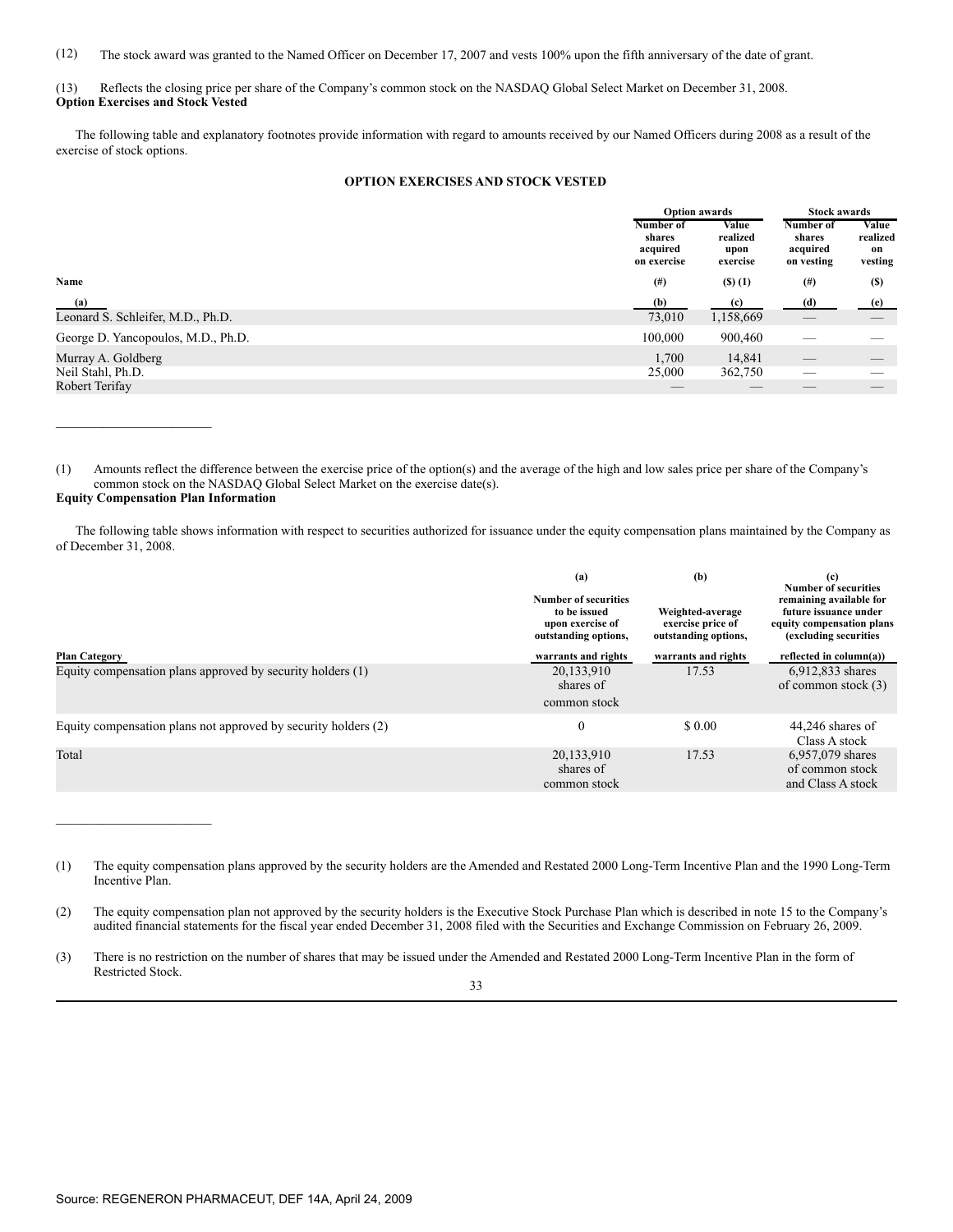(12) The stock award was granted to the Named Officer on December 17, 2007 and vests 100% upon the fifth anniversary of the date of grant.

(13) Reflects the closing price per share of the Company's common stock on the NASDAQ Global Select Market on December 31, 2008. **Option Exercises and Stock Vested**

 The following table and explanatory footnotes provide information with regard to amounts received by our Named Officers during 2008 as a result of the exercise of stock options.

# **OPTION EXERCISES AND STOCK VESTED**

|                                    |                                                | <b>Option awards</b>                  |                                               | Stock awards                              |  |
|------------------------------------|------------------------------------------------|---------------------------------------|-----------------------------------------------|-------------------------------------------|--|
|                                    | Number of<br>shares<br>acquired<br>on exercise | Value<br>realized<br>upon<br>exercise | Number of<br>shares<br>acquired<br>on vesting | <b>Value</b><br>realized<br>on<br>vesting |  |
| Name                               | (# )                                           | $($ S $)$ $(1)$                       | $^{(#)}$                                      | (S)                                       |  |
| (a)                                | (b)                                            | (c)                                   | (d)                                           | (e)                                       |  |
| Leonard S. Schleifer, M.D., Ph.D.  | 73,010                                         | 1,158,669                             |                                               |                                           |  |
| George D. Yancopoulos, M.D., Ph.D. | 100,000                                        | 900,460                               |                                               |                                           |  |
| Murray A. Goldberg                 | 1,700                                          | 14,841                                | $\overbrace{\hspace{25mm}}^{}$                |                                           |  |
| Neil Stahl, Ph.D.                  | 25,000                                         | 362,750                               |                                               |                                           |  |
| Robert Terifay                     |                                                |                                       |                                               |                                           |  |

(1) Amounts reflect the difference between the exercise price of the option(s) and the average of the high and low sales price per share of the Company's common stock on the NASDAQ Global Select Market on the exercise date(s). **Equity Compensation Plan Information**

 The following table shows information with respect to securities authorized for issuance under the equity compensation plans maintained by the Company as of December 31, 2008.

|                                                                                    | (a)<br><b>Number of securities</b><br>to be issued<br>upon exercise of<br>outstanding options, | (b)<br>Weighted-average<br>exercise price of<br>outstanding options, | (c)<br><b>Number of securities</b><br>remaining available for<br>future issuance under<br>equity compensation plans<br>(excluding securities |
|------------------------------------------------------------------------------------|------------------------------------------------------------------------------------------------|----------------------------------------------------------------------|----------------------------------------------------------------------------------------------------------------------------------------------|
| <b>Plan Category</b><br>Equity compensation plans approved by security holders (1) | warrants and rights<br>20,133,910<br>shares of<br>common stock                                 | warrants and rights<br>17.53                                         | reflected in $column(a))$<br>6,912,833 shares<br>of common stock $(3)$                                                                       |
| Equity compensation plans not approved by security holders (2)<br>Total            | $\Omega$<br>20,133,910<br>shares of                                                            | \$0.00<br>17.53                                                      | $44,246$ shares of<br>Class A stock<br>6,957,079 shares<br>of common stock                                                                   |
|                                                                                    | common stock                                                                                   |                                                                      | and Class A stock                                                                                                                            |

<sup>(3)</sup> There is no restriction on the number of shares that may be issued under the Amended and Restated 2000 Long-Term Incentive Plan in the form of Restricted Stock.



 $\mathcal{L}$  , we can also the set of the set of the set of the set of the set of the set of the set of the set of the set of the set of the set of the set of the set of the set of the set of the set of the set of the set of

 $\overline{\phantom{a}}$  , and the set of the set of the set of the set of the set of the set of the set of the set of the set of the set of the set of the set of the set of the set of the set of the set of the set of the set of the s

<sup>(1)</sup> The equity compensation plans approved by the security holders are the Amended and Restated 2000 Long-Term Incentive Plan and the 1990 Long-Term Incentive Plan.

<sup>(2)</sup> The equity compensation plan not approved by the security holders is the Executive Stock Purchase Plan which is described in note 15 to the Company's audited financial statements for the fiscal year ended December 31, 2008 filed with the Securities and Exchange Commission on February 26, 2009.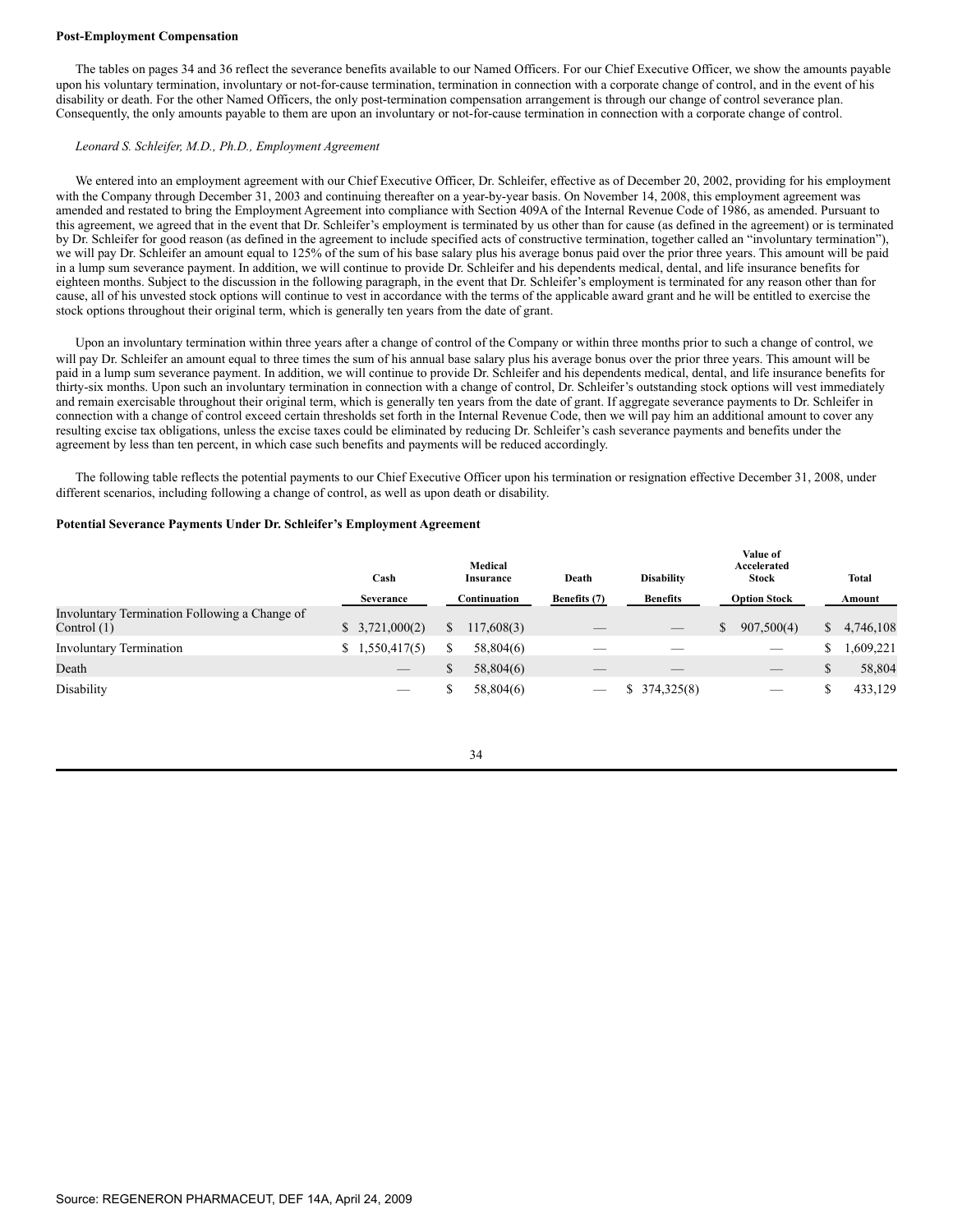#### **Post-Employment Compensation**

 The tables on pages 34 and 36 reflect the severance benefits available to our Named Officers. For our Chief Executive Officer, we show the amounts payable upon his voluntary termination, involuntary or not-for-cause termination, termination in connection with a corporate change of control, and in the event of his disability or death. For the other Named Officers, the only post-termination compensation arrangement is through our change of control severance plan. Consequently, the only amounts payable to them are upon an involuntary or not-for-cause termination in connection with a corporate change of control.

#### *Leonard S. Schleifer, M.D., Ph.D., Employment Agreement*

 We entered into an employment agreement with our Chief Executive Officer, Dr. Schleifer, effective as of December 20, 2002, providing for his employment with the Company through December 31, 2003 and continuing thereafter on a year-by-year basis. On November 14, 2008, this employment agreement was amended and restated to bring the Employment Agreement into compliance with Section 409A of the Internal Revenue Code of 1986, as amended. Pursuant to this agreement, we agreed that in the event that Dr. Schleifer's employment is terminated by us other than for cause (as defined in the agreement) or is terminated by Dr. Schleifer for good reason (as defined in the agreement to include specified acts of constructive termination, together called an "involuntary termination"), we will pay Dr. Schleifer an amount equal to 125% of the sum of his base salary plus his average bonus paid over the prior three years. This amount will be paid in a lump sum severance payment. In addition, we will continue to provide Dr. Schleifer and his dependents medical, dental, and life insurance benefits for eighteen months. Subject to the discussion in the following paragraph, in the event that Dr. Schleifer's employment is terminated for any reason other than for cause, all of his unvested stock options will continue to vest in accordance with the terms of the applicable award grant and he will be entitled to exercise the stock options throughout their original term, which is generally ten years from the date of grant.

 Upon an involuntary termination within three years after a change of control of the Company or within three months prior to such a change of control, we will pay Dr. Schleifer an amount equal to three times the sum of his annual base salary plus his average bonus over the prior three years. This amount will be paid in a lump sum severance payment. In addition, we will continue to provide Dr. Schleifer and his dependents medical, dental, and life insurance benefits for thirty-six months. Upon such an involuntary termination in connection with a change of control, Dr. Schleifer's outstanding stock options will vest immediately and remain exercisable throughout their original term, which is generally ten years from the date of grant. If aggregate severance payments to Dr. Schleifer in connection with a change of control exceed certain thresholds set forth in the Internal Revenue Code, then we will pay him an additional amount to cover any resulting excise tax obligations, unless the excise taxes could be eliminated by reducing Dr. Schleifer's cash severance payments and benefits under the agreement by less than ten percent, in which case such benefits and payments will be reduced accordingly.

 The following table reflects the potential payments to our Chief Executive Officer upon his termination or resignation effective December 31, 2008, under different scenarios, including following a change of control, as well as upon death or disability.

#### **Potential Severance Payments Under Dr. Schleifer's Employment Agreement**

|                                                                | Cash             | Medical<br><b>Insurance</b> | Death        | <b>Disability</b> | Value of<br>Accelerated<br><b>Stock</b> | Total           |
|----------------------------------------------------------------|------------------|-----------------------------|--------------|-------------------|-----------------------------------------|-----------------|
|                                                                | <b>Severance</b> | Continuation                | Benefits (7) | <b>Benefits</b>   | <b>Option Stock</b>                     | Amount          |
| Involuntary Termination Following a Change of<br>Control $(1)$ | \$3,721,000(2)   | 117,608(3)<br>S.            |              |                   | 907.500(4)<br>\$                        | 4,746,108<br>S. |
| <b>Involuntary Termination</b>                                 | \$1,550,417(5)   | 58,804(6)                   |              |                   | $\sim$                                  | .609,221        |
| Death                                                          |                  | 58,804(6)                   |              |                   |                                         | 58,804          |
| Disability                                                     |                  | 58,804(6)                   |              | \$374,325(8)      |                                         | 433,129         |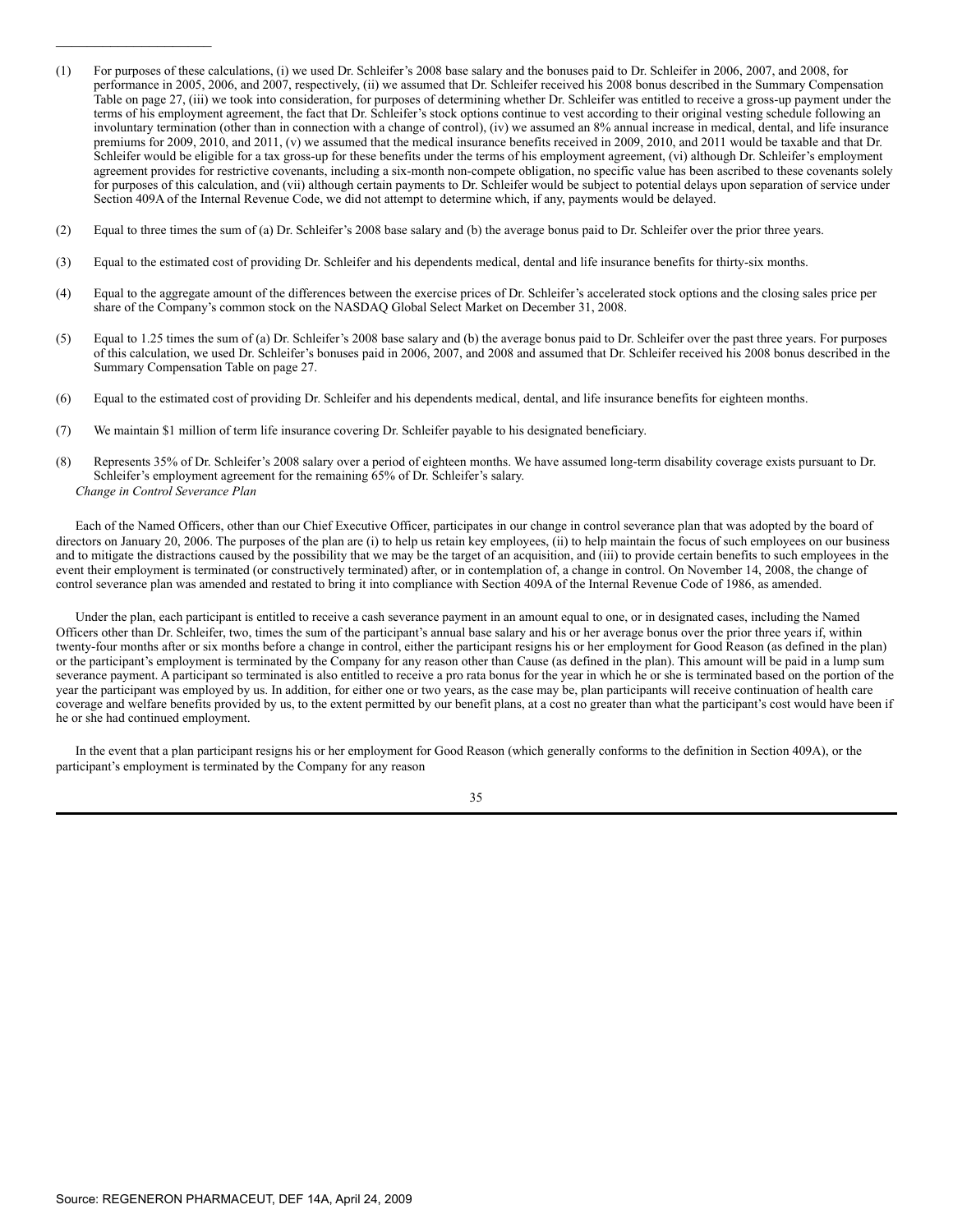- (1) For purposes of these calculations, (i) we used Dr. Schleifer's 2008 base salary and the bonuses paid to Dr. Schleifer in 2006, 2007, and 2008, for performance in 2005, 2006, and 2007, respectively, (ii) we assumed that Dr. Schleifer received his 2008 bonus described in the Summary Compensation Table on page 27, (iii) we took into consideration, for purposes of determining whether Dr. Schleifer was entitled to receive a gross-up payment under the terms of his employment agreement, the fact that Dr. Schleifer's stock options continue to vest according to their original vesting schedule following an involuntary termination (other than in connection with a change of control), (iv) we assumed an 8% annual increase in medical, dental, and life insurance premiums for 2009, 2010, and 2011, (v) we assumed that the medical insurance benefits received in 2009, 2010, and 2011 would be taxable and that Dr. Schleifer would be eligible for a tax gross-up for these benefits under the terms of his employment agreement, (vi) although Dr. Schleifer's employment agreement provides for restrictive covenants, including a six-month non-compete obligation, no specific value has been ascribed to these covenants solely for purposes of this calculation, and (vii) although certain payments to Dr. Schleifer would be subject to potential delays upon separation of service under Section 409A of the Internal Revenue Code, we did not attempt to determine which, if any, payments would be delayed.
- (2) Equal to three times the sum of (a) Dr. Schleifer's 2008 base salary and (b) the average bonus paid to Dr. Schleifer over the prior three years.
- (3) Equal to the estimated cost of providing Dr. Schleifer and his dependents medical, dental and life insurance benefits for thirty-six months.
- (4) Equal to the aggregate amount of the differences between the exercise prices of Dr. Schleifer's accelerated stock options and the closing sales price per share of the Company's common stock on the NASDAQ Global Select Market on December 31, 2008.
- (5) Equal to 1.25 times the sum of (a) Dr. Schleifer's 2008 base salary and (b) the average bonus paid to Dr. Schleifer over the past three years. For purposes of this calculation, we used Dr. Schleifer's bonuses paid in 2006, 2007, and 2008 and assumed that Dr. Schleifer received his 2008 bonus described in the Summary Compensation Table on page 27.
- (6) Equal to the estimated cost of providing Dr. Schleifer and his dependents medical, dental, and life insurance benefits for eighteen months.
- (7) We maintain \$1 million of term life insurance covering Dr. Schleifer payable to his designated beneficiary.

 $\overline{\phantom{a}}$  . The set of the set of the set of the set of the set of the set of the set of the set of the set of the set of the set of the set of the set of the set of the set of the set of the set of the set of the set o

(8) Represents 35% of Dr. Schleifer's 2008 salary over a period of eighteen months. We have assumed long-term disability coverage exists pursuant to Dr. Schleifer's employment agreement for the remaining 65% of Dr. Schleifer's salary. *Change in Control Severance Plan*

 Each of the Named Officers, other than our Chief Executive Officer, participates in our change in control severance plan that was adopted by the board of directors on January 20, 2006. The purposes of the plan are (i) to help us retain key employees, (ii) to help maintain the focus of such employees on our business and to mitigate the distractions caused by the possibility that we may be the target of an acquisition, and (iii) to provide certain benefits to such employees in the event their employment is terminated (or constructively terminated) after, or in contemplation of, a change in control. On November 14, 2008, the change of control severance plan was amended and restated to bring it into compliance with Section 409A of the Internal Revenue Code of 1986, as amended.

 Under the plan, each participant is entitled to receive a cash severance payment in an amount equal to one, or in designated cases, including the Named Officers other than Dr. Schleifer, two, times the sum of the participant's annual base salary and his or her average bonus over the prior three years if, within twenty-four months after or six months before a change in control, either the participant resigns his or her employment for Good Reason (as defined in the plan) or the participant's employment is terminated by the Company for any reason other than Cause (as defined in the plan). This amount will be paid in a lump sum severance payment. A participant so terminated is also entitled to receive a pro rata bonus for the year in which he or she is terminated based on the portion of the year the participant was employed by us. In addition, for either one or two years, as the case may be, plan participants will receive continuation of health care coverage and welfare benefits provided by us, to the extent permitted by our benefit plans, at a cost no greater than what the participant's cost would have been if he or she had continued employment.

 In the event that a plan participant resigns his or her employment for Good Reason (which generally conforms to the definition in Section 409A), or the participant's employment is terminated by the Company for any reason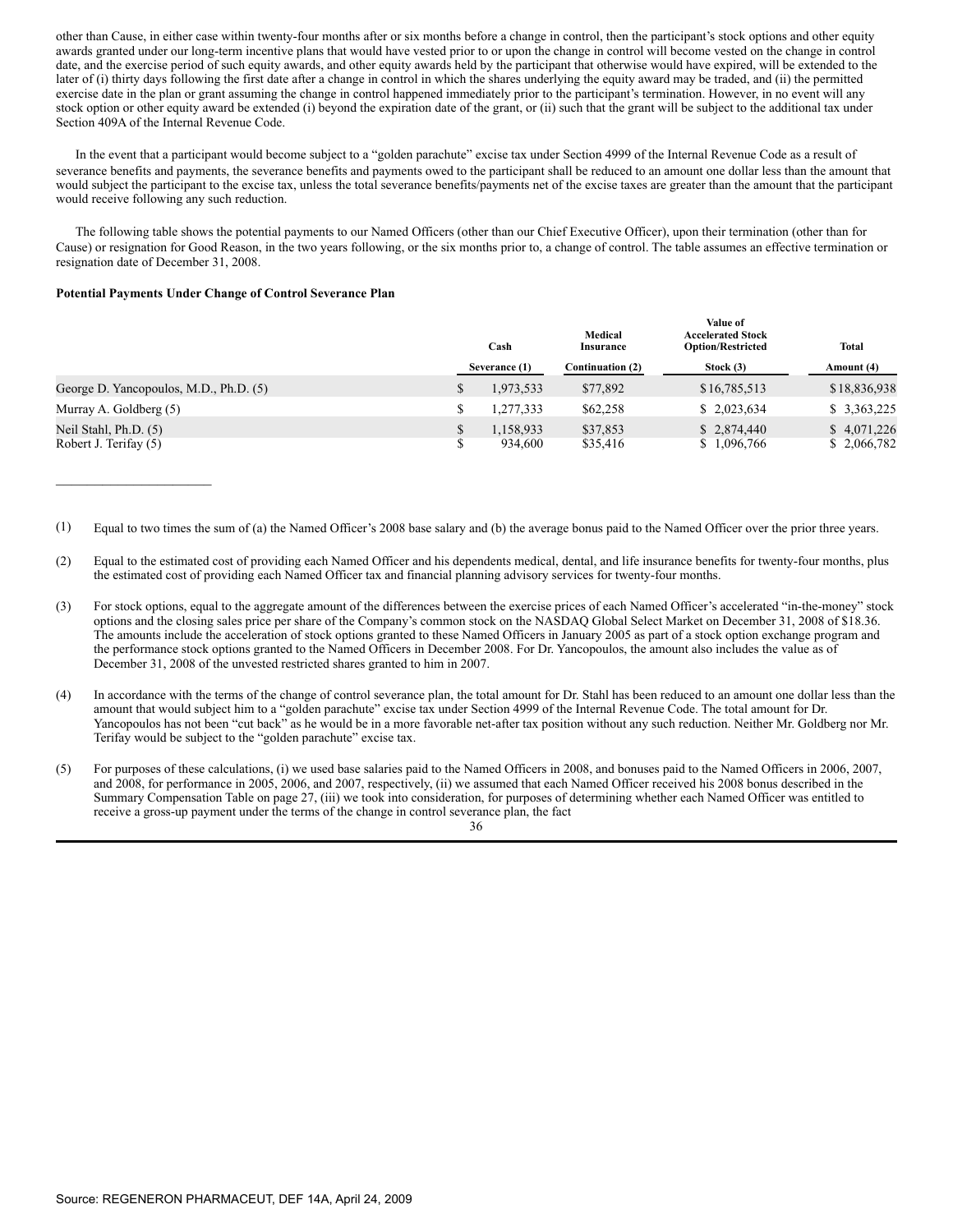other than Cause, in either case within twenty-four months after or six months before a change in control, then the participant's stock options and other equity awards granted under our long-term incentive plans that would have vested prior to or upon the change in control will become vested on the change in control date, and the exercise period of such equity awards, and other equity awards held by the participant that otherwise would have expired, will be extended to the later of (i) thirty days following the first date after a change in control in which the shares underlying the equity award may be traded, and (ii) the permitted exercise date in the plan or grant assuming the change in control happened immediately prior to the participant's termination. However, in no event will any stock option or other equity award be extended (i) beyond the expiration date of the grant, or (ii) such that the grant will be subject to the additional tax under Section 409A of the Internal Revenue Code.

 In the event that a participant would become subject to a "golden parachute" excise tax under Section 4999 of the Internal Revenue Code as a result of severance benefits and payments, the severance benefits and payments owed to the participant shall be reduced to an amount one dollar less than the amount that would subject the participant to the excise tax, unless the total severance benefits/payments net of the excise taxes are greater than the amount that the participant would receive following any such reduction.

 The following table shows the potential payments to our Named Officers (other than our Chief Executive Officer), upon their termination (other than for Cause) or resignation for Good Reason, in the two years following, or the six months prior to, a change of control. The table assumes an effective termination or resignation date of December 31, 2008.

#### **Potential Payments Under Change of Control Severance Plan**

 $\overline{\phantom{a}}$  , and the set of the set of the set of the set of the set of the set of the set of the set of the set of the set of the set of the set of the set of the set of the set of the set of the set of the set of the s

| Cash |                      | Medical<br><b>Insurance</b> | Value of<br><b>Accelerated Stock</b><br><b>Option/Restricted</b> | <b>Total</b>               |
|------|----------------------|-----------------------------|------------------------------------------------------------------|----------------------------|
|      |                      | Continuation (2)            | Stock $(3)$                                                      | Amount (4)                 |
|      | 1,973,533            | \$77,892                    | \$16,785,513                                                     | \$18,836,938               |
|      | 1.277.333            | \$62,258                    | \$2,023,634                                                      | \$3,363,225                |
|      | 1,158,933<br>934,600 | \$37,853<br>\$35,416        | \$2,874,440<br>\$1,096,766                                       | \$4,071,226<br>\$2,066,782 |
|      |                      | Severance (1)               |                                                                  |                            |

- (1) Equal to two times the sum of (a) the Named Officer's 2008 base salary and (b) the average bonus paid to the Named Officer over the prior three years.
- (2) Equal to the estimated cost of providing each Named Officer and his dependents medical, dental, and life insurance benefits for twenty-four months, plus the estimated cost of providing each Named Officer tax and financial planning advisory services for twenty-four months.
- (3) For stock options, equal to the aggregate amount of the differences between the exercise prices of each Named Officer's accelerated "in-the-money" stock options and the closing sales price per share of the Company's common stock on the NASDAQ Global Select Market on December 31, 2008 of \$18.36. The amounts include the acceleration of stock options granted to these Named Officers in January 2005 as part of a stock option exchange program and the performance stock options granted to the Named Officers in December 2008. For Dr. Yancopoulos, the amount also includes the value as of December 31, 2008 of the unvested restricted shares granted to him in 2007.
- (4) In accordance with the terms of the change of control severance plan, the total amount for Dr. Stahl has been reduced to an amount one dollar less than the amount that would subject him to a "golden parachute" excise tax under Section 4999 of the Internal Revenue Code. The total amount for Dr. Yancopoulos has not been "cut back" as he would be in a more favorable net-after tax position without any such reduction. Neither Mr. Goldberg nor Mr. Terifay would be subject to the "golden parachute" excise tax.
- (5) For purposes of these calculations, (i) we used base salaries paid to the Named Officers in 2008, and bonuses paid to the Named Officers in 2006, 2007, and 2008, for performance in 2005, 2006, and 2007, respectively, (ii) we assumed that each Named Officer received his 2008 bonus described in the Summary Compensation Table on page 27, (iii) we took into consideration, for purposes of determining whether each Named Officer was entitled to receive a gross-up payment under the terms of the change in control severance plan, the fact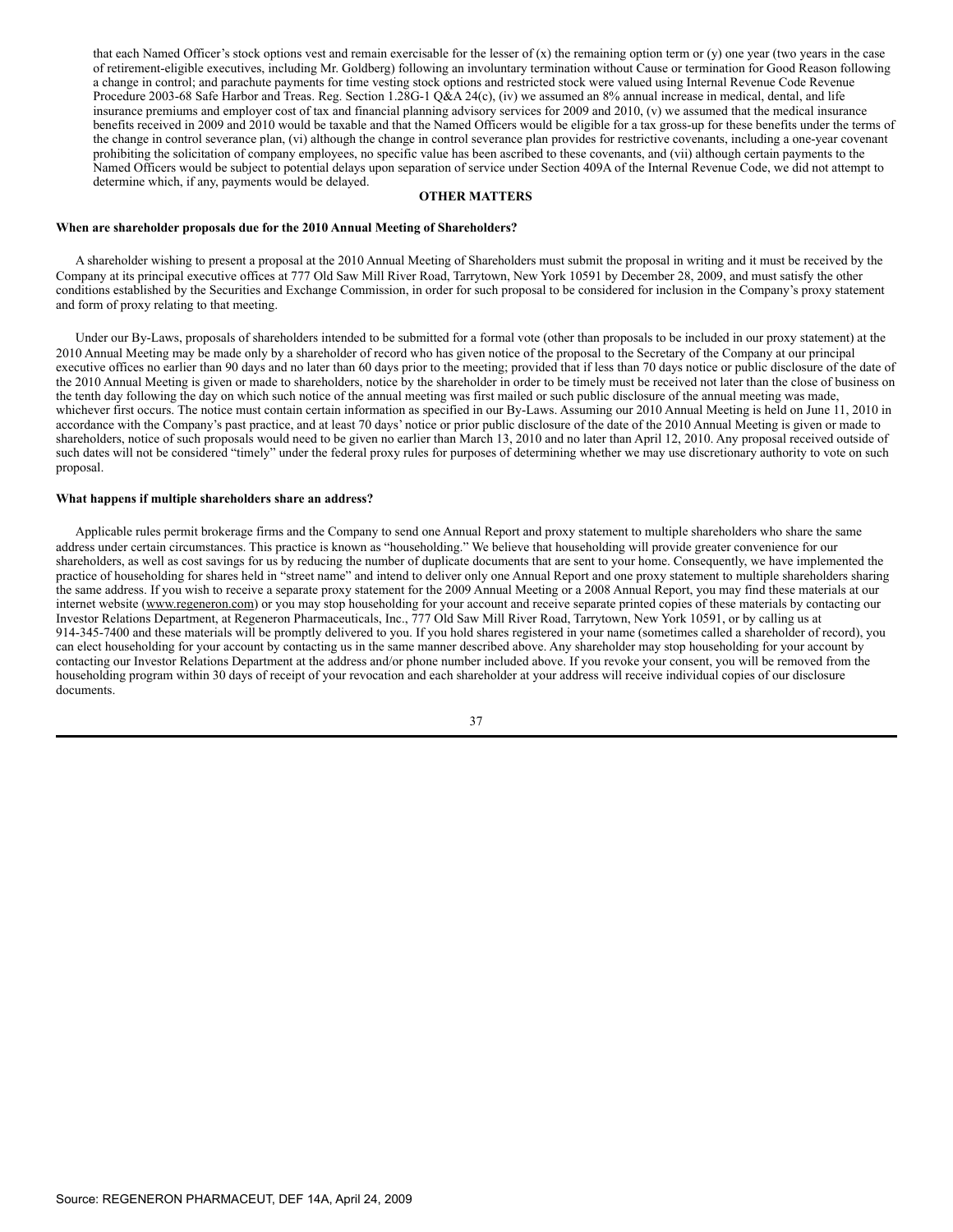that each Named Officer's stock options vest and remain exercisable for the lesser of  $(x)$  the remaining option term or  $(y)$  one year (two years in the case of retirement-eligible executives, including Mr. Goldberg) following an involuntary termination without Cause or termination for Good Reason following a change in control; and parachute payments for time vesting stock options and restricted stock were valued using Internal Revenue Code Revenue Procedure 2003-68 Safe Harbor and Treas. Reg. Section 1.28G-1 Q&A 24(c), (iv) we assumed an 8% annual increase in medical, dental, and life insurance premiums and employer cost of tax and financial planning advisory services for 2009 and 2010, (v) we assumed that the medical insurance benefits received in 2009 and 2010 would be taxable and that the Named Officers would be eligible for a tax gross-up for these benefits under the terms of the change in control severance plan, (vi) although the change in control severance plan provides for restrictive covenants, including a one-year covenant prohibiting the solicitation of company employees, no specific value has been ascribed to these covenants, and (vii) although certain payments to the Named Officers would be subject to potential delays upon separation of service under Section 409A of the Internal Revenue Code, we did not attempt to determine which, if any, payments would be delayed.

#### **OTHER MATTERS**

#### **When are shareholder proposals due for the 2010 Annual Meeting of Shareholders?**

 A shareholder wishing to present a proposal at the 2010 Annual Meeting of Shareholders must submit the proposal in writing and it must be received by the Company at its principal executive offices at 777 Old Saw Mill River Road, Tarrytown, New York 10591 by December 28, 2009, and must satisfy the other conditions established by the Securities and Exchange Commission, in order for such proposal to be considered for inclusion in the Company's proxy statement and form of proxy relating to that meeting.

 Under our By-Laws, proposals of shareholders intended to be submitted for a formal vote (other than proposals to be included in our proxy statement) at the 2010 Annual Meeting may be made only by a shareholder of record who has given notice of the proposal to the Secretary of the Company at our principal executive offices no earlier than 90 days and no later than 60 days prior to the meeting; provided that if less than 70 days notice or public disclosure of the date of the 2010 Annual Meeting is given or made to shareholders, notice by the shareholder in order to be timely must be received not later than the close of business on the tenth day following the day on which such notice of the annual meeting was first mailed or such public disclosure of the annual meeting was made, whichever first occurs. The notice must contain certain information as specified in our By-Laws. Assuming our 2010 Annual Meeting is held on June 11, 2010 in accordance with the Company's past practice, and at least 70 days' notice or prior public disclosure of the date of the 2010 Annual Meeting is given or made to shareholders, notice of such proposals would need to be given no earlier than March 13, 2010 and no later than April 12, 2010. Any proposal received outside of such dates will not be considered "timely" under the federal proxy rules for purposes of determining whether we may use discretionary authority to vote on such proposal.

#### **What happens if multiple shareholders share an address?**

 Applicable rules permit brokerage firms and the Company to send one Annual Report and proxy statement to multiple shareholders who share the same address under certain circumstances. This practice is known as "householding." We believe that householding will provide greater convenience for our shareholders, as well as cost savings for us by reducing the number of duplicate documents that are sent to your home. Consequently, we have implemented the practice of householding for shares held in "street name" and intend to deliver only one Annual Report and one proxy statement to multiple shareholders sharing the same address. If you wish to receive a separate proxy statement for the 2009 Annual Meeting or a 2008 Annual Report, you may find these materials at our internet website (www.regeneron.com) or you may stop householding for your account and receive separate printed copies of these materials by contacting our Investor Relations Department, at Regeneron Pharmaceuticals, Inc., 777 Old Saw Mill River Road, Tarrytown, New York 10591, or by calling us at 914-345-7400 and these materials will be promptly delivered to you. If you hold shares registered in your name (sometimes called a shareholder of record), you can elect householding for your account by contacting us in the same manner described above. Any shareholder may stop householding for your account by contacting our Investor Relations Department at the address and/or phone number included above. If you revoke your consent, you will be removed from the householding program within 30 days of receipt of your revocation and each shareholder at your address will receive individual copies of our disclosure documents.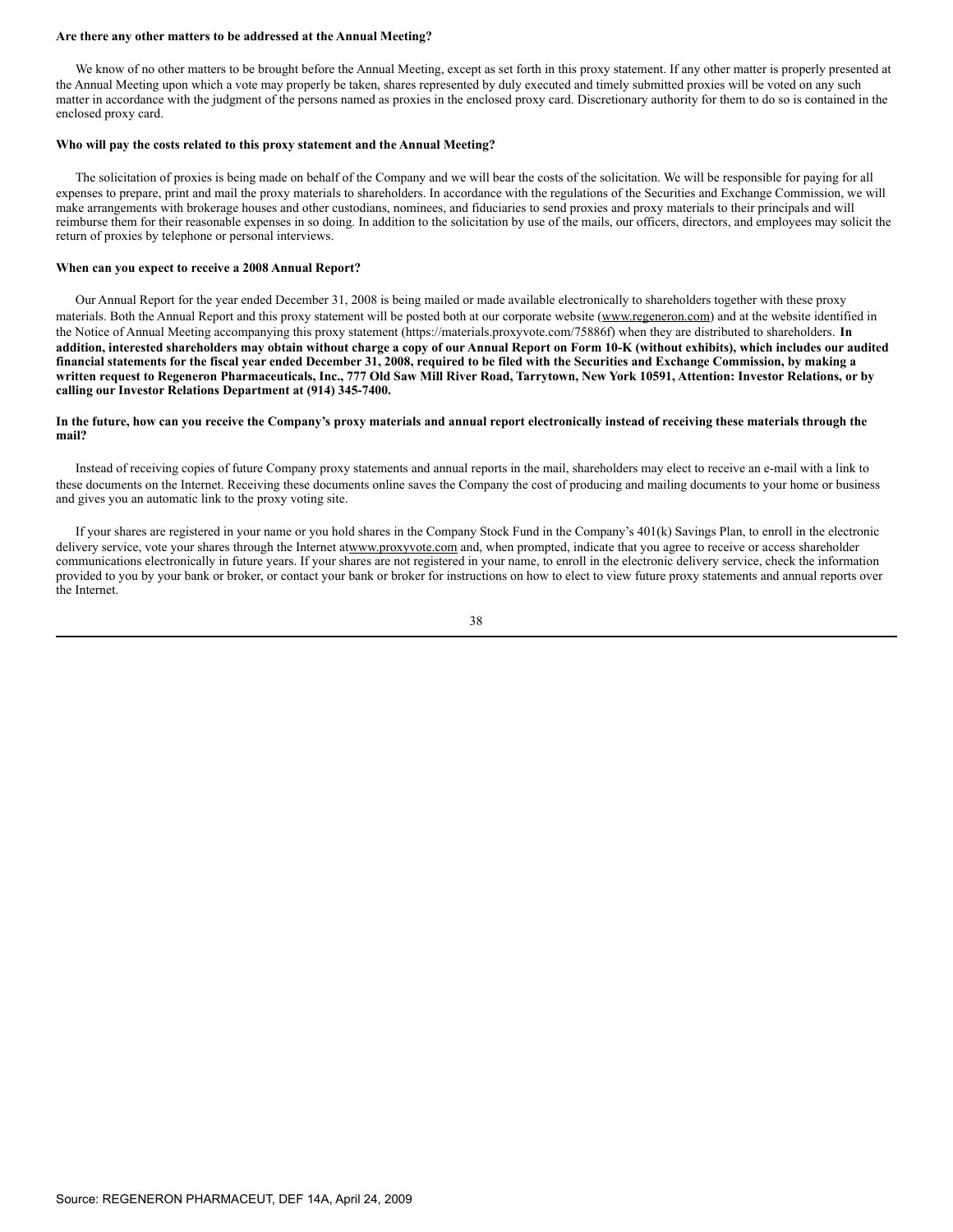#### **Are there any other matters to be addressed at the Annual Meeting?**

We know of no other matters to be brought before the Annual Meeting, except as set forth in this proxy statement. If any other matter is properly presented at the Annual Meeting upon which a vote may properly be taken, shares represented by duly executed and timely submitted proxies will be voted on any such matter in accordance with the judgment of the persons named as proxies in the enclosed proxy card. Discretionary authority for them to do so is contained in the enclosed proxy card.

#### **Who will pay the costs related to this proxy statement and the Annual Meeting?**

The solicitation of proxies is being made on behalf of the Company and we will bear the costs of the solicitation. We will be responsible for paying for all expenses to prepare, print and mail the proxy materials to shareholders. In accordance with the regulations of the Securities and Exchange Commission, we will make arrangements with brokerage houses and other custodians, nominees, and fiduciaries to send proxies and proxy materials to their principals and will reimburse them for their reasonable expenses in so doing. In addition to the solicitation by use of the mails, our officers, directors, and employees may solicit the return of proxies by telephone or personal interviews.

#### **When can you expect to receive a 2008 Annual Report?**

 Our Annual Report for the year ended December 31, 2008 is being mailed or made available electronically to shareholders together with these proxy materials. Both the Annual Report and this proxy statement will be posted both at our corporate website (www.regeneron.com) and at the website identified in the Notice of Annual Meeting accompanying this proxy statement (https://materials.proxyvote.com/75886f) when they are distributed to shareholders. **In addition, interested shareholders may obtain without charge a copy of our Annual Report on Form 10-K (without exhibits), which includes our audited financial statements for the fiscal year ended December 31, 2008, required to be filed with the Securities and Exchange Commission, by making a written request to Regeneron Pharmaceuticals, Inc., 777 Old Saw Mill River Road, Tarrytown, New York 10591, Attention: Investor Relations, or by calling our Investor Relations Department at (914) 345-7400.**

#### **In the future, how can you receive the Company's proxy materials and annual report electronically instead of receiving these materials through the mail?**

 Instead of receiving copies of future Company proxy statements and annual reports in the mail, shareholders may elect to receive an e-mail with a link to these documents on the Internet. Receiving these documents online saves the Company the cost of producing and mailing documents to your home or business and gives you an automatic link to the proxy voting site.

 If your shares are registered in your name or you hold shares in the Company Stock Fund in the Company's 401(k) Savings Plan, to enroll in the electronic delivery service, vote your shares through the Internet atwww.proxyvote.com and, when prompted, indicate that you agree to receive or access shareholder communications electronically in future years. If your shares are not registered in your name, to enroll in the electronic delivery service, check the information provided to you by your bank or broker, or contact your bank or broker for instructions on how to elect to view future proxy statements and annual reports over the Internet.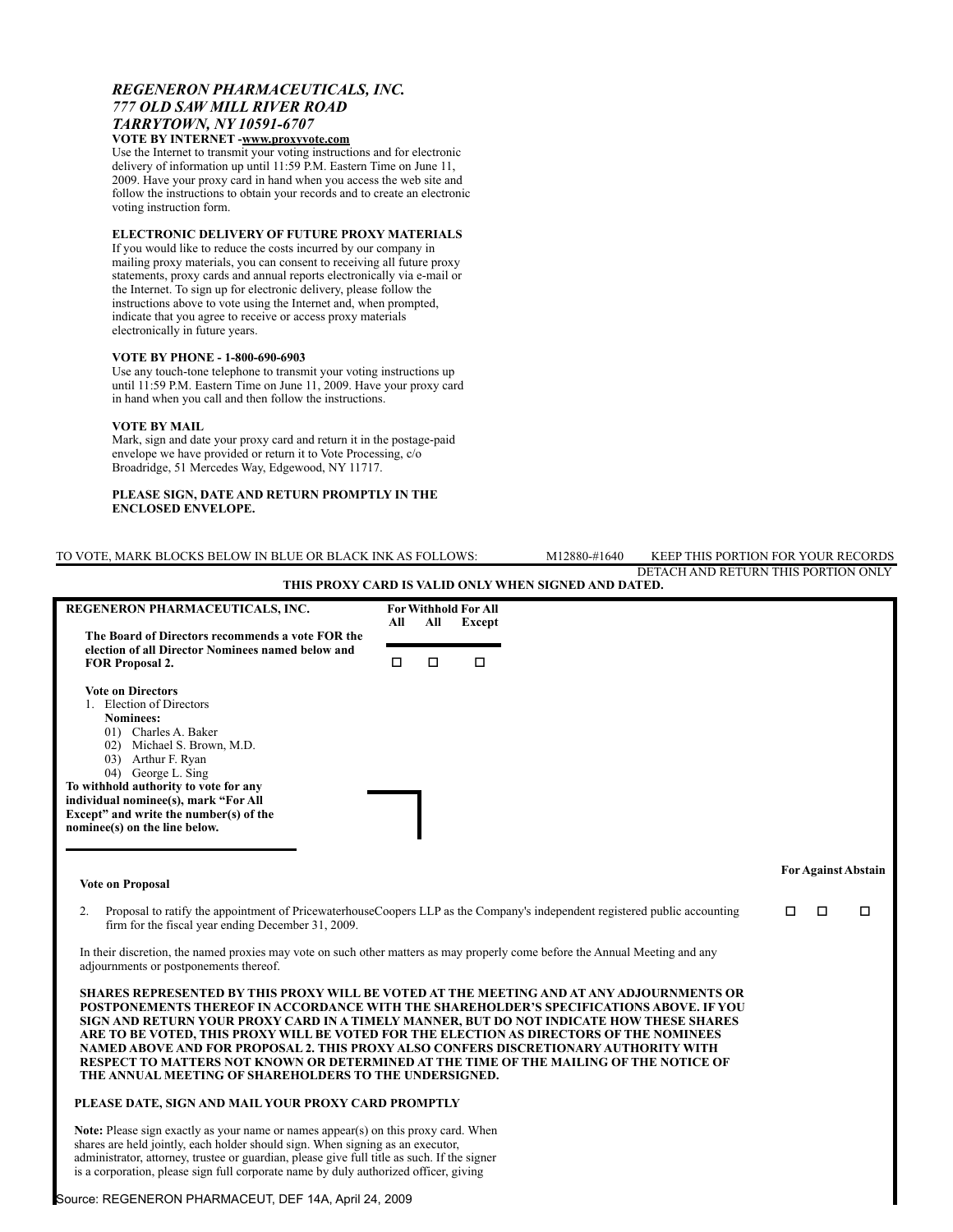# *REGENERON PHARMACEUTICALS, INC. 777 OLD SAW MILL RIVER ROAD TARRYTOWN, NY 10591-6707*

#### **VOTE BY INTERNET -www.proxyvote.com**

Use the Internet to transmit your voting instructions and for electronic delivery of information up until 11:59 P.M. Eastern Time on June 11, 2009. Have your proxy card in hand when you access the web site and follow the instructions to obtain your records and to create an electronic voting instruction form.

#### **ELECTRONIC DELIVERY OF FUTURE PROXY MATERIALS**

If you would like to reduce the costs incurred by our company in mailing proxy materials, you can consent to receiving all future proxy statements, proxy cards and annual reports electronically via e-mail or the Internet. To sign up for electronic delivery, please follow the instructions above to vote using the Internet and, when prompted, indicate that you agree to receive or access proxy materials electronically in future years.

#### **VOTE BY PHONE - 1-800-690-6903**

Use any touch-tone telephone to transmit your voting instructions up until 11:59 P.M. Eastern Time on June 11, 2009. Have your proxy card in hand when you call and then follow the instructions.

#### **VOTE BY MAIL**

Mark, sign and date your proxy card and return it in the postage-paid envelope we have provided or return it to Vote Processing, c/o Broadridge, 51 Mercedes Way, Edgewood, NY 11717.

#### **PLEASE SIGN, DATE AND RETURN PROMPTLY IN THE ENCLOSED ENVELOPE.**

| TO VOTE, MARK BLOCKS BELOW IN BLUE OR BLACK INK AS FOLLOWS:                                                                                                                                                                                                                                                                                                                                                                                                                                                                                                                                                            |        |        |                             | M12880-#1640 | KEEP THIS PORTION FOR YOUR RECORDS  |   |        |                            |
|------------------------------------------------------------------------------------------------------------------------------------------------------------------------------------------------------------------------------------------------------------------------------------------------------------------------------------------------------------------------------------------------------------------------------------------------------------------------------------------------------------------------------------------------------------------------------------------------------------------------|--------|--------|-----------------------------|--------------|-------------------------------------|---|--------|----------------------------|
| THIS PROXY CARD IS VALID ONLY WHEN SIGNED AND DATED.                                                                                                                                                                                                                                                                                                                                                                                                                                                                                                                                                                   |        |        |                             |              | DETACH AND RETURN THIS PORTION ONLY |   |        |                            |
| REGENERON PHARMACEUTICALS, INC.                                                                                                                                                                                                                                                                                                                                                                                                                                                                                                                                                                                        |        |        | <b>For Withhold For All</b> |              |                                     |   |        |                            |
|                                                                                                                                                                                                                                                                                                                                                                                                                                                                                                                                                                                                                        | All    | All    | <b>Except</b>               |              |                                     |   |        |                            |
| The Board of Directors recommends a vote FOR the<br>election of all Director Nominees named below and                                                                                                                                                                                                                                                                                                                                                                                                                                                                                                                  |        |        |                             |              |                                     |   |        |                            |
| <b>FOR Proposal 2.</b>                                                                                                                                                                                                                                                                                                                                                                                                                                                                                                                                                                                                 | $\Box$ | $\Box$ | $\Box$                      |              |                                     |   |        |                            |
| <b>Vote on Directors</b><br>1. Election of Directors<br>Nominees:<br>01) Charles A. Baker<br>02) Michael S. Brown, M.D.<br>03) Arthur F. Ryan<br>04) George L. Sing<br>To withhold authority to vote for any<br>individual nominee(s), mark "For All<br>Except" and write the number(s) of the<br>nominee(s) on the line below.                                                                                                                                                                                                                                                                                        |        |        |                             |              |                                     |   |        |                            |
| <b>Vote on Proposal</b>                                                                                                                                                                                                                                                                                                                                                                                                                                                                                                                                                                                                |        |        |                             |              |                                     |   |        | <b>For Against Abstain</b> |
| Proposal to ratify the appointment of PricewaterhouseCoopers LLP as the Company's independent registered public accounting<br>2.<br>firm for the fiscal year ending December 31, 2009.                                                                                                                                                                                                                                                                                                                                                                                                                                 |        |        |                             |              |                                     | □ | $\Box$ | □                          |
| In their discretion, the named proxies may vote on such other matters as may properly come before the Annual Meeting and any<br>adjournments or postponements thereof.                                                                                                                                                                                                                                                                                                                                                                                                                                                 |        |        |                             |              |                                     |   |        |                            |
| SHARES REPRESENTED BY THIS PROXY WILL BE VOTED AT THE MEETING AND AT ANY ADJOURNMENTS OR<br>POSTPONEMENTS THEREOF IN ACCORDANCE WITH THE SHAREHOLDER'S SPECIFICATIONS ABOVE. IF YOU<br>SIGN AND RETURN YOUR PROXY CARD IN A TIMELY MANNER, BUT DO NOT INDICATE HOW THESE SHARES<br>ARE TO BE VOTED. THIS PROXY WILL BE VOTED FOR THE ELECTION AS DIRECTORS OF THE NOMINEES<br>NAMED ABOVE AND FOR PROPOSAL 2. THIS PROXY ALSO CONFERS DISCRETIONARY AUTHORITY WITH<br>RESPECT TO MATTERS NOT KNOWN OR DETERMINED AT THE TIME OF THE MAILING OF THE NOTICE OF<br>THE ANNUAL MEETING OF SHAREHOLDERS TO THE UNDERSIGNED. |        |        |                             |              |                                     |   |        |                            |
| PLEASE DATE, SIGN AND MAIL YOUR PROXY CARD PROMPTLY                                                                                                                                                                                                                                                                                                                                                                                                                                                                                                                                                                    |        |        |                             |              |                                     |   |        |                            |
| <b>Note:</b> Please sign exactly as your name or names appear(s) on this proxy card. When<br>shares are held jointly, each holder should sign. When signing as an executor,<br>administrator, attorney, trustee or guardian, please give full title as such. If the signer                                                                                                                                                                                                                                                                                                                                             |        |        |                             |              |                                     |   |        |                            |

#### Source: REGENERON PHARMACEUT, DEF 14A, April 24, 2009

is a corporation, please sign full corporate name by duly authorized officer, giving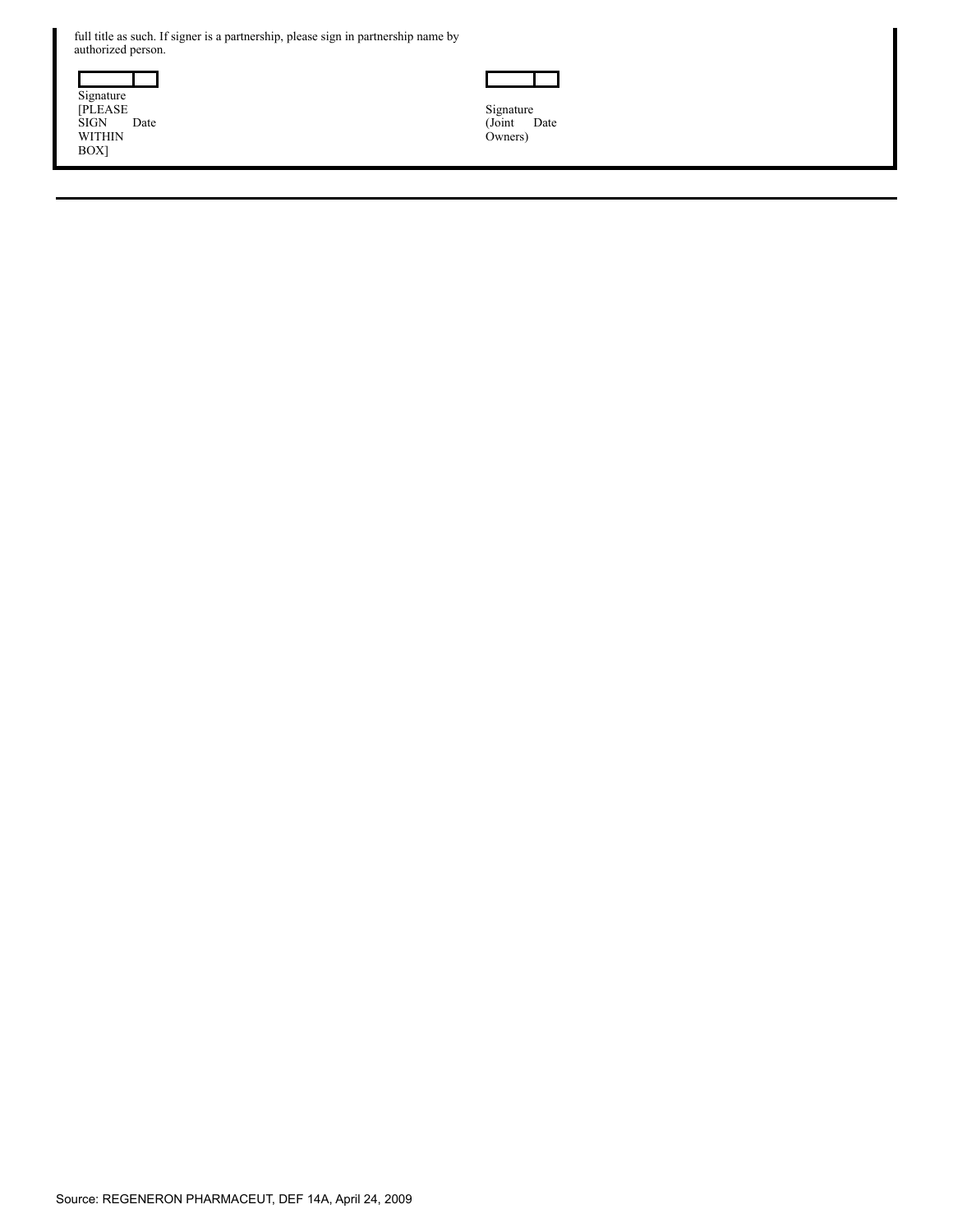| full title as such. If signer is a partnership, please sign in partnership name by |  |  |  |
|------------------------------------------------------------------------------------|--|--|--|
| authorized person.                                                                 |  |  |  |

| Signature      |      |
|----------------|------|
| <b>[PLEASE</b> |      |
| SIGN           | Date |
| WITHIN         |      |
| BOX]           |      |



Signature (Joint Owners) Date